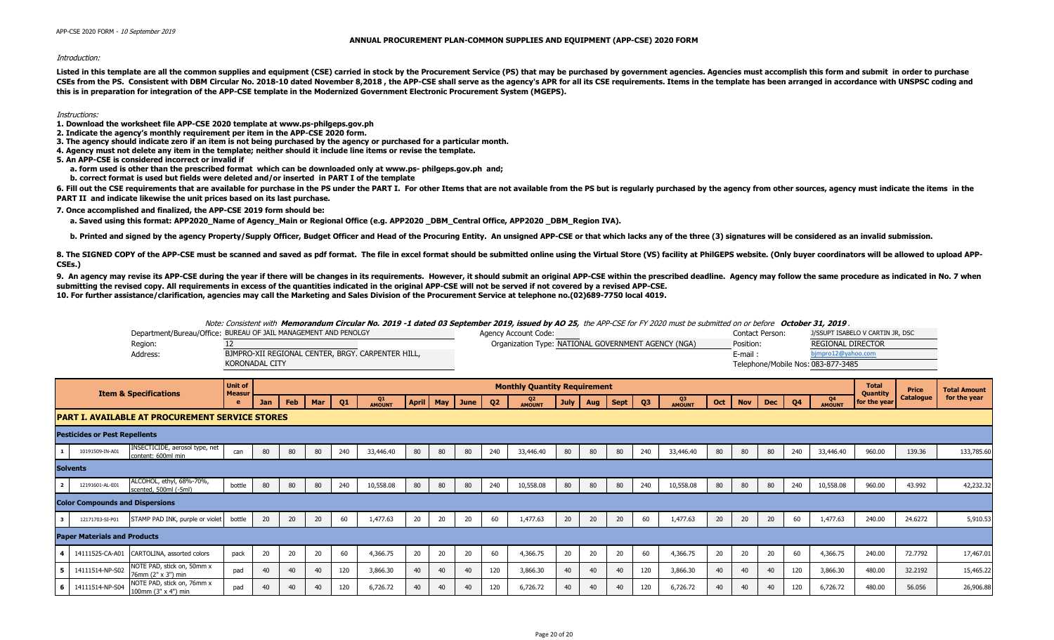APP-CSE 2020 FORM - 10 September 2019

## **ANNUAL PROCUREMENT PLAN-COMMON SUPPLIES AND EQUIPMENT (APP-CSE) 2020 FORM**

## Introduction:

Listed in this template are all the common supplies and equipment (CSE) carried in stock by the Procurement Service (PS) that may be purchased by government agencies. Agencies must accomplish this form and submit in order CSEs from the PS. Consistent with DBM Circular No. 2018-10 dated November 8,2018, the APP-CSE shall serve as the agency's APR for all its CSE requirements. Items in the template has been arranged in accordance with UNSPSC **this is in preparation for integration of the APP-CSE template in the Modernized Government Electronic Procurement System (MGEPS).** 

Instructions:

**1. Download the worksheet file APP-CSE 2020 template at www.ps-philgeps.gov.ph**

- **2. Indicate the agency's monthly requirement per item in the APP-CSE 2020 form.**
- **3. The agency should indicate zero if an item is not being purchased by the agency or purchased for a particular month.**
- **4. Agency must not delete any item in the template; neither should it include line items or revise the template.**

**5. An APP-CSE is considered incorrect or invalid if**

- **a. form used is other than the prescribed format which can be downloaded only at www.ps- philgeps.gov.ph and;**
- **b. correct format is used but fields were deleted and/or inserted in PART I of the template**

6. Fill out the CSE requirements that are available for purchase in the PS under the PART I. For other Items that are not available from the PS but is regularly purchased by the agency from other sources, agency must indic **PART II and indicate likewise the unit prices based on its last purchase.**

**7. Once accomplished and finalized, the APP-CSE 2019 form should be:**

a. Saved using this format: APP2020\_Name of Agency\_Main or Regional Office (e.g. APP2020\_DBM\_Central Office, APP2020 \_DBM\_Region IVA).

b. Printed and signed by the agency Property/Supply Officer, Budget Officer and Head of the Procuring Entity. An unsigned APP-CSE or that which lacks any of the three (3) signatures will be considered as an invalid submiss

8. The SIGNED COPY of the APP-CSE must be scanned and saved as pdf format. The file in excel format should be submitted online using the Virtual Store (VS) facility at PhilGEPS website. (Only buyer coordinators will be all **CSEs.)**

9. An agency may revise its APP-CSE during the year if there will be changes in its requirements. However, it should submit an original APP-CSE within the prescribed deadline. Agency may follow the same procedure as indica **submitting the revised copy. All requirements in excess of the quantities indicated in the original APP-CSE will not be served if not covered by a revised APP-CSE. 10. For further assistance/clarification, agencies may call the Marketing and Sales Division of the Procurement Service at telephone no.(02)689-7750 local 4019.**

Note: Consistent with **Memorandum Circular No. 2019 -1 dated 03 September 2019, issued by AO 25,** the APP-CSE for FY 2020 must be submitted on or before **October 31, 2019** .

|          | Department/Bureau/Office: BUREAU OF JAIL MANAGEMENT AND PENOLGY | Agency Account Code:                                | <b>Contact Person</b>              | J/SSUPT ISABELO V CARTIN JR, DSC |
|----------|-----------------------------------------------------------------|-----------------------------------------------------|------------------------------------|----------------------------------|
| Region:  |                                                                 | Organization Type: NATIONAL GOVERNMENT AGENCY (NGA) | Position:                          | REGIONAL DIRECTOR                |
| Address: | BJMPRO-XII REGIONAL CENTER, BRGY. CARPENTER HILL,               |                                                     | E-mail :                           | bimpro12@yahoo.com               |
|          | KORONADAL CITY                                                  |                                                     | Telephone/Mobile Nos: 083-877-3485 |                                  |

|     |                                        | <b>Item &amp; Specifications</b>                     | <b>Unit of</b><br><b>Measur</b> |     |            |     |     |              |    |    |                |                | <b>Monthly Quantity Requirement</b> |      |     |      |                |              |     |            |            |                |              | <b>Total</b><br><b>Quantity</b> | Price            | <b>Total Amount</b> |
|-----|----------------------------------------|------------------------------------------------------|---------------------------------|-----|------------|-----|-----|--------------|----|----|----------------|----------------|-------------------------------------|------|-----|------|----------------|--------------|-----|------------|------------|----------------|--------------|---------------------------------|------------------|---------------------|
|     |                                        |                                                      |                                 | Jan | <b>Feb</b> | Mar | Q1  | Q1<br>AMOUNT |    |    | April May June | Q <sub>2</sub> | Q <sub>2</sub><br>AMOUNT            | July | Aug | Sept | Q <sub>3</sub> | Q3<br>AMOUNT | Oct | <b>Nov</b> | <b>Dec</b> | Q <sub>4</sub> | Q4<br>AMOUNT | for the year                    | <b>Catalogue</b> | for the year        |
|     |                                        | IPART I. AVAILABLE AT PROCUREMENT SERVICE STORES     |                                 |     |            |     |     |              |    |    |                |                |                                     |      |     |      |                |              |     |            |            |                |              |                                 |                  |                     |
|     | <b>Pesticides or Pest Repellents</b>   |                                                      |                                 |     |            |     |     |              |    |    |                |                |                                     |      |     |      |                |              |     |            |            |                |              |                                 |                  |                     |
|     | 10191509-IN-A01                        | INSECTICIDE, aerosol type, net<br>content: 600ml min | can                             | 80  | 80         | 80  | 240 | 33,446.40    | 80 | 80 | 80             | 240            | 33,446.40                           | 80   | 80  | 80   | 240            | 33,446.40    | 80  | 80         | 80         | 240            | 33,446.40    | 960.00                          | 139.36           | 133,785.60          |
|     | <b>Solvents</b>                        |                                                      |                                 |     |            |     |     |              |    |    |                |                |                                     |      |     |      |                |              |     |            |            |                |              |                                 |                  |                     |
|     | 12191601-AL-E01                        | ALCOHOL, ethyl, 68%-70%,<br>scented, 500ml (-5ml)    | bottle                          | 80  | 80         | 80  | 240 | 10,558.08    | 80 | 80 | 80             | 240            | 10,558.08                           | 80   | 80  | 80   | 240            | 10,558.08    | 80  | 80         | 80         | 240            | 10,558.08    | 960.00                          | 43.992           | 42,232.32           |
|     | <b>Color Compounds and Dispersions</b> |                                                      |                                 |     |            |     |     |              |    |    |                |                |                                     |      |     |      |                |              |     |            |            |                |              |                                 |                  |                     |
|     | 12171703-SI-P01                        | STAMP PAD INK, purple or violet                      | bottle                          | 20  | 20         | 20  | 60  | 1,477.63     | 20 | 20 | 20             | 60             | 1,477.63                            | 20   | 20  | 20   | 60             | 1,477.63     | 20  | 20         | 20         | 60             | 1,477.63     | 240.00                          | 24.6272          | 5,910.53            |
|     | <b>Paper Materials and Products</b>    |                                                      |                                 |     |            |     |     |              |    |    |                |                |                                     |      |     |      |                |              |     |            |            |                |              |                                 |                  |                     |
|     | 14111525-CA-A01                        | CARTOLINA, assorted colors                           | pack                            | 20  | 20         | 20  | 60  | 4,366.75     | 20 | 20 | 20             | 60             | 4,366.75                            | 20   | 20  | 20   | 60             | 4,366.75     | 20  | 20         | 20         | 60             | 4,366.75     | 240.00                          | 72.7792          | 17,467.01           |
| - 5 | 14111514-NP-S02                        | NOTE PAD, stick on, 50mm x<br>76mm (2" x 3") min     | pad                             | 40  | 40         | 40  | 120 | 3,866.30     | 40 | 40 | 40             | 120            | 3,866.30                            | 40   | 40  | 40   | 120            | 3,866.30     | 40  | 40         | 40         | 120            | 3,866.30     | 480.00                          | 32.2192          | 15,465.22           |
| - 6 | 14111514-NP-S04                        | NOTE PAD, stick on, 76mm x<br>100mm (3" x 4") min    | pad                             | 40  | 40         | 40  | 120 | 6,726.72     | 40 | 40 |                | 120            | 6,726.72                            | 40   | 40  | 40   | 120            | 6,726.72     | 40  |            | 40         | 120            | 6,726.72     | 480.00                          | 56.056           | 26,906.88           |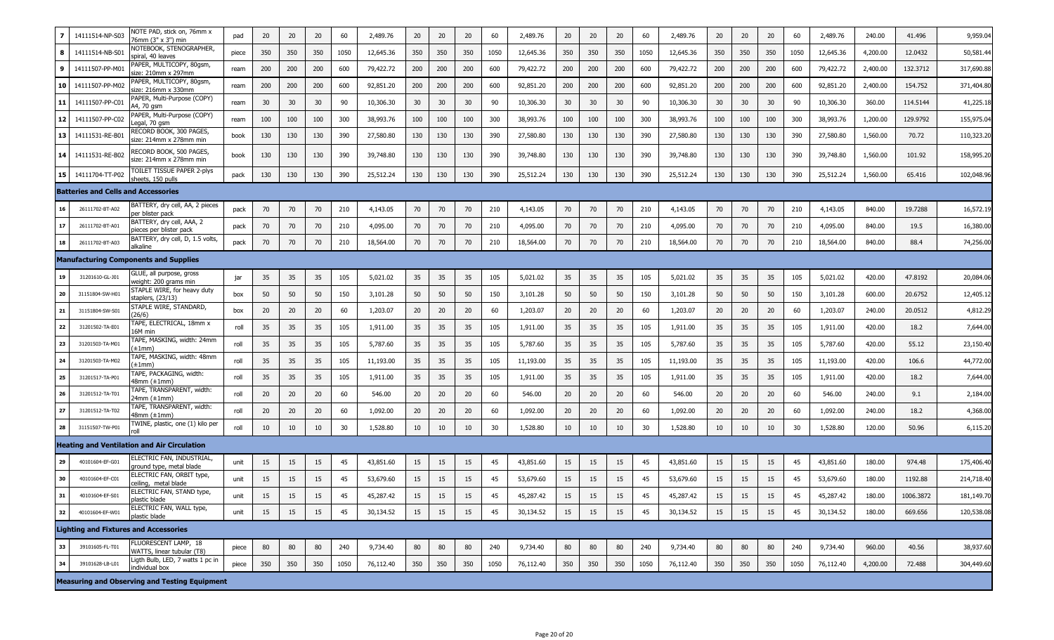|            | 14111514-NP-S03                            | VOTE PAD, stick on, 76mm x<br>'6mm (3" x 3") min     | pad   | 20  | 20  | 20  | 60   | 2,489.76  | 20  | 20  | 20              | 60   | 2,489.76  | 20  | 20  | 20  | 60   | 2,489.76  | 20  | 20  | 20  | 60   | 2,489.76  | 240.00   | 41.496    | 9,959.04   |
|------------|--------------------------------------------|------------------------------------------------------|-------|-----|-----|-----|------|-----------|-----|-----|-----------------|------|-----------|-----|-----|-----|------|-----------|-----|-----|-----|------|-----------|----------|-----------|------------|
| 8          | 14111514-NB-S0                             | NOTEBOOK, STENOGRAPHER,<br>piral, 40 leaves          | piece | 350 | 350 | 350 | 1050 | 12,645.36 | 350 | 350 | 350             | 1050 | 12,645.36 | 350 | 350 | 350 | 1050 | 12,645.36 | 350 | 350 | 350 | 1050 | 12,645.36 | 4,200.00 | 12.0432   | 50,581.44  |
| 9          | 14111507-PP-M0                             | PAPER, MULTICOPY, 80gsm,<br>size: 210mm x 297mm      | ream  | 200 | 200 | 200 | 600  | 79,422.72 | 200 | 200 | 200             | 600  | 79,422.72 | 200 | 200 | 200 | 600  | 79,422.72 | 200 | 200 | 200 | 600  | 79,422.72 | 2,400.00 | 132.3712  | 317,690.88 |
| 10         | 14111507-PP-M02                            | APER, MULTICOPY, 80gsm,<br>size: 216mm x 330mm       | ream  | 200 | 200 | 200 | 600  | 92,851.20 | 200 | 200 | 200             | 600  | 92,851.20 | 200 | 200 | 200 | 600  | 92,851.20 | 200 | 200 | 200 | 600  | 92,851.20 | 2,400.00 | 154.752   | 371,404.80 |
| 11         | 14111507-PP-C0                             | PAPER, Multi-Purpose (COPY)<br>4,70 qsm              | ream  | 30  | 30  | 30  | 90   | 10,306.30 | 30  | 30  | 30 <sup>°</sup> | 90   | 10,306.30 | 30  | 30  | 30  | 90   | 10,306.30 | 30  | 30  | 30  | 90   | 10,306.30 | 360.00   | 114.5144  | 41,225.18  |
| 12         | 14111507-PP-C02                            | PAPER, Multi-Purpose (COPY)<br>egal, 70 gsm.         | ream  | 100 | 100 | 100 | 300  | 38,993.76 | 100 | 100 | 100             | 300  | 38,993.76 | 100 | 100 | 100 | 300  | 38,993.76 | 100 | 100 | 100 | 300  | 38,993.76 | 1,200.00 | 129.9792  | 155,975.04 |
| 13         | 14111531-RE-B0                             | RECORD BOOK, 300 PAGES,<br>size: 214mm x 278mm min   | book  | 130 | 130 | 130 | 390  | 27,580.80 | 130 | 130 | 130             | 390  | 27,580.80 | 130 | 130 | 130 | 390  | 27,580.80 | 130 | 130 | 130 | 390  | 27,580.80 | 1,560.00 | 70.72     | 110,323.20 |
| 14         | 14111531-RE-B02                            | RECORD BOOK, 500 PAGES,<br>size: 214mm x 278mm min   | book  | 130 | 130 | 130 | 390  | 39,748.80 | 130 | 130 | 130             | 390  | 39,748.80 | 130 | 130 | 130 | 390  | 39,748.80 | 130 | 130 | 130 | 390  | 39,748.80 | 1,560.00 | 101.92    | 158,995.20 |
| 15         | 14111704-TT-P02                            | FOILET TISSUE PAPER 2-plys<br>sheets, 150 pulls      | pack  | 130 | 130 | 130 | 390  | 25,512.24 | 130 | 130 | 130             | 390  | 25,512.24 | 130 | 130 | 130 | 390  | 25,512.24 | 130 | 130 | 130 | 390  | 25,512.24 | 1,560.00 | 65.416    | 102,048.96 |
|            | <b>Batteries and Cells and Accessories</b> |                                                      |       |     |     |     |      |           |     |     |                 |      |           |     |     |     |      |           |     |     |     |      |           |          |           |            |
| 16         | 26111702-BT-A02                            | BATTERY, dry cell, AA, 2 pieces<br>oer blister pack  | pack  | 70  | 70  | 70  | 210  | 4,143.05  | 70  | 70  | 70              | 210  | 4,143.05  | 70  | 70  | 70  | 210  | 4,143.05  | 70  | 70  | 70  | 210  | 4,143.05  | 840.00   | 19.7288   | 16,572.19  |
| 17         | 26111702-BT-A01                            | BATTERY, dry cell, AAA, 2<br>pieces per blister pack | pack  | 70  | 70  | 70  | 210  | 4,095.00  | 70  | 70  | 70              | 210  | 4,095.00  | 70  | 70  | 70  | 210  | 4,095.00  | 70  | 70  | 70  | 210  | 4,095.00  | 840.00   | 19.5      | 16,380.00  |
| 18         | 26111702-BT-A03                            | BATTERY, dry cell, D, 1.5 volts,<br><b>Ikaline</b>   | pack  | 70  | 70  | 70  | 210  | 18,564.00 | 70  | 70  | 70              | 210  | 18,564.00 | 70  | 70  | 70  | 210  | 18,564.00 | 70  | 70  | 70  | 210  | 18,564.00 | 840.00   | 88.4      | 74,256.00  |
|            |                                            | <b>Manufacturing Components and Supplies</b>         |       |     |     |     |      |           |     |     |                 |      |           |     |     |     |      |           |     |     |     |      |           |          |           |            |
| 19         | 31201610-GL-J01                            | GLUE, all purpose, gross<br>weight: 200 grams min    | jar   | 35  | 35  | 35  | 105  | 5,021.02  | 35  | 35  | 35              | 105  | 5,021.02  | 35  | 35  | 35  | 105  | 5,021.02  | 35  | 35  | 35  | 105  | 5,021.02  | 420.00   | 47.8192   | 20,084.06  |
| 20         | 31151804-SW-H01                            | STAPLE WIRE, for heavy duty<br>taplers, (23/13)      | box   | 50  | 50  | 50  | 150  | 3,101.28  | 50  | 50  | 50              | 150  | 3,101.28  | 50  | 50  | 50  | 150  | 3,101.28  | 50  | 50  | 50  | 150  | 3,101.28  | 600.00   | 20.6752   | 12,405.12  |
| ${\bf 21}$ | 31151804-SW-S01                            | STAPLE WIRE, STANDARD,<br>26/6)                      | box   | 20  | 20  | 20  | 60   | 1,203.07  | 20  | 20  | 20              | 60   | 1,203.07  | 20  | 20  | 20  | 60   | 1,203.07  | 20  | 20  | 20  | 60   | 1,203.07  | 240.00   | 20.0512   | 4,812.29   |
| 22         | 31201502-TA-E01                            | TAPE, ELECTRICAL, 18mm x<br>16M min                  | roll  | 35  | 35  | 35  | 105  | 1,911.00  | 35  | 35  | 35              | 105  | 1,911.00  | 35  | 35  | 35  | 105  | 1,911.00  | 35  | 35  | 35  | 105  | 1,911.00  | 420.00   | 18.2      | 7,644.00   |
| 23         | 31201503-TA-M01                            | TAPE, MASKING, width: 24mm<br>±1mm)                  | roll  | 35  | 35  | 35  | 105  | 5,787.60  | 35  | 35  | 35              | 105  | 5,787.60  | 35  | 35  | 35  | 105  | 5,787.60  | 35  | 35  | 35  | 105  | 5,787.60  | 420.00   | 55.12     | 23,150.40  |
| ${\bf 24}$ | 31201503-TA-M02                            | TAPE, MASKING, width: 48mm<br>±1mm)                  | roll  | 35  | 35  | 35  | 105  | 11,193.00 | 35  | 35  | 35              | 105  | 11,193.00 | 35  | 35  | 35  | 105  | 11,193.00 | 35  | 35  | 35  | 105  | 11,193.00 | 420.00   | 106.6     | 44,772.00  |
| 25         | 31201517-TA-P01                            | FAPE, PACKAGING, width:<br>48mm (±1mm)               | roll  | 35  | 35  | 35  | 105  | 1,911.00  | 35  | 35  | 35              | 105  | 1,911.00  | 35  | 35  | 35  | 105  | 1,911.00  | 35  | 35  | 35  | 105  | 1,911.00  | 420.00   | 18.2      | 7,644.00   |
| 26         | 31201512-TA-T01                            | FAPE, TRANSPARENT, width:<br>!4mm (±1mm)             | roll  | 20  | 20  | 20  | 60   | 546.00    | 20  | 20  | 20              | 60   | 546.00    | 20  | 20  | 20  | 60   | 546.00    | 20  | 20  | 20  | 60   | 546.00    | 240.00   | 9.1       | 2,184.00   |
| 27         | 31201512-TA-T02                            | TAPE, TRANSPARENT, width:<br>48mm (±1mm)             | roll  | 20  | 20  | 20  | 60   | 1,092.00  | 20  | 20  | 20              | 60   | 1,092.00  | 20  | 20  | 20  | 60   | 1,092.00  | 20  | 20  | 20  | 60   | 1,092.00  | 240.00   | 18.2      | 4,368.00   |
| 28         | 31151507-TW-P01                            | TWINE, plastic, one (1) kilo per<br>roll             | roll  | 10  | 10  | 10  | 30   | 1,528.80  | 10  | 10  | 10              | 30   | 1,528.80  | 10  | 10  | 10  | 30   | 1,528.80  | 10  | 10  | 10  | 30   | 1,528.80  | 120.00   | 50.96     | 6,115.20   |
|            |                                            | Heating and Ventilation and Air Circulation          |       |     |     |     |      |           |     |     |                 |      |           |     |     |     |      |           |     |     |     |      |           |          |           |            |
| 29         | 40101604-EF-G01                            | ELECTRIC FAN, INDUSTRIAL<br>round type, metal blade  | unit  | 15  | 15  | 15  | 45   | 43,851.60 | 15  | 15  | 15              | 45   | 43,851.60 | 15  | 15  | 15  | 45   | 43,851.60 | 15  | 15  | 15  | 45   | 43,851.60 | 180.00   | 974.48    | 175,406.40 |
| 30         | 40101604-EF-C01                            | ELECTRIC FAN, ORBIT type,<br>ceiling, metal blade    | unit  | 15  | 15  | 15  | 45   | 53,679.60 | 15  | 15  | 15              | 45   | 53,679.60 | 15  | 15  | 15  | 45   | 53,679.60 | 15  | 15  | 15  | 45   | 53,679.60 | 180.00   | 1192.88   | 214,718.40 |
| 31         | 40101604-EF-S01                            | ELECTRIC FAN, STAND type,<br>plastic blade           | unit  | 15  | 15  | 15  | 45   | 45,287.42 | 15  | 15  | 15              | 45   | 45,287.42 | 15  | 15  | 15  | 45   | 45,287.42 | 15  | 15  | 15  | 45   | 45,287.42 | 180.00   | 1006.3872 | 181,149.70 |
| 32         | 40101604-EF-W01                            | ELECTRIC FAN, WALL type,<br>plastic blade            | unit  | 15  | 15  | 15  | 45   | 30,134.52 | 15  | 15  | 15              | 45   | 30,134.52 | 15  | 15  | 15  | 45   | 30,134.52 | 15  | 15  | 15  | 45   | 30,134.52 | 180.00   | 669.656   | 120,538.08 |
|            |                                            | <b>Lighting and Fixtures and Accessories</b>         |       |     |     |     |      |           |     |     |                 |      |           |     |     |     |      |           |     |     |     |      |           |          |           |            |
| 33         | 39101605-FL-T01                            | FLUORESCENT LAMP, 18<br>WATTS, linear tubular (T8)   | piece | 80  | 80  | 80  | 240  | 9,734.40  | 80  | 80  | 80              | 240  | 9,734.40  | 80  | 80  | 80  | 240  | 9,734.40  | 80  | 80  | 80  | 240  | 9,734.40  | 960.00   | 40.56     | 38,937.60  |
| 34         | 39101628-LB-L01                            | Ligth Bulb, LED, 7 watts 1 pc in<br>ndividual box    | piece | 350 | 350 | 350 | 1050 | 76,112.40 | 350 | 350 | 350             | 1050 | 76,112.40 | 350 | 350 | 350 | 1050 | 76,112.40 | 350 | 350 | 350 | 1050 | 76,112.40 | 4,200.00 | 72.488    | 304,449.60 |
|            |                                            | <b>Measuring and Observing and Testing Equipment</b> |       |     |     |     |      |           |     |     |                 |      |           |     |     |     |      |           |     |     |     |      |           |          |           |            |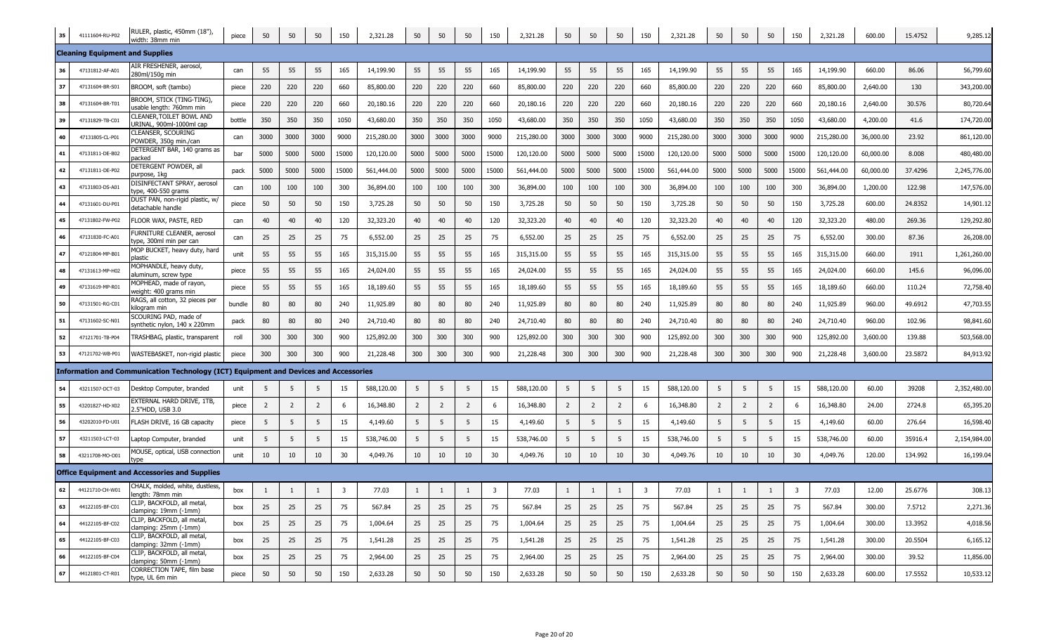| 35 | 41111604-RU-P02                        | RULER, plastic, 450mm (18"),<br>width: 38mm min                                      | piece  | 50             | 50             | 50             | 150   | 2,321.28   | 50             | 50             | 50             | 150   | 2,321.28   | 50             | 50             | 50             | 150            | 2,321.28   | 50             | 50             | 50             | 150   | 2,321.28   | 600.00    | 15.4752 | 9,285.12     |
|----|----------------------------------------|--------------------------------------------------------------------------------------|--------|----------------|----------------|----------------|-------|------------|----------------|----------------|----------------|-------|------------|----------------|----------------|----------------|----------------|------------|----------------|----------------|----------------|-------|------------|-----------|---------|--------------|
|    | <b>Cleaning Equipment and Supplies</b> |                                                                                      |        |                |                |                |       |            |                |                |                |       |            |                |                |                |                |            |                |                |                |       |            |           |         |              |
| 36 | 47131812-AF-A01                        | AIR FRESHENER, aerosol,<br>280ml/150g min                                            | can    | 55             | 55             | 55             | 165   | 14,199.90  | 55             | 55             | 55             | 165   | 14,199.90  | 55             | 55             | 55             | 165            | 14,199.90  | 55             | 55             | 55             | 165   | 14,199.90  | 660.00    | 86.06   | 56,799.60    |
| 37 | 47131604-BR-S01                        | BROOM, soft (tambo)                                                                  | piece  | 220            | 220            | 220            | 660   | 85,800.00  | 220            | 220            | 220            | 660   | 85,800.00  | 220            | 220            | 220            | 660            | 85,800.00  | 220            | 220            | 220            | 660   | 85,800.00  | 2,640.00  | 130     | 343,200.00   |
| 38 | 47131604-BR-T01                        | BROOM, STICK (TING-TING),<br>sable length: 760mm min                                 | piece  | 220            | 220            | 220            | 660   | 20,180.16  | 220            | 220            | 220            | 660   | 20,180.16  | 220            | 220            | 220            | 660            | 20,180.16  | 220            | 220            | 220            | 660   | 20,180.16  | 2,640.00  | 30.576  | 80,720.64    |
| 39 | 47131829-TB-C01                        | LEANER, TOILET BOWL AND<br>JRINAL, 900ml-1000ml cap                                  | bottle | 350            | 350            | 350            | 1050  | 43,680.00  | 350            | 350            | 350            | 1050  | 43,680.00  | 350            | 350            | 350            | 1050           | 43,680.00  | 350            | 350            | 350            | 1050  | 43,680.00  | 4,200.00  | 41.6    | 174,720.00   |
| 40 | 47131805-CL-P01                        | LEANSER, SCOURING<br>POWDER, 350g min./can                                           | can    | 3000           | 3000           | 3000           | 9000  | 215,280.00 | 3000           | 3000           | 3000           | 9000  | 215,280.00 | 3000           | 3000           | 3000           | 9000           | 215,280.00 | 3000           | 3000           | 3000           | 9000  | 215,280.00 | 36,000.00 | 23.92   | 861,120.00   |
| 41 | 47131811-DE-B02                        | DETERGENT BAR, 140 grams as<br>acked                                                 | bar    | 5000           | 5000           | 5000           | 15000 | 120,120.00 | 5000           | 5000           | 5000           | 15000 | 120,120.00 | 5000           | 5000           | 5000           | 15000          | 120,120.00 | 5000           | 5000           | 5000           | 15000 | 120,120.00 | 60,000.00 | 8.008   | 480,480.00   |
| 42 | 47131811-DE-P02                        | DETERGENT POWDER, all<br>ourpose, 1kg                                                | pack   | 5000           | 5000           | 5000           | 15000 | 561,444.00 | 5000           | 5000           | 5000           | 15000 | 561,444.00 | 5000           | 5000           | 5000           | 15000          | 561,444.00 | 5000           | 5000           | 5000           | 15000 | 561,444.00 | 60,000.00 | 37.4296 | 2,245,776.00 |
| 43 | 47131803-DS-A01                        | DISINFECTANT SPRAY, aerosol<br>ype, 400-550 grams                                    | can    | 100            | 100            | 100            | 300   | 36,894.00  | 100            | 100            | 100            | 300   | 36,894.00  | 100            | 100            | 100            | 300            | 36,894.00  | 100            | 100            | 100            | 300   | 36,894.00  | 1,200.00  | 122.98  | 147,576.00   |
| 44 | 47131601-DU-P01                        | DUST PAN, non-rigid plastic, w/<br>detachable handle                                 | piece  | 50             | 50             | 50             | 150   | 3,725.28   | 50             | 50             | 50             | 150   | 3,725.28   | 50             | 50             | 50             | 150            | 3,725.28   | 50             | 50             | 50             | 150   | 3,725.28   | 600.00    | 24.8352 | 14,901.12    |
| 45 | 47131802-FW-P02                        | FLOOR WAX, PASTE, RED                                                                | can    | 40             | 40             | 40             | 120   | 32,323.20  | 40             | 40             | 40             | 120   | 32,323.20  | 40             | 40             | 40             | 120            | 32,323.20  | 40             | 40             | 40             | 120   | 32,323.20  | 480.00    | 269.36  | 129,292.80   |
| 46 | 47131830-FC-A01                        | FURNITURE CLEANER, aerosol<br>ype, 300ml min per can                                 | can    | 25             | 25             | 25             | 75    | 6,552.00   | 25             | 25             | 25             | 75    | 6,552.00   | 25             | 25             | 25             | 75             | 6,552.00   | 25             | 25             | 25             | 75    | 6,552.00   | 300.00    | 87.36   | 26,208.00    |
| 47 | 47121804-MP-B01                        | MOP BUCKET, heavy duty, hard<br>ilastic                                              | unit   | 55             | 55             | 55             | 165   | 315,315.00 | 55             | 55             | 55             | 165   | 315,315.00 | 55             | 55             | 55             | 165            | 315,315.00 | 55             | 55             | 55             | 165   | 315,315.00 | 660.00    | 1911    | 1,261,260.00 |
| 48 | 47131613-MP-H02                        | MOPHANDLE, heavy duty,<br>aluminum, screw type                                       | piece  | 55             | 55             | 55             | 165   | 24,024.00  | 55             | 55             | 55             | 165   | 24,024.00  | 55             | 55             | 55             | 165            | 24,024.00  | 55             | 55             | 55             | 165   | 24,024.00  | 660.00    | 145.6   | 96,096.00    |
| 49 | 47131619-MP-R01                        | MOPHEAD, made of rayon,<br>veight: 400 grams min                                     | piece  | 55             | 55             | 55             | 165   | 18,189.60  | 55             | 55             | 55             | 165   | 18,189.60  | 55             | 55             | 55             | 165            | 18,189.60  | 55             | 55             | 55             | 165   | 18,189.60  | 660.00    | 110.24  | 72,758.40    |
| 50 | 47131501-RG-C01                        | RAGS, all cotton, 32 pieces per<br>ilogram min                                       | bundle | 80             | 80             | 80             | 240   | 11,925.89  | 80             | 80             | 80             | 240   | 11,925.89  | 80             | 80             | 80             | 240            | 11,925.89  | 80             | 80             | 80             | 240   | 11,925.89  | 960.00    | 49.6912 | 47,703.55    |
| 51 | 47131602-SC-N01                        | <b>SCOURING PAD, made of</b><br>ynthetic nylon, 140 x 220mm                          | pack   | 80             | 80             | 80             | 240   | 24,710.40  | 80             | 80             | 80             | 240   | 24,710.40  | 80             | 80             | 80             | 240            | 24,710.40  | 80             | 80             | 80             | 240   | 24,710.40  | 960.00    | 102.96  | 98,841.60    |
| 52 | 47121701-TB-P04                        | FRASHBAG, plastic, transparent                                                       | roll   | 300            | 300            | 300            | 900   | 125,892.00 | 300            | 300            | 300            | 900   | 125,892.00 | 300            | 300            | 300            | 900            | 125,892.00 | 300            | 300            | 300            | 900   | 125,892.00 | 3,600.00  | 139.88  | 503,568.00   |
| 53 | 47121702-WB-P01                        | WASTEBASKET, non-rigid plastic                                                       | piece  | 300            | 300            | 300            | 900   | 21,228.48  | 300            | 300            | 300            | 900   | 21,228.48  | 300            | 300            | 300            | 900            | 21,228.48  | 300            | 300            | 300            | 900   | 21,228.48  | 3,600.00  | 23.5872 | 84,913.92    |
|    |                                        | Information and Communication Technology (ICT) Equipment and Devices and Accessories |        |                |                |                |       |            |                |                |                |       |            |                |                |                |                |            |                |                |                |       |            |           |         |              |
| 54 | 43211507-DCT-03                        | Desktop Computer, branded                                                            | unit   | 5              | 5              | -5             | 15    | 588,120.00 | -5             | 5              | -5             | 15    | 588,120.00 | -5             | -5             | 5              | 15             | 588,120.00 | -5             |                | 5              | 15    | 588,120.00 | 60.00     | 39208   | 2,352,480.00 |
| 55 | 43201827-HD-X02                        | EXTERNAL HARD DRIVE, 1TB,<br>2.5"HDD, USB 3.0                                        | piece  | $\overline{2}$ | $\overline{2}$ | $\overline{2}$ | 6     | 16,348.80  | $\overline{2}$ | $\overline{2}$ | $\overline{2}$ | 6     | 16,348.80  | $\overline{2}$ | $\overline{2}$ | $\overline{2}$ | 6              | 16,348.80  | $\overline{2}$ | $\overline{2}$ | $\overline{2}$ | 6     | 16,348.80  | 24.00     | 2724.8  | 65,395.20    |
| 56 | 43202010-FD-U01                        | FLASH DRIVE, 16 GB capacity                                                          | piece  | 5              | 5              | 5              | 15    | 4,149.60   | 5              | 5 <sub>5</sub> | -5             | 15    | 4,149.60   | 5              | 5              | 5              | 15             | 4,149.60   | 5              | 5              | -5             | 15    | 4,149.60   | 60.00     | 276.64  | 16,598.40    |
| 57 | 43211503-LCT-03                        | aptop Computer, branded.                                                             | unit   | 5              | 5              | 5              | 15    | 538,746.00 | 5              | 5              | -5             | 15    | 538,746.00 | 5              | 5              | 5              | 15             | 538,746.00 | 5              | 5              | 5              | 15    | 538,746.00 | 60.00     | 35916.4 | 2,154,984.00 |
| 58 | 43211708-MO-O01                        | MOUSE, optical, USB connection<br>ype.                                               | unit   | 10             | 10             | 10             | 30    | 4,049.76   | 10             | 10             | 10             | 30    | 4,049.76   | 10             | 10             | 10             | 30             | 4,049.76   | 10             | 10             | 10             | 30    | 4,049.76   | 120.00    | 134.992 | 16,199.04    |
|    |                                        | <b>Office Equipment and Accessories and Supplies</b>                                 |        |                |                |                |       |            |                |                |                |       |            |                |                |                |                |            |                |                |                |       |            |           |         |              |
| 62 | 44121710-CH-W01                        | CHALK, molded, white, dustless,<br>enath: 78mm min                                   | box    | 1              | -1             |                | 3     | 77.03      | 1              | -1             |                | 3     | 77.03      | 1              | -1             | 1              | $\overline{3}$ | 77.03      | 1              |                | 1              | 3     | 77.03      | 12.00     | 25.6776 | 308.13       |
| 63 | 44122105-BF-C01                        | CLIP, BACKFOLD, all metal,<br>clamping: 19mm (-1mm)                                  | box    | 25             | 25             | 25             | 75    | 567.84     | 25             | 25             | 25             | 75    | 567.84     | 25             | 25             | 25             | 75             | 567.84     | 25             | 25             | 25             | 75    | 567.84     | 300.00    | 7.5712  | 2,271.36     |
| 64 | 44122105-BF-C02                        | CLIP, BACKFOLD, all metal,<br>clamping: 25mm (-1mm)                                  | box    | 25             | 25             | 25             | 75    | 1,004.64   | 25             | 25             | 25             | 75    | 1,004.64   | 25             | 25             | 25             | 75             | 1,004.64   | 25             | 25             | 25             | 75    | 1,004.64   | 300.00    | 13.3952 | 4,018.56     |
| 65 | 44122105-BF-C03                        | CLIP, BACKFOLD, all metal,<br>clamping: 32mm (-1mm)                                  | box    | 25             | 25             | 25             | 75    | 1,541.28   | 25             | 25             | 25             | 75    | 1,541.28   | 25             | 25             | 25             | 75             | 1,541.28   | 25             | 25             | 25             | 75    | 1,541.28   | 300.00    | 20.5504 | 6,165.12     |
| 66 | 44122105-BF-C04                        | CLIP, BACKFOLD, all metal,<br>clamping: 50mm (-1mm)                                  | box    | 25             | 25             | 25             | 75    | 2,964.00   | 25             | 25             | 25             | 75    | 2,964.00   | 25             | 25             | 25             | 75             | 2,964.00   | 25             | 25             | 25             | 75    | 2,964.00   | 300.00    | 39.52   | 11,856.00    |
| 67 | 44121801-CT-R01                        | CORRECTION TAPE, film base<br>type, UL 6m min                                        | piece  | 50             | 50             | 50             | 150   | 2,633.28   | 50             | 50             | 50             | 150   | 2,633.28   | 50             | 50             | 50             | 150            | 2,633.28   | 50             | 50             | 50             | 150   | 2,633.28   | 600.00    | 17.5552 | 10,533.12    |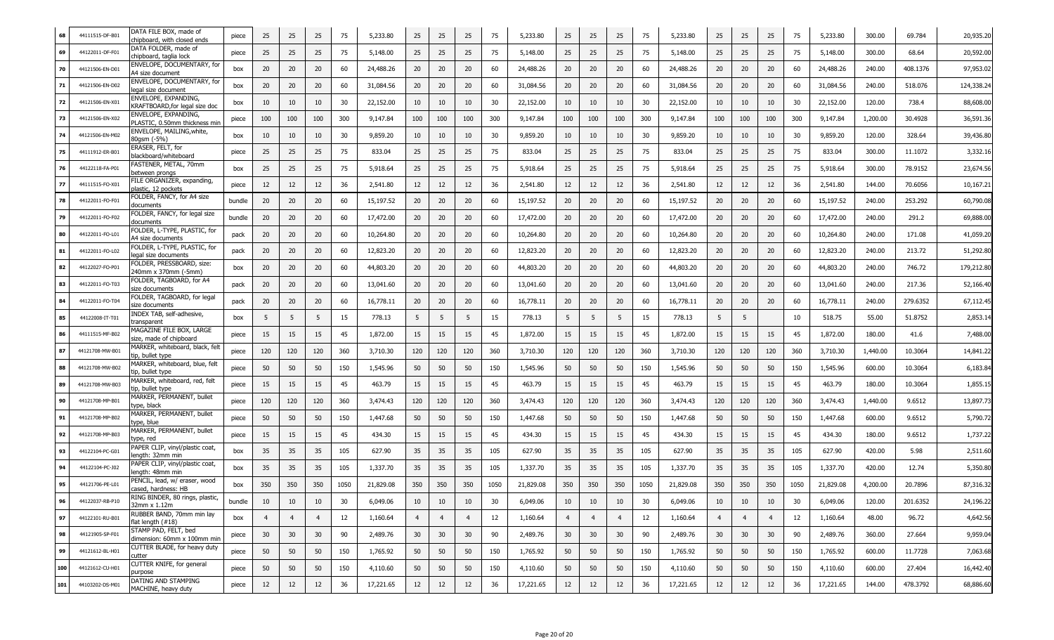| 68  | 44111515-DF-B01 | DATA FILE BOX, made of<br>chipboard, with closed ends  | piece  | 25             | 25             | 25              | 75   | 5,233.80  | 25             | 25             | 25              | 75   | 5,233.80  | 25             | 25             | 25             | 75   | 5,233.80  | 25              | 25             | 25             | 75   | 5,233.80  | 300.00   | 69.784   | 20,935.20  |
|-----|-----------------|--------------------------------------------------------|--------|----------------|----------------|-----------------|------|-----------|----------------|----------------|-----------------|------|-----------|----------------|----------------|----------------|------|-----------|-----------------|----------------|----------------|------|-----------|----------|----------|------------|
| 69  | 44122011-DF-F01 | DATA FOLDER, made of<br>hipboard, taglia lock:         | piece  | 25             | 25             | 25              | 75   | 5,148.00  | 25             | 25             | 25              | 75   | 5,148.00  | 25             | 25             | 25             | 75   | 5,148.00  | 25              | 25             | 25             | 75   | 5,148.00  | 300.00   | 68.64    | 20,592.00  |
| 70  | 44121506-EN-D01 | ENVELOPE, DOCUMENTARY, for<br>44 size document         | box    | 20             | 20             | 20 <sub>2</sub> | 60   | 24,488.26 | 20             | 20             | 20 <sub>2</sub> | 60   | 24,488.26 | 20             | 20             | 20             | 60   | 24,488.26 | 20              | 20             | 20             | 60   | 24,488.26 | 240.00   | 408.1376 | 97,953.02  |
| 71  | 44121506-EN-D02 | ENVELOPE, DOCUMENTARY, for<br>legal size document      | box    | 20             | 20             | 20 <sub>2</sub> | 60   | 31,084.56 | 20             | 20             | 20 <sub>2</sub> | 60   | 31,084.56 | 20             | 20             | 20             | 60   | 31,084.56 | 20              | 20             | 20             | 60   | 31,084.56 | 240.00   | 518.076  | 124,338.24 |
| 72  | 44121506-EN-X01 | ENVELOPE, EXPANDING,<br>KRAFTBOARD, for legal size doc | box    | 10             | 10             | 10              | 30   | 22,152.00 | 10             | 10             | 10              | 30   | 22,152.00 | 10             | 10             | 10             | 30   | 22,152.00 | 10              | 10             | 10             | 30   | 22,152.00 | 120.00   | 738.4    | 88,608.00  |
| 73  | 44121506-EN-X02 | ENVELOPE, EXPANDING,<br>PLASTIC, 0.50mm thickness min  | piece  | 100            | 100            | 100             | 300  | 9,147.84  | 100            | 100            | 100             | 300  | 9,147.84  | 100            | 100            | 100            | 300  | 9,147.84  | 100             | 100            | 100            | 300  | 9,147.84  | 1,200.00 | 30.4928  | 36,591.36  |
| 74  | 44121506-EN-M02 | ENVELOPE, MAILING, white,<br>30qsm (-5%)               | box    | 10             | 10             | 10              | 30   | 9,859.20  | 10             | 10             | 10              | 30   | 9,859.20  | 10             | 10             | 10             | 30   | 9,859.20  | 10              | 10             | 10             | 30   | 9,859.20  | 120.00   | 328.64   | 39,436.80  |
| 75  | 44111912-ER-B01 | ERASER, FELT, for<br>blackboard/whiteboard             | piece  | 25             | 25             | 25              | 75   | 833.04    | 25             | 25             | 25              | 75   | 833.04    | 25             | 25             | 25             | 75   | 833.04    | 25              | 25             | 25             | 75   | 833.04    | 300.00   | 11.1072  | 3,332.16   |
| 76  | 44122118-FA-P0: | FASTENER, METAL, 70mm<br>between prongs                | box    | 25             | 25             | 25              | 75   | 5,918.64  | 25             | 25             | 25              | 75   | 5,918.64  | 25             | 25             | 25             | 75   | 5,918.64  | 25              | 25             | 25             | 75   | 5,918.64  | 300.00   | 78.9152  | 23,674.56  |
| 77  | 44111515-FO-X01 | FILE ORGANIZER, expanding,<br>»lastic, 12 pockets      | piece  | 12             | 12             | 12              | 36   | 2,541.80  | 12             | 12             | 12              | 36   | 2,541.80  | 12             | 12             | 12             | 36   | 2,541.80  | 12              | 12             | 12             | 36   | 2,541.80  | 144.00   | 70.6056  | 10,167.21  |
| 78  | 44122011-FO-F01 | FOLDER, FANCY, for A4 size<br>documents                | bundle | 20             | 20             | 20              | 60   | 15,197.52 | 20             | 20             | 20              | 60   | 15,197.52 | 20             | 20             | 20             | 60   | 15,197.52 | 20              | 20             | 20             | 60   | 15,197.52 | 240.00   | 253.292  | 60,790.08  |
| 79  | 44122011-FO-F02 | FOLDER, FANCY, for legal size<br>documents             | bundle | 20             | 20             | 20              | 60   | 17,472.00 | 20             | 20             | 20 <sub>2</sub> | 60   | 17,472.00 | 20             | 20             | 20             | 60   | 17,472.00 | 20              | 20             | 20             | 60   | 17,472.00 | 240.00   | 291.2    | 69,888.00  |
| 80  | 44122011-FO-L01 | FOLDER, L-TYPE, PLASTIC, for<br>A4 size documents      | pack   | 20             | 20             | 20              | 60   | 10,264.80 | 20             | 20             | 20              | 60   | 10,264.80 | 20             | 20             | 20             | 60   | 10,264.80 | 20              | 20             | 20             | 60   | 10,264.80 | 240.00   | 171.08   | 41,059.20  |
|     | 44122011-FO-L02 | FOLDER, L-TYPE, PLASTIC, for<br>legal size documents   | pack   | 20             | 20             | 20              | 60   | 12,823.20 | 20             | 20             | 20              | 60   | 12,823.20 | 20             | 20             | 20             | 60   | 12,823.20 | 20              | 20             | 20             | 60   | 12,823.20 | 240.00   | 213.72   | 51,292.80  |
| 82  | 44122027-FO-P01 | FOLDER, PRESSBOARD, size:<br>240mm x 370mm (-5mm)      | box    | 20             | 20             | 20 <sub>2</sub> | 60   | 44,803.20 | 20             | 20             | 20 <sub>2</sub> | 60   | 44,803.20 | 20             | 20             | 20             | 60   | 44,803.20 | 20              | 20             | 20             | 60   | 44,803.20 | 240.00   | 746.72   | 179,212.80 |
| 83  | 44122011-FO-T03 | OLDER, TAGBOARD, for A4<br>size documents              | pack   | 20             | 20             | 20              | 60   | 13,041.60 | 20             | 20             | 20              | 60   | 13,041.60 | 20             | 20             | 20             | 60   | 13,041.60 | 20              | 20             | 20             | 60   | 13,041.60 | 240.00   | 217.36   | 52,166.40  |
| 84  | 44122011-FO-T04 | FOLDER, TAGBOARD, for legal<br>size documents          | pack   | 20             | 20             | 20              | 60   | 16,778.11 | 20             | 20             | 20              | 60   | 16,778.11 | 20             | 20             | 20             | 60   | 16,778.11 | 20              | 20             | 20             | 60   | 16,778.11 | 240.00   | 279.6352 | 67,112.45  |
| 85  | 44122008-IT-T01 | INDEX TAB, self-adhesive,<br>transparent               | box    | 5              | 5              | 5               | 15   | 778.13    | 5              | 5              | 5               | 15   | 778.13    | 5              | 5              | 5              | 15   | 778.13    | 5               | 5              |                | 10   | 518.75    | 55.00    | 51.8752  | 2,853.14   |
| 86  | 44111515-MF-B02 | MAGAZINE FILE BOX, LARGE<br>size, made of chipboard    | piece  | 15             | 15             | 15              | 45   | 1,872.00  | 15             | 15             | 15              | 45   | 1,872.00  | 15             | 15             | 15             | 45   | 1,872.00  | 15              | 15             | 15             | 45   | 1,872.00  | 180.00   | 41.6     | 7,488.00   |
| 87  | 44121708-MW-B01 | MARKER, whiteboard, black, felt<br>ip, bullet type:    | piece  | 120            | 120            | 120             | 360  | 3,710.30  | 120            | 120            | 120             | 360  | 3,710.30  | 120            | 120            | 120            | 360  | 3,710.30  | 120             | 120            | 120            | 360  | 3,710.30  | 1,440.00 | 10.3064  | 14,841.22  |
| 88  | 44121708-MW-B02 | MARKER, whiteboard, blue, felt<br>ip, bullet type:     | piece  | 50             | 50             | 50              | 150  | 1,545.96  | 50             | 50             | 50              | 150  | 1,545.96  | 50             | 50             | 50             | 150  | 1,545.96  | 50              | 50             | 50             | 150  | 1,545.96  | 600.00   | 10.3064  | 6,183.84   |
| 89  | 44121708-MW-B03 | MARKER, whiteboard, red, felt<br>ip, bullet type:      | piece  | 15             | 15             | 15              | 45   | 463.79    | 15             | 15             | 15              | 45   | 463.79    | 15             | 15             | 15             | 45   | 463.79    | 15              | 15             | 15             | 45   | 463.79    | 180.00   | 10.3064  | 1,855.15   |
| 90  | 44121708-MP-B01 | MARKER, PERMANENT, bullet<br>ype, black                | piece  | 120            | 120            | 120             | 360  | 3,474.43  | 120            | 120            | 120             | 360  | 3,474.43  | 120            | 120            | 120            | 360  | 3,474.43  | 120             | 120            | 120            | 360  | 3,474.43  | 1,440.00 | 9.6512   | 13,897.73  |
| 91  | 44121708-MP-B02 | MARKER, PERMANENT, bullet<br>ype, blue:                | piece  | 50             | 50             | 50              | 150  | 1,447.68  | 50             | 50             | 50              | 150  | 1,447.68  | 50             | 50             | 50             | 150  | 1,447.68  | 50              | 50             | 50             | 150  | 1,447.68  | 600.00   | 9.6512   | 5,790.72   |
| 92  | 44121708-MP-B03 | MARKER, PERMANENT, bullet<br>ype, red:                 | piece  | 15             | 15             | 15              | 45   | 434.30    | 15             | 15             | 15              | 45   | 434.30    | 15             | 15             | 15             | 45   | 434.30    | 15              | 15             | 15             | 45   | 434.30    | 180.00   | 9.6512   | 1,737.22   |
| 93  | 44122104-PC-G01 | PAPER CLIP, vinyl/plastic coat,<br>enath: 32mm min     | box    | 35             | 35             | 35              | 105  | 627.90    | 35             | 35             | 35              | 105  | 627.90    | 35             | 35             | 35             | 105  | 627.90    | 35              | 35             | 35             | 105  | 627.90    | 420.00   | 5.98     | 2,511.60   |
| 94  | 44122104-PC-J02 | PAPER CLIP, vinyl/plastic coat,<br>length: 48mm min    | box    | 35             | 35             | 35              | 105  | 1,337.70  | 35             | 35             | 35              | 105  | 1,337.70  | 35             | 35             | 35             | 105  | 1,337.70  | 35              | 35             | 35             | 105  | 1,337.70  | 420.00   | 12.74    | 5,350.80   |
| 95  | 44121706-PE-L01 | PENCIL, lead, w/ eraser, wood<br>cased, hardness: HB   | box    | 350            | 350            | 350             | 1050 | 21,829.08 | 350            | 350            | 350             | 1050 | 21,829.08 | 350            | 350            | 350            | 1050 | 21,829.08 | 350             | 350            | 350            | 1050 | 21,829.08 | 4,200.00 | 20.7896  | 87,316.32  |
| 96  | 44122037-RB-P10 | RING BINDER, 80 rings, plastic,<br>32mm x 1.12m        | bundle | 10             | 10             | 10              | 30   | 6,049.06  | 10             | 10             | 10              | 30   | 6,049.06  | 10             | 10             | 10             | 30   | 6,049.06  | 10              | 10             | 10             | 30   | 6,049.06  | 120.00   | 201.6352 | 24,196.22  |
| 97  | 44122101-RU-B01 | RUBBER BAND, 70mm min lay<br>flat length $(+18)$       | box    | $\overline{4}$ | $\overline{4}$ | $\overline{4}$  | 12   | 1,160.64  | $\overline{4}$ | $\overline{4}$ | $\overline{4}$  | 12   | 1,160.64  | $\overline{4}$ | $\overline{4}$ | $\overline{4}$ | 12   | 1,160.64  | $\overline{4}$  | $\overline{4}$ | $\overline{4}$ | 12   | 1,160.64  | 48.00    | 96.72    | 4,642.56   |
| 98  | 44121905-SP-F01 | STAMP PAD, FELT, bed<br>dimension: 60mm x 100mm min    | piece  | 30             | 30             | 30 <sup>°</sup> | 90   | 2,489.76  | 30             | 30             | 30 <sup>°</sup> | 90   | 2,489.76  | 30             | 30             | 30             | 90   | 2,489.76  | 30 <sup>°</sup> | 30             | 30             | 90   | 2,489.76  | 360.00   | 27.664   | 9,959.04   |
| 99  | 44121612-BL-H01 | CUTTER BLADE, for heavy duty<br>cutter                 | piece  | 50             | 50             | 50              | 150  | 1,765.92  | 50             | 50             | 50              | 150  | 1,765.92  | 50             | 50             | 50             | 150  | 1,765.92  | 50              | 50             | 50             | 150  | 1,765.92  | 600.00   | 11.7728  | 7,063.68   |
| 100 | 44121612-CU-H01 | CUTTER KNIFE, for general<br>purpose                   | piece  | 50             | 50             | 50              | 150  | 4,110.60  | 50             | 50             | 50              | 150  | 4,110.60  | 50             | 50             | 50             | 150  | 4,110.60  | 50              | 50             | 50             | 150  | 4,110.60  | 600.00   | 27.404   | 16,442.40  |
| 101 | 44103202-DS-M01 | DATING AND STAMPING<br>MACHINE, heavy duty             | piece  | 12             | 12             | 12              | 36   | 17,221.65 | 12             | 12             | 12              | 36   | 17,221.65 | 12             | 12             | 12             | 36   | 17,221.65 | 12              | 12             | 12             | 36   | 17,221.65 | 144.00   | 478.3792 | 68,886.60  |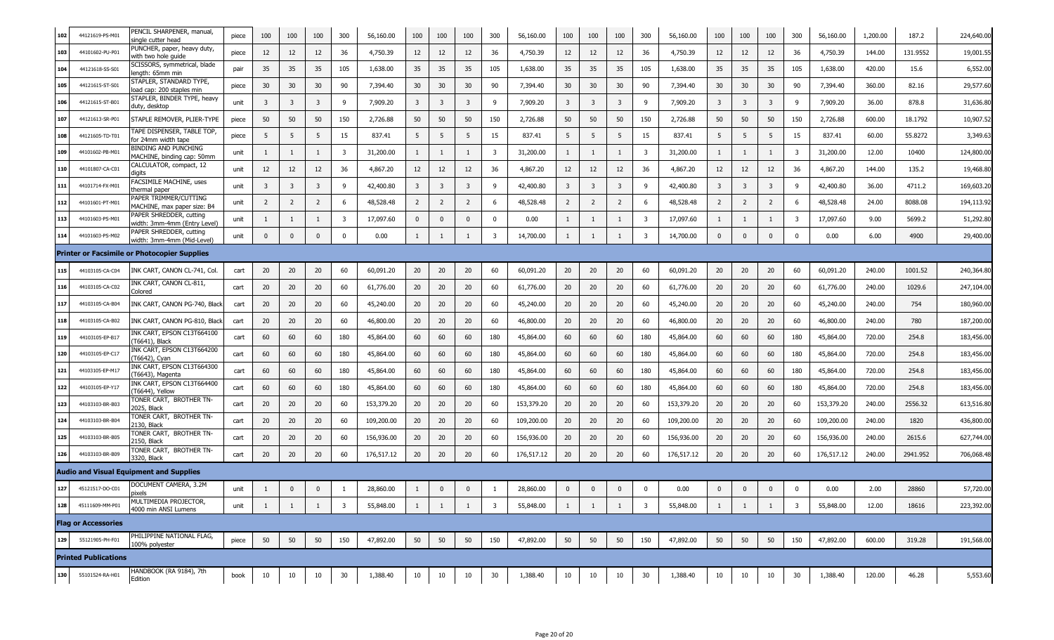| 102 | 44121619-PS-M01             | PENCIL SHARPENER, manual,<br>single cutter head          | piece | 100            | 100          | 100            | 300                     | 56,160.00  | 100                     | 100          | 100                     | 300 | 56,160.00  | 100            | 100            | 100          | 300      | 56,160.00  | 100                     | 100          | 100          | 300                     | 56,160.00  | 1,200.00 | 187.2    | 224,640.00 |
|-----|-----------------------------|----------------------------------------------------------|-------|----------------|--------------|----------------|-------------------------|------------|-------------------------|--------------|-------------------------|-----|------------|----------------|----------------|--------------|----------|------------|-------------------------|--------------|--------------|-------------------------|------------|----------|----------|------------|
| 103 | 44101602-PU-P01             | PUNCHER, paper, heavy duty,<br>with two hole guide       | piece | 12             | 12           | 12             | 36                      | 4,750.39   | 12                      | 12           | 12                      | 36  | 4,750.39   | 12             | 12             | 12           | 36       | 4,750.39   | 12                      | 12           | 12           | 36                      | 4,750.39   | 144.00   | 131.9552 | 19,001.55  |
| 104 | 44121618-SS-S01             | SCISSORS, symmetrical, blade<br>ength: 65mm min          | pair  | 35             | 35           | 35             | 105                     | 1,638.00   | 35                      | 35           | 35                      | 105 | 1,638.00   | 35             | 35             | 35           | 105      | 1,638.00   | 35                      | 35           | 35           | 105                     | 1,638.00   | 420.00   | 15.6     | 6,552.00   |
| 105 | 44121615-ST-S01             | STAPLER, STANDARD TYPE,<br>load cap: 200 staples min     | piece | 30             | 30           | 30             | 90                      | 7,394.40   | 30                      | 30           | 30                      | 90  | 7,394.40   | 30             | 30             | 30           | 90       | 7,394.40   | 30                      | 30           | 30           | 90                      | 7,394.40   | 360.00   | 82.16    | 29,577.60  |
| 106 | 44121615-ST-B0              | STAPLER, BINDER TYPE, heavy<br>duty, desktop             | unit  | 3              | 3            | $\overline{3}$ | 9                       | 7,909.20   | $\overline{\mathbf{3}}$ | 3            | $\overline{3}$          | 9   | 7,909.20   | $\overline{3}$ | 3              | 3            | 9        | 7,909.20   | $\overline{\mathbf{3}}$ | 3            | 3            | 9                       | 7,909.20   | 36.00    | 878.8    | 31,636.80  |
| 107 | 44121613-SR-P01             | STAPLE REMOVER, PLIER-TYPE                               | piece | 50             | 50           | 50             | 150                     | 2,726.88   | 50                      | 50           | 50                      | 150 | 2,726.88   | 50             | 50             | 50           | 150      | 2,726.88   | 50                      | 50           | 50           | 150                     | 2,726.88   | 600.00   | 18.1792  | 10,907.52  |
| 108 | 44121605-TD-T01             | <b>TAPE DISPENSER, TABLE TOP,</b><br>for 24mm width tape | piece | 5              | 5            | 5              | 15                      | 837.41     | 5                       | 5            | -5                      | 15  | 837.41     | 5              | 5              | 5            | 15       | 837.41     | 5                       | 5            | 5            | 15                      | 837.41     | 60.00    | 55.8272  | 3,349.63   |
| 109 | 44101602-PB-M0:             | BINDING AND PUNCHING<br>MACHINE, binding cap: 50mm       | unit  | -1             | 1            | 1              | $\overline{\mathbf{3}}$ | 31,200.00  | 1                       | 1            | -1                      | 3   | 31,200.00  | 1              | 1              | 1            | 3        | 31,200.00  | 1                       | 1            | -1           | $\overline{\mathbf{3}}$ | 31,200.00  | 12.00    | 10400    | 124,800.00 |
| 110 | 44101807-CA-C01             | CALCULATOR, compact, 12<br>digits                        | unit  | 12             | 12           | 12             | 36                      | 4,867.20   | 12                      | 12           | 12                      | 36  | 4,867.20   | 12             | 12             | 12           | 36       | 4,867.20   | 12                      | 12           | 12           | 36                      | 4,867.20   | 144.00   | 135.2    | 19,468.80  |
| 111 | 44101714-FX-M01             | FACSIMILE MACHINE, uses<br>hermal paper.                 | unit  | 3              | 3            | 3              | 9                       | 42,400.80  | 3                       | 3            | $\overline{\mathbf{3}}$ | 9   | 42,400.80  | 3              | -3             | 3            | 9        | 42,400.80  | 3                       | 3            | 3            | 9                       | 42,400.80  | 36.00    | 4711.2   | 169,603.20 |
| 112 | 44101601-PT-M01             | PAPER TRIMMER/CUTTING<br>MACHINE, max paper size: B4     | unit  | $\overline{2}$ | 2            | $\overline{2}$ | 6                       | 48,528.48  | $\overline{2}$          | 2            | $\overline{2}$          | 6   | 48,528.48  | $\overline{2}$ | $\overline{2}$ | 2            | -6       | 48,528.48  | $\overline{2}$          | 2            | 2            | 6                       | 48,528.48  | 24.00    | 8088.08  | 194,113.92 |
| 113 | 44101603-PS-M01             | PAPER SHREDDER, cutting<br>width: 3mm-4mm (Entry Level)  | unit  |                |              |                | 3                       | 17,097.60  | $\mathbf{0}$            | $\mathbf{0}$ | $\mathbf{0}$            | 0   | 0.00       | 1              |                |              | 3        | 17,097.60  | 1                       |              | -1           | $\overline{\mathbf{3}}$ | 17,097.60  | 9.00     | 5699.2   | 51,292.80  |
| 114 | 44101603-PS-M02             | PAPER SHREDDER, cutting<br>width: 3mm-4mm (Mid-Level)    | unit  | $\mathbf 0$    | $\mathbf{0}$ | $\mathbf{0}$   | 0                       | 0.00       | $\mathbf{1}$            | 1            | -1                      | 3   | 14,700.00  |                | 1              | $\mathbf{1}$ | 3        | 14,700.00  | $\mathbf 0$             | $\mathbf 0$  | $\mathbf{0}$ | $\mathbf 0$             | 0.00       | 6.00     | 4900     | 29,400.00  |
|     |                             | Printer or Facsimile or Photocopier Supplies             |       |                |              |                |                         |            |                         |              |                         |     |            |                |                |              |          |            |                         |              |              |                         |            |          |          |            |
| 115 | 44103105-CA-C04             | INK CART, CANON CL-741, Col.                             | cart  | 20             | 20           | 20             | 60                      | 60,091.20  | 20                      | 20           | 20                      | 60  | 60,091.20  | 20             | 20             | 20           | 60       | 60,091.20  | 20                      | 20           | 20           | 60                      | 60,091.20  | 240.00   | 1001.52  | 240,364.80 |
| 116 | 44103105-CA-C02             | INK CART, CANON CL-811,<br>Colored                       | cart  | 20             | 20           | 20             | 60                      | 61,776.00  | 20                      | 20           | 20                      | 60  | 61,776.00  | 20             | 20             | 20           | 60       | 61,776.00  | 20                      | 20           | 20           | 60                      | 61,776.00  | 240.00   | 1029.6   | 247,104.00 |
| 117 | 44103105-CA-B04             | INK CART, CANON PG-740, Black                            | cart  | 20             | 20           | 20             | 60                      | 45,240.00  | 20                      | 20           | 20                      | 60  | 45,240.00  | 20             | 20             | 20           | 60       | 45,240.00  | 20                      | 20           | 20           | 60                      | 45,240.00  | 240.00   | 754      | 180,960.00 |
| 118 | 44103105-CA-B02             | INK CART, CANON PG-810, Black                            | cart  | 20             | 20           | 20             | 60                      | 46,800.00  | 20                      | 20           | 20                      | 60  | 46,800.00  | 20             | 20             | 20           | 60       | 46,800.00  | 20                      | 20           | 20           | 60                      | 46,800.00  | 240.00   | 780      | 187,200.00 |
| 119 | 44103105-EP-B17             | INK CART, EPSON C13T664100<br>T6641), Black              | cart  | 60             | 60           | 60             | 180                     | 45,864.00  | 60                      | 60           | 60                      | 180 | 45,864.00  | 60             | 60             | 60           | 180      | 45,864.00  | 60                      | 60           | 60           | 180                     | 45,864.00  | 720.00   | 254.8    | 183,456.00 |
| 120 | 44103105-EP-C1              | INK CART, EPSON C13T664200<br>T6642), Cyan               | cart  | 60             | 60           | 60             | 180                     | 45,864.00  | 60                      | 60           | 60                      | 180 | 45,864.00  | 60             | 60             | 60           | 180      | 45,864.00  | 60                      | 60           | 60           | 180                     | 45,864.00  | 720.00   | 254.8    | 183,456.00 |
| 121 | 44103105-EP-M17             | INK CART, EPSON C13T664300<br>T6643), Magenta            | cart  | 60             | 60           | 60             | 180                     | 45,864.00  | 60                      | 60           | 60                      | 180 | 45,864.00  | 60             | 60             | 60           | 180      | 45,864.00  | 60                      | 60           | 60           | 180                     | 45,864.00  | 720.00   | 254.8    | 183,456.00 |
| 122 | 44103105-EP-Y17             | INK CART, EPSON C13T664400<br>T6644), Yellow             | cart  | 60             | 60           | 60             | 180                     | 45,864.00  | 60                      | 60           | 60                      | 180 | 45,864.00  | 60             | 60             | 60           | 180      | 45,864.00  | 60                      | 60           | 60           | 180                     | 45,864.00  | 720.00   | 254.8    | 183,456.00 |
| 123 | 44103103-BR-B03             | ONER CART, BROTHER TN-<br>2025, Black                    | cart  | 20             | 20           | 20             | 60                      | 153,379.20 | 20                      | 20           | 20                      | 60  | 153,379.20 | 20             | 20             | 20           | 60       | 153,379.20 | 20                      | 20           | 20           | 60                      | 153,379.20 | 240.00   | 2556.32  | 613,516.80 |
| 124 | 44103103-BR-B04             | TONER CART, BROTHER TN-<br>2130, Black                   | cart  | 20             | 20           | 20             | 60                      | 109,200.00 | 20                      | 20           | 20                      | 60  | 109,200.00 | 20             | 20             | 20           | 60       | 109,200.00 | 20                      | 20           | 20           | 60                      | 109,200.00 | 240.00   | 1820     | 436,800.00 |
| 125 | 44103103-BR-B05             | TONER CART, BROTHER TN-<br>150, Black                    | cart  | 20             | 20           | 20             | 60                      | 156,936.00 | 20                      | 20           | 20                      | 60  | 156,936.00 | 20             | 20             | 20           | 60       | 156,936.00 | 20                      | 20           | 20           | 60                      | 156,936.00 | 240.00   | 2615.6   | 627,744.00 |
| 126 | 44103103-BR-B09             | TONER CART, BROTHER TN-<br>3320, Black                   | cart  | 20             | 20           | 20             | 60                      | 176,517.12 | 20                      | 20           | 20                      | 60  | 176,517.12 | 20             | 20             | 20           | 60       | 176,517.12 | 20                      | 20           | 20           | 60                      | 176,517.12 | 240.00   | 2941.952 | 706,068.48 |
|     |                             | Audio and Visual Equipment and Supplies                  |       |                |              |                |                         |            |                         |              |                         |     |            |                |                |              |          |            |                         |              |              |                         |            |          |          |            |
| 127 | 45121517-DO-C01             | DOCUMENT CAMERA, 3.2M<br>pixels                          | unit  |                | $\Omega$     | $\mathbf{0}$   |                         | 28,860.00  | $\mathbf{1}$            | $\mathbf{0}$ | $\mathbf{0}$            |     | 28,860.00  | $\mathbf{0}$   | $\mathbf{0}$   | $\mathbf{0}$ | $\Omega$ | 0.00       | 0                       | $\mathbf{0}$ | $\mathbf{0}$ | $\overline{0}$          | 0.00       | 2.00     | 28860    | 57,720.00  |
| 128 | 45111609-MM-P01             | MULTIMEDIA PROJECTOR,<br>4000 min ANSI Lumens            | unit  | 1              | $\mathbf{1}$ | 1              | $\overline{\mathbf{3}}$ | 55,848.00  | $\mathbf{1}$            | $\mathbf{1}$ | 1                       | 3   | 55,848.00  | 1              | 1              | $\mathbf{1}$ | 3        | 55,848.00  | 1                       | $\mathbf{1}$ | 1            | $\overline{3}$          | 55,848.00  | 12.00    | 18616    | 223,392.00 |
|     | <b>Flag or Accessories</b>  |                                                          |       |                |              |                |                         |            |                         |              |                         |     |            |                |                |              |          |            |                         |              |              |                         |            |          |          |            |
| 129 | 55121905-PH-F01             | PHILIPPINE NATIONAL FLAG,<br>.00% polyester              | piece | 50             | 50           | 50             | 150                     | 47,892.00  | 50                      | 50           | 50                      | 150 | 47,892.00  | 50             | 50             | 50           | 150      | 47,892.00  | 50                      | 50           | 50           | 150                     | 47,892.00  | 600.00   | 319.28   | 191,568.00 |
|     | <b>Printed Publications</b> |                                                          |       |                |              |                |                         |            |                         |              |                         |     |            |                |                |              |          |            |                         |              |              |                         |            |          |          |            |
| 130 | 55101524-RA-H01             | HANDBOOK (RA 9184), 7th<br>Edition                       | book  | 10             | 10           | 10             | 30                      | 1,388.40   | 10                      | 10           | 10                      | 30  | 1,388.40   | 10             | 10             | 10           | 30       | 1,388.40   | 10                      | 10           | 10           | 30                      | 1,388.40   | 120.00   | 46.28    | 5,553.60   |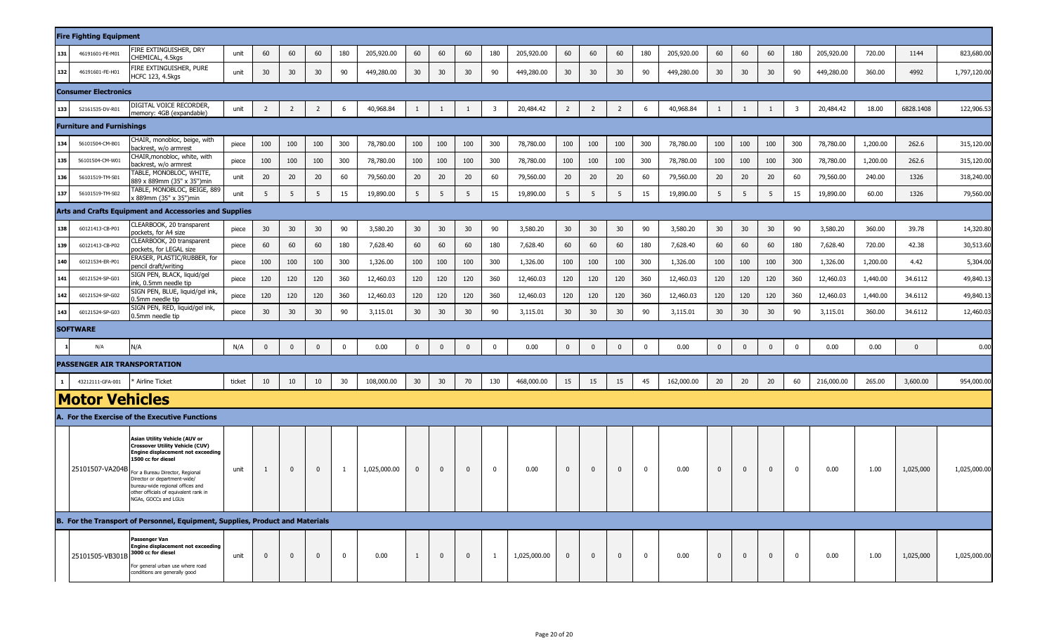|              | <b>Fire Fighting Equipment</b>      |                                                                                                                                                                                                                                                                                                            |        |                |                |                 |              |              |             |                |              |                         |              |                 |                |              |                |            |              |             |              |                         |            |          |           |              |
|--------------|-------------------------------------|------------------------------------------------------------------------------------------------------------------------------------------------------------------------------------------------------------------------------------------------------------------------------------------------------------|--------|----------------|----------------|-----------------|--------------|--------------|-------------|----------------|--------------|-------------------------|--------------|-----------------|----------------|--------------|----------------|------------|--------------|-------------|--------------|-------------------------|------------|----------|-----------|--------------|
| 131          | 46191601-FE-M01                     | <b>IRE EXTINGUISHER, DRY</b><br><b>HEMICAL, 4.5kgs</b>                                                                                                                                                                                                                                                     | unit   | 60             | 60             | 60              | 180          | 205,920.00   | 60          | 60             | 60           | 180                     | 205,920.00   | 60              | 60             | 60           | 180            | 205,920.00 | 60           | 60          | 60           | 180                     | 205,920.00 | 720.00   | 1144      | 823,680.00   |
| 132          | 46191601-FE-H01                     | FIRE EXTINGUISHER, PURE<br><b>ICFC 123, 4.5kgs</b>                                                                                                                                                                                                                                                         | unit   | 30             | 30             | 30              | 90           | 449,280.00   | 30          | 30             | 30           | 90                      | 449,280.00   | 30 <sup>2</sup> | 30             | 30           | 90             | 449,280.00 | 30           | 30          | 30           | 90                      | 449,280.00 | 360.00   | 4992      | 1,797,120.00 |
|              | <b>Consumer Electronics</b>         |                                                                                                                                                                                                                                                                                                            |        |                |                |                 |              |              |             |                |              |                         |              |                 |                |              |                |            |              |             |              |                         |            |          |           |              |
| 133          | 52161535-DV-R01                     | DIGITAL VOICE RECORDER,<br>memory: 4GB (expandable)                                                                                                                                                                                                                                                        | unit   | $\overline{2}$ | $\overline{2}$ | $\overline{2}$  | 6            | 40,968.84    | 1           | 1              | -1           | $\overline{\mathbf{3}}$ | 20,484.42    | $\overline{2}$  | $\overline{2}$ | 2            | 6              | 40,968.84  | 1            | 1           | 1            | $\overline{\mathbf{3}}$ | 20,484.42  | 18.00    | 6828.1408 | 122,906.53   |
|              | <b>Furniture and Furnishings</b>    |                                                                                                                                                                                                                                                                                                            |        |                |                |                 |              |              |             |                |              |                         |              |                 |                |              |                |            |              |             |              |                         |            |          |           |              |
| 134          | 56101504-CM-B01                     | CHAIR, monobloc, beige, with<br>backrest, w/o armrest                                                                                                                                                                                                                                                      | piece  | 100            | 100            | 100             | 300          | 78,780.00    | 100         | 100            | 100          | 300                     | 78,780.00    | 100             | 100            | 100          | 300            | 78,780.00  | 100          | 100         | 100          | 300                     | 78,780.00  | 1,200.00 | 262.6     | 315,120.00   |
| 135          | 56101504-CM-W01                     | CHAIR, monobloc, white, with<br>backrest, w/o armrest                                                                                                                                                                                                                                                      | piece  | 100            | 100            | 100             | 300          | 78,780.00    | 100         | 100            | 100          | 300                     | 78,780.00    | 100             | 100            | 100          | 300            | 78,780.00  | 100          | 100         | 100          | 300                     | 78,780.00  | 1,200.00 | 262.6     | 315,120.00   |
| 136          | 56101519-TM-S01                     | <b>TABLE, MONOBLOC, WHITE,</b><br>889 x 889mm (35" x 35")min                                                                                                                                                                                                                                               | unit   | 20             | 20             | 20              | 60           | 79,560.00    | 20          | 20             | 20           | 60                      | 79,560.00    | 20              | 20             | 20           | 60             | 79,560.00  | 20           | 20          | 20           | 60                      | 79,560.00  | 240.00   | 1326      | 318,240.00   |
| 137          | 56101519-TM-S02                     | TABLE, MONOBLOC, BEIGE, 889<br>889mm (35" x 35")min                                                                                                                                                                                                                                                        | unit   | 5              | 5              | 5               | 15           | 19,890.00    | 5           | 5 <sup>5</sup> | 5            | 15                      | 19,890.00    | 5               | 5              | 5            | 15             | 19,890.00  | 5            | 5           | 5            | 15                      | 19,890.00  | 60.00    | 1326      | 79,560.00    |
|              |                                     | <b>Arts and Crafts Equipment and Accessories and Supplies</b>                                                                                                                                                                                                                                              |        |                |                |                 |              |              |             |                |              |                         |              |                 |                |              |                |            |              |             |              |                         |            |          |           |              |
| 138          | 60121413-CB-P01                     | CLEARBOOK, 20 transparent<br>pockets, for A4 size                                                                                                                                                                                                                                                          | piece  | 30             | 30             | 30 <sup>°</sup> | 90           | 3,580.20     | 30          | 30             | 30           | 90                      | 3,580.20     | 30              | 30             | 30           | 90             | 3,580.20   | 30           | 30          | 30           | 90                      | 3,580.20   | 360.00   | 39.78     | 14,320.80    |
| 139          | 60121413-CB-P02                     | CLEARBOOK, 20 transparent<br>pockets, for LEGAL size                                                                                                                                                                                                                                                       | piece  | 60             | 60             | 60              | 180          | 7,628.40     | 60          | 60             | 60           | 180                     | 7,628.40     | 60              | 60             | 60           | 180            | 7,628.40   | 60           | 60          | 60           | 180                     | 7,628.40   | 720.00   | 42.38     | 30,513.60    |
| 140          | 60121534-ER-P01                     | ERASER, PLASTIC/RUBBER, for<br>bencil draft/writing                                                                                                                                                                                                                                                        | piece  | 100            | 100            | 100             | 300          | 1,326.00     | 100         | 100            | 100          | 300                     | 1,326.00     | 100             | 100            | 100          | 300            | 1,326.00   | 100          | 100         | 100          | 300                     | 1,326.00   | 1,200.00 | 4.42      | 5,304.00     |
| 141          | 60121524-SP-G01                     | SIGN PEN, BLACK, liquid/gel<br>nk, 0.5mm needle tip                                                                                                                                                                                                                                                        | piece  | 120            | 120            | 120             | 360          | 12,460.03    | 120         | 120            | 120          | 360                     | 12,460.03    | 120             | 120            | 120          | 360            | 12,460.03  | 120          | 120         | 120          | 360                     | 12,460.03  | 1,440.00 | 34.6112   | 49,840.13    |
| 142          | 60121524-SP-G02                     | SIGN PEN, BLUE, liquid/gel ink,<br>.5mm needle tip                                                                                                                                                                                                                                                         | piece  | 120            | 120            | 120             | 360          | 12,460.03    | 120         | 120            | 120          | 360                     | 12,460.03    | 120             | 120            | 120          | 360            | 12,460.03  | 120          | 120         | 120          | 360                     | 12,460.03  | 1,440.00 | 34.6112   | 49,840.13    |
| 143          | 60121524-SP-G03                     | SIGN PEN, RED, liquid/gel ink,<br>0.5mm needle tip                                                                                                                                                                                                                                                         | piece  | 30             | 30             | 30              | 90           | 3,115.01     | 30          | 30             | 30           | 90                      | 3,115.01     | 30 <sup>°</sup> | 30             | 30           | 90             | 3,115.01   | 30           | 30          | 30           | 90                      | 3,115.01   | 360.00   | 34.6112   | 12,460.03    |
|              | <b>SOFTWARE</b>                     |                                                                                                                                                                                                                                                                                                            |        |                |                |                 |              |              |             |                |              |                         |              |                 |                |              |                |            |              |             |              |                         |            |          |           |              |
|              | N/A                                 | N/A                                                                                                                                                                                                                                                                                                        | N/A    | $\mathbf 0$    | $\mathbf 0$    | $\mathbf 0$     | $\mathbf 0$  | 0.00         | $\mathbf 0$ | $\mathbf 0$    | $\mathbf{0}$ | $\mathbf 0$             | 0.00         | $\mathbf{0}$    | $\mathbf 0$    | $\mathbf 0$  | $\mathbf 0$    | 0.00       | $\bf{0}$     | $\mathbf 0$ | $\mathbf 0$  | $\mathbf 0$             | 0.00       | 0.00     | $\Omega$  | 0.00         |
|              | <b>PASSENGER AIR TRANSPORTATION</b> |                                                                                                                                                                                                                                                                                                            |        |                |                |                 |              |              |             |                |              |                         |              |                 |                |              |                |            |              |             |              |                         |            |          |           |              |
| $\mathbf{1}$ | 43212111-GFA-001                    | * Airline Ticket                                                                                                                                                                                                                                                                                           | ticket | 10             | 10             | 10              | 30           | 108,000.00   | 30          | 30             | 70           | 130                     | 468,000.00   | 15              | 15             | 15           | 45             | 162,000.00 | 20           | 20          | 20           | 60                      | 216,000.00 | 265.00   | 3,600.00  | 954,000.00   |
|              | <b>Motor Vehicles</b>               |                                                                                                                                                                                                                                                                                                            |        |                |                |                 |              |              |             |                |              |                         |              |                 |                |              |                |            |              |             |              |                         |            |          |           |              |
|              |                                     | A. For the Exercise of the Executive Functions                                                                                                                                                                                                                                                             |        |                |                |                 |              |              |             |                |              |                         |              |                 |                |              |                |            |              |             |              |                         |            |          |           |              |
|              | 25101507-VA204B                     | Asian Utility Vehicle (AUV or<br><b>Crossover Utility Vehicle (CUV)</b><br>Engine displacement not exceeding<br>1500 cc for diesel<br>For a Bureau Director, Regional<br>Director or department-wide/<br>bureau-wide regional offices and<br>other officials of equivalent rank in<br>NGAs, GOCCs and LGUs | unit   | $\mathbf{1}$   | $\bf{0}$       | $\mathbf 0$     | $\mathbf{1}$ | 1,025,000.00 | $\mathbf 0$ | $\mathbf{0}$   | $\mathbf{0}$ | $\mathbf 0$             | 0.00         | $\mathbf{0}$    | $\mathbf{0}$   | $\mathbf 0$  | $\mathbf 0$    | 0.00       | $\mathbf{0}$ | $\mathbf 0$ | $\mathbf{0}$ | $\overline{\mathbf{0}}$ | 0.00       | 1.00     | 1,025,000 | 1,025,000.00 |
|              |                                     | B. For the Transport of Personnel, Equipment, Supplies, Product and Materials                                                                                                                                                                                                                              |        |                |                |                 |              |              |             |                |              |                         |              |                 |                |              |                |            |              |             |              |                         |            |          |           |              |
|              | 25101505-VB301B                     | Passenger Van<br><b>Engine displacement not exceeding</b><br>3000 cc for diesel<br>For general urban use where road<br>conditions are generally good                                                                                                                                                       | unit   | $\mathbf{0}$   | $\mathbf{0}$   | $\mathbf 0$     | $\mathbf 0$  | 0.00         |             | $\mathbf{0}$   | $\Omega$     | 1                       | 1,025,000.00 | $\mathbf{0}$    | $\mathbf 0$    | $\mathbf{0}$ | $\overline{0}$ | 0.00       | $\mathbf{0}$ | $\Omega$    | $\mathbf 0$  | $\mathbf 0$             | 0.00       | 1.00     | 1,025,000 | 1,025,000.00 |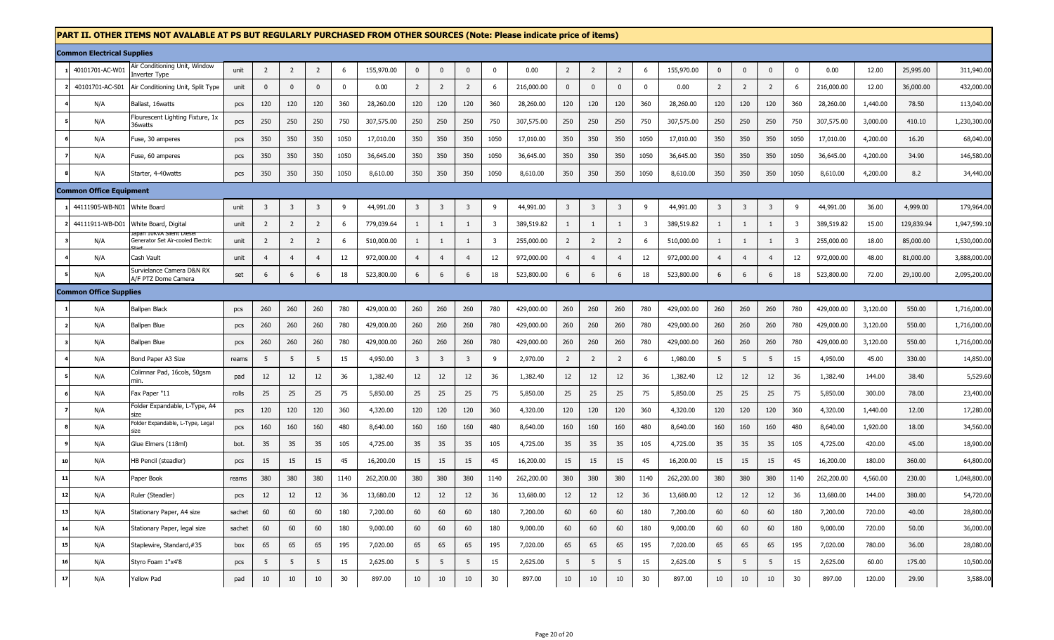## **PART II. OTHER ITEMS NOT AVALABLE AT PS BUT REGULARLY PURCHASED FROM OTHER SOURCES (Note: Please indicate price of items)**

|    | <b>Common Electrical Supplies</b> |                                                       |        |                |                |                |             |            |                  |                |                         |                |            |                |                         |                |                |            |                |                |                |                         |            |          |            |              |
|----|-----------------------------------|-------------------------------------------------------|--------|----------------|----------------|----------------|-------------|------------|------------------|----------------|-------------------------|----------------|------------|----------------|-------------------------|----------------|----------------|------------|----------------|----------------|----------------|-------------------------|------------|----------|------------|--------------|
|    | 40101701-AC-W01                   | Air Conditioning Unit, Window<br><b>Inverter Type</b> | unit   | $\overline{2}$ | $\overline{2}$ | $\overline{2}$ | 6           | 155,970.00 | $\pmb{0}$        | $\Omega$       | $\Omega$                | $\mathbf{0}$   | 0.00       | $\overline{2}$ | $\overline{2}$          | $\overline{2}$ | 6              | 155,970.00 | $\mathbf{0}$   | $\Omega$       | $\Omega$       | $\pmb{0}$               | 0.00       | 12.00    | 25,995.00  | 311,940.00   |
|    | 40101701-AC-S01                   | Air Conditioning Unit, Split Type                     | unit   | $\mathbf{0}$   | $\mathbf 0$    | $\mathbf 0$    | $\mathbf 0$ | 0.00       | $\overline{2}$   | $\overline{2}$ | $\overline{2}$          | 6              | 216,000.00 | $\mathbf 0$    | $\mathbf 0$             | $\mathbf 0$    | $\mathbf 0$    | 0.00       | $\overline{2}$ | $\overline{2}$ | $\overline{2}$ | 6                       | 216,000.00 | 12.00    | 36,000.00  | 432,000.00   |
|    | N/A                               | Ballast, 16watts                                      | pcs    | 120            | 120            | 120            | 360         | 28,260.00  | 120              | 120            | 120                     | 360            | 28,260.00  | 120            | 120                     | 120            | 360            | 28,260.00  | 120            | 120            | 120            | 360                     | 28,260.00  | 1,440.00 | 78.50      | 113,040.00   |
|    | N/A                               | Flourescent Lighting Fixture, 1x<br>36watts           | pcs    | 250            | 250            | 250            | 750         | 307,575.00 | 250              | 250            | 250                     | 750            | 307,575.00 | 250            | 250                     | 250            | 750            | 307,575.00 | 250            | 250            | 250            | 750                     | 307,575.00 | 3,000.00 | 410.10     | 1,230,300.00 |
|    | N/A                               | Fuse, 30 amperes                                      | pcs    | 350            | 350            | 350            | 1050        | 17,010.00  | 350              | 350            | 350                     | 1050           | 17,010.00  | 350            | 350                     | 350            | 1050           | 17,010.00  | 350            | 350            | 350            | 1050                    | 17,010.00  | 4,200.00 | 16.20      | 68,040.00    |
|    | N/A                               | Fuse, 60 amperes                                      | pcs    | 350            | 350            | 350            | 1050        | 36,645.00  | 350              | 350            | 350                     | 1050           | 36,645.00  | 350            | 350                     | 350            | 1050           | 36,645.00  | 350            | 350            | 350            | 1050                    | 36,645.00  | 4,200.00 | 34.90      | 146,580.00   |
|    | N/A                               | Starter, 4-40watts                                    | pcs    | 350            | 350            | 350            | 1050        | 8,610.00   | 350              | 350            | 350                     | 1050           | 8,610.00   | 350            | 350                     | 350            | 1050           | 8,610.00   | 350            | 350            | 350            | 1050                    | 8,610.00   | 4,200.00 | 8.2        | 34,440.00    |
|    | <b>Common Office Equipment</b>    |                                                       |        |                |                |                |             |            |                  |                |                         |                |            |                |                         |                |                |            |                |                |                |                         |            |          |            |              |
|    | 44111905-WB-N01                   | White Board                                           | unit   | $\overline{3}$ | $\overline{3}$ | $\overline{3}$ | 9           | 44,991.00  | $\overline{3}$   | 3              | $\overline{\mathbf{3}}$ | 9              | 44,991.00  | $\overline{3}$ | $\overline{\mathbf{3}}$ | $\overline{3}$ | 9              | 44,991.00  | $\overline{3}$ | 3              | 3              | 9                       | 44,991.00  | 36.00    | 4,999.00   | 179,964.00   |
|    |                                   | 44111911-WB-D01 White Board, Digital                  | unit   | $\overline{2}$ | $\overline{2}$ | $\overline{2}$ | 6           | 779,039.64 | $\mathbf{1}$     | $\mathbf{1}$   | 1                       | 3              | 389,519.82 | 1              | 1                       | 1              | $\overline{3}$ | 389,519.82 | -1             | 1              | -1             | $\overline{\mathbf{3}}$ | 389,519.82 | 15.00    | 129,839.94 | 1,947,599.10 |
|    | N/A                               | idan Tukvi<br>Generator Set Air-cooled Electric       | unit   | 2              | $\overline{2}$ | $\overline{2}$ | 6           | 510,000.00 | 1                | -1             | 1                       | $\overline{3}$ | 255,000.00 | $\overline{2}$ | $\overline{2}$          | $\overline{2}$ | 6              | 510,000.00 | $\mathbf{1}$   | 1              | $\mathbf{1}$   | $\overline{\mathbf{3}}$ | 255,000.00 | 18.00    | 85,000.00  | 1,530,000.00 |
|    | N/A                               | Cash Vault                                            | unit   | $\overline{4}$ | $\overline{4}$ | $\overline{4}$ | 12          | 972,000.00 | $\overline{4}$   | $\overline{4}$ | $\overline{4}$          | 12             | 972,000.00 | $\overline{4}$ | $\overline{4}$          | $\overline{4}$ | 12             | 972,000.00 | $\overline{4}$ | $\overline{4}$ | $\overline{4}$ | 12                      | 972,000.00 | 48.00    | 81,000.00  | 3,888,000.00 |
|    | N/A                               | Survielance Camera D&N RX<br>A/F PTZ Dome Camera      | set    | 6              | 6              | 6              | $18\,$      | 523,800.00 | 6                | 6              | 6                       | $18\,$         | 523,800.00 | 6              | 6                       | 6              | 18             | 523,800.00 | 6              | 6              | 6              | 18                      | 523,800.00 | 72.00    | 29,100.00  | 2,095,200.00 |
|    | <b>Common Office Supplies</b>     |                                                       |        |                |                |                |             |            |                  |                |                         |                |            |                |                         |                |                |            |                |                |                |                         |            |          |            |              |
|    | N/A                               | <b>Ballpen Black</b>                                  | pcs    | 260            | 260            | 260            | 780         | 429,000.00 | 260              | 260            | 260                     | 780            | 429,000.00 | 260            | 260                     | 260            | 780            | 429,000.00 | 260            | 260            | 260            | 780                     | 429,000.00 | 3,120.00 | 550.00     | 1,716,000.00 |
|    | N/A                               | Ballpen Blue                                          | pcs    | 260            | 260            | 260            | 780         | 429,000.00 | 260              | 260            | 260                     | 780            | 429,000.00 | 260            | 260                     | 260            | 780            | 429,000.00 | 260            | 260            | 260            | 780                     | 429,000.00 | 3,120.00 | 550.00     | 1,716,000.00 |
|    | N/A                               | Ballpen Blue                                          | pcs    | 260            | 260            | 260            | 780         | 429,000.00 | 260              | 260            | 260                     | 780            | 429,000.00 | 260            | 260                     | 260            | 780            | 429,000.00 | 260            | 260            | 260            | 780                     | 429,000.00 | 3,120.00 | 550.00     | 1,716,000.00 |
|    | N/A                               | Bond Paper A3 Size                                    | reams  | 5              | 5              | 5              | 15          | 4,950.00   | $\overline{3}$   | 3              | $\overline{3}$          | 9              | 2,970.00   | $\overline{2}$ | $\overline{2}$          | $\overline{2}$ | 6              | 1,980.00   | 5              | 5              | 5              | 15                      | 4,950.00   | 45.00    | 330.00     | 14,850.00    |
|    | N/A                               | Colimnar Pad, 16cols, 50gsm<br>min.                   | pad    | 12             | 12             | 12             | 36          | 1,382.40   | 12               | 12             | 12                      | 36             | 1,382.40   | 12             | 12                      | 12             | 36             | 1,382.40   | 12             | 12             | 12             | 36                      | 1,382.40   | 144.00   | 38.40      | 5,529.60     |
|    | N/A                               | Fax Paper "11                                         | rolls  | 25             | 25             | 25             | 75          | 5,850.00   | 25               | 25             | 25                      | 75             | 5,850.00   | 25             | 25                      | 25             | 75             | 5,850.00   | 25             | 25             | 25             | 75                      | 5,850.00   | 300.00   | 78.00      | 23,400.00    |
|    | N/A                               | Folder Expandable, L-Type, A4<br>size                 | pcs    | 120            | 120            | 120            | 360         | 4,320.00   | 120              | 120            | 120                     | 360            | 4,320.00   | 120            | 120                     | 120            | 360            | 4,320.00   | 120            | 120            | 120            | 360                     | 4,320.00   | 1,440.00 | 12.00      | 17,280.00    |
|    | N/A                               | Folder Expandable, L-Type, Legal<br>size              | pcs    | 160            | 160            | 160            | 480         | 8,640.00   | 160              | 160            | 160                     | 480            | 8,640.00   | 160            | 160                     | 160            | 480            | 8,640.00   | 160            | 160            | 160            | 480                     | 8,640.00   | 1,920.00 | 18.00      | 34,560.00    |
|    | N/A                               | Glue Elmers (118ml)                                   | bot.   | 35             | 35             | 35             | 105         | 4,725.00   | 35               | 35             | 35                      | 105            | 4,725.00   | 35             | 35                      | 35             | 105            | 4,725.00   | 35             | 35             | 35             | 105                     | 4,725.00   | 420.00   | 45.00      | 18,900.00    |
| 10 | N/A                               | HB Pencil (steadler)                                  | pcs    | 15             | 15             | 15             | 45          | 16,200.00  | 15               | 15             | 15                      | 45             | 16,200.00  | 15             | 15                      | 15             | 45             | 16,200.00  | 15             | 15             | 15             | 45                      | 16,200.00  | 180.00   | 360.00     | 64,800.00    |
| 11 | N/A                               | Paper Book                                            | reams  | 380            | 380            | 380            | 1140        | 262,200.00 | 380              | 380            | 380                     | 1140           | 262,200.00 | 380            | 380                     | 380            | 1140           | 262,200.00 | 380            | 380            | 380            | 1140                    | 262,200.00 | 4,560.00 | 230.00     | 1,048,800.00 |
| 12 | N/A                               | Ruler (Steadler)                                      | pcs    | 12             | 12             | 12             | 36          | 13,680.00  | 12               | 12             | 12                      | 36             | 13,680.00  | 12             | 12                      | 12             | 36             | 13,680.00  | 12             | 12             | 12             | 36                      | 13,680.00  | 144.00   | 380.00     | 54,720.00    |
| 13 | N/A                               | Stationary Paper, A4 size                             | sachet | 60             | 60             | 60             | 180         | 7,200.00   | 60               | 60             | 60                      | 180            | 7,200.00   | 60             | 60                      | 60             | 180            | 7,200.00   | 60             | 60             | 60             | 180                     | 7,200.00   | 720.00   | 40.00      | 28,800.00    |
| 14 | N/A                               | Stationary Paper, legal size                          | sachet | 60             | 60             | 60             | 180         | 9,000.00   | 60               | 60             | 60                      | 180            | 9,000.00   | 60             | 60                      | 60             | 180            | 9,000.00   | 60             | 60             | 60             | 180                     | 9,000.00   | 720.00   | 50.00      | 36,000.00    |
| 15 | N/A                               | Staplewire, Standard,#35                              | box    | 65             | 65             | 65             | 195         | 7,020.00   | 65               | 65             | 65                      | 195            | 7,020.00   | 65             | 65                      | 65             | 195            | 7,020.00   | 65             | 65             | 65             | 195                     | 7,020.00   | 780.00   | 36.00      | 28,080.00    |
| 16 | N/A                               | Styro Foam 1"x4'8                                     | pcs    | 5              | 5              | 5              | 15          | 2,625.00   | 5                | 5              | 5                       | 15             | 2,625.00   | 5              | 5                       | 5              | 15             | 2,625.00   | 5              | 5              | 5              | 15                      | 2,625.00   | 60.00    | 175.00     | 10,500.00    |
| 17 | N/A                               | <b>Yellow Pad</b>                                     | pad    | 10             | 10             | 10             | 30          | 897.00     | 10 <sup>10</sup> | 10             | 10                      | 30             | 897.00     | 10             | 10                      | 10             | 30             | 897.00     | 10             | 10             | 10             | 30                      | 897.00     | 120.00   | 29.90      | 3,588.00     |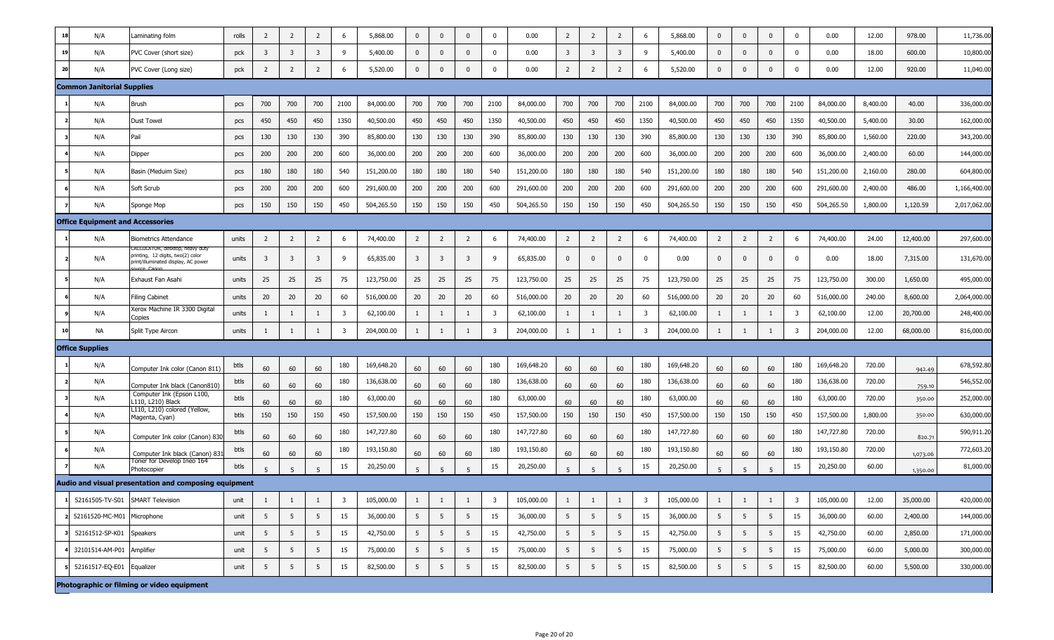| 18 | N/A                                     | aminating folm.                                                                                                       | rolls | 2                       | $\overline{2}$          | 2              | 6                       | 5,868.00   | 0              | $\mathbf{0}$   | $\mathbf 0$    | $\mathbf 0$             | 0.00       | $\overline{2}$ | $\overline{2}$  | $\overline{2}$ | 6                       | 5,868.00   | $\mathbf{0}$   | $\mathbf{0}$    | $\mathbf{0}$   | $\mathbf 0$             | 0.00       | 12.00    | 978.00    | 11,736.00    |
|----|-----------------------------------------|-----------------------------------------------------------------------------------------------------------------------|-------|-------------------------|-------------------------|----------------|-------------------------|------------|----------------|----------------|----------------|-------------------------|------------|----------------|-----------------|----------------|-------------------------|------------|----------------|-----------------|----------------|-------------------------|------------|----------|-----------|--------------|
| 19 | N/A                                     | PVC Cover (short size)                                                                                                | pck   | $\overline{\mathbf{3}}$ | $\overline{\mathbf{3}}$ | 3              | -9                      | 5,400.00   | $\mathbf{0}$   | $\mathbf{0}$   | $\mathbf{0}$   | $\mathbf 0$             | 0.00       | $\overline{3}$ | 3               | 3              | 9                       | 5,400.00   | $\mathbf{0}$   | $\mathbf{0}$    | $\mathbf{0}$   | $\Omega$                | 0.00       | 18.00    | 600.00    | 10,800.00    |
| 20 | N/A                                     | PVC Cover (Long size)                                                                                                 | pck   | 2                       | $\overline{2}$          | $\overline{2}$ | 6                       | 5,520.00   | 0              | $\mathbf{0}$   | $\mathbf{0}$   | $\mathbf 0$             | 0.00       | $\overline{2}$ | $\overline{2}$  | $\overline{2}$ | 6                       | 5,520.00   | $\mathbf 0$    | $\mathbf{0}$    | $\mathbf 0$    | $\mathbf 0$             | 0.00       | 12.00    | 920.00    | 11,040.00    |
|    | <b>Common Janitorial Supplies</b>       |                                                                                                                       |       |                         |                         |                |                         |            |                |                |                |                         |            |                |                 |                |                         |            |                |                 |                |                         |            |          |           |              |
|    | N/A                                     | <b>Brush</b>                                                                                                          | pcs   | 700                     | 700                     | 700            | 2100                    | 84,000.00  | 700            | 700            | 700            | 2100                    | 84,000.00  | 700            | 700             | 700            | 2100                    | 84,000.00  | 700            | 700             | 700            | 2100                    | 84,000.00  | 8,400.00 | 40.00     | 336,000.00   |
|    | N/A                                     | Dust Towel                                                                                                            | pcs   | 450                     | 450                     | 450            | 1350                    | 40,500.00  | 450            | 450            | 450            | 1350                    | 40,500.00  | 450            | 450             | 450            | 1350                    | 40,500.00  | 450            | 450             | 450            | 1350                    | 40,500.00  | 5,400.00 | 30.00     | 162,000.00   |
|    | N/A                                     | Pail                                                                                                                  | pcs   | 130                     | 130                     | 130            | 390                     | 85,800.00  | 130            | 130            | 130            | 390                     | 85,800.00  | 130            | 130             | 130            | 390                     | 85,800.00  | 130            | 130             | 130            | 390                     | 85,800.00  | 1,560.00 | 220.00    | 343,200.00   |
|    | N/A                                     | Dipper                                                                                                                | pcs   | 200                     | 200                     | 200            | 600                     | 36,000.00  | 200            | 200            | 200            | 600                     | 36,000.00  | 200            | 200             | 200            | 600                     | 36,000.00  | 200            | 200             | 200            | 600                     | 36,000.00  | 2,400.00 | 60.00     | 144,000.00   |
|    | N/A                                     | Basin (Meduim Size)                                                                                                   | pcs   | 180                     | 180                     | 180            | 540                     | 151,200.00 | 180            | 180            | 180            | 540                     | 151,200.00 | 180            | 180             | 180            | 540                     | 151,200.00 | 180            | 180             | 180            | 540                     | 151,200.00 | 2,160.00 | 280.00    | 604,800.00   |
|    | N/A                                     | Soft Scrub                                                                                                            | pcs   | 200                     | 200                     | 200            | 600                     | 291,600.00 | 200            | 200            | 200            | 600                     | 291,600.00 | 200            | 200             | 200            | 600                     | 291,600.00 | 200            | 200             | 200            | 600                     | 291,600.00 | 2,400.00 | 486.00    | 1,166,400.00 |
|    | N/A                                     | Sponge Mop                                                                                                            | pcs   | 150                     | 150                     | 150            | 450                     | 504,265.50 | 150            | 150            | 150            | 450                     | 504,265.50 | 150            | 150             | 150            | 450                     | 504,265.50 | 150            | 150             | 150            | 450                     | 504,265.50 | 1,800.00 | 1,120.59  | 2,017,062.00 |
|    | <b>Office Equipment and Accessories</b> |                                                                                                                       |       |                         |                         |                |                         |            |                |                |                |                         |            |                |                 |                |                         |            |                |                 |                |                         |            |          |           |              |
|    | N/A                                     | <b>Biometrics Attendance</b>                                                                                          | units | 2                       | $\overline{2}$          | $\overline{2}$ | 6                       | 74,400.00  | $\overline{2}$ | $\overline{2}$ | $\overline{2}$ | 6                       | 74,400.00  | $\overline{2}$ | $\overline{2}$  | $\overline{2}$ | 6                       | 74,400.00  | $\overline{2}$ | $\overline{2}$  | $\overline{2}$ | 6                       | 74,400.00  | 24.00    | 12,400.00 | 297,600.00   |
|    | N/A                                     | CALCULATOR, desktop, heavy duty<br>printing, 12 digits, two(2) color<br>print/illuminated display, AC power<br>re Car | units | 3                       | $\overline{\mathbf{3}}$ | $\overline{3}$ | 9                       | 65,835.00  | $\overline{3}$ | 3              | $\overline{3}$ | 9                       | 65,835.00  | $\mathbf 0$    | $\mathbf{0}$    | $\Omega$       | $\mathbf 0$             | 0.00       | $\mathbf{0}$   | $\mathbf{0}$    | $\mathbf 0$    | $\mathbf 0$             | 0.00       | 18.00    | 7,315.00  | 131,670.00   |
|    | N/A                                     | Exhaust Fan Asahi                                                                                                     | units | 25                      | 25                      | 25             | 75                      | 123,750.00 | 25             | 25             | 25             | 75                      | 123,750.00 | 25             | 25              | 25             | 75                      | 123,750.00 | 25             | 25              | 25             | 75                      | 123,750.00 | 300.00   | 1,650.00  | 495,000.00   |
|    | N/A                                     | Filing Cabinet                                                                                                        | units | 20                      | 20                      | 20             | 60                      | 516,000.00 | 20             | 20             | 20             | 60                      | 516,000.00 | 20             | 20              | 20             | 60                      | 516,000.00 | 20             | 20              | 20             | 60                      | 516,000.00 | 240.00   | 8,600.00  | 2,064,000.00 |
|    | N/A                                     | Xerox Machine IR 3300 Digital<br>Copies                                                                               | units |                         | 1                       | 1              | $\overline{\mathbf{3}}$ | 62,100.00  | $\mathbf{1}$   | 1              | 1              | $\overline{\mathbf{3}}$ | 62,100.00  | $\mathbf{1}$   | 1               | 1              | $\overline{\mathbf{3}}$ | 62,100.00  | 1              | 1               | 1              | $\overline{\mathbf{3}}$ | 62,100.00  | 12.00    | 20,700.00 | 248,400.00   |
|    | <b>NA</b>                               | Split Type Aircon                                                                                                     | units |                         | 1                       | 1              | $\overline{\mathbf{3}}$ | 204,000.00 | 1              |                | $\mathbf{1}$   | $\overline{\mathbf{3}}$ | 204,000.00 | 1              |                 | $\mathbf{1}$   | $\overline{\mathbf{3}}$ | 204,000.00 | 1              | 1               | $\mathbf{1}$   | $\overline{\mathbf{3}}$ | 204,000.00 | 12.00    | 68,000.00 | 816,000.00   |
|    | <b>Office Supplies</b>                  |                                                                                                                       |       |                         |                         |                |                         |            |                |                |                |                         |            |                |                 |                |                         |            |                |                 |                |                         |            |          |           |              |
|    | N/A                                     | Computer Ink color (Canon 811)                                                                                        | btls  | 60                      | 60                      | 60             | 180                     | 169,648.20 | 60             | 60             | 60             | 180                     | 169,648.20 | 60             | 60              | 60             | 180                     | 169,648.20 | 60             | 60              | 60             | 180                     | 169,648.20 | 720.00   | 942.49    | 678,592.80   |
|    | N/A                                     | Computer Ink black (Canon810)                                                                                         | btls  | 60                      | 60                      | 60             | 180                     | 136,638.00 | 60             | 60             | 60             | 180                     | 136,638.00 | 60             | 60              | 60             | 180                     | 136,638.00 | 60             | 60              | 60             | 180                     | 136,638.00 | 720.00   | 759.10    | 546,552.00   |
|    | N/A                                     | Computer Ink (Epson L100,<br>L110, L210) Black                                                                        | btls  | 60                      | 60                      | 60             | 180                     | 63,000.00  | 60             | 60             | 60             | 180                     | 63,000.00  | 60             | 60              | 60             | 180                     | 63,000.00  | 60             | 60              | 60             | 180                     | 63,000.00  | 720.00   | 350.00    | 252,000.00   |
|    | N/A                                     | L110, L210) colored (Yellow,<br>Magenta, Cyan)                                                                        | btls  | 150                     | 150                     | 150            | 450                     | 157,500.00 | 150            | 150            | 150            | 450                     | 157,500.00 | 150            | 150             | 150            | 450                     | 157,500.00 | 150            | 150             | 150            | 450                     | 157,500.00 | 1,800.00 | 350.00    | 630,000.00   |
|    | N/A                                     | Computer Ink color (Canon) 830                                                                                        | btls  | 60                      | 60                      | 60             | 180                     | 147,727.80 | 60             | 60             | 60             | 180                     | 147,727.80 | 60             | 60              | 60             | 180                     | 147,727.80 | 60             | 60              | 60             | 180                     | 147,727.80 | 720.00   | 820.71    | 590,911.20   |
|    | N/A                                     | Computer Ink black (Canon) 831                                                                                        | btls  | 60                      | 60                      | 60             | 180                     | 193,150.80 | 60             | 60             | 60             | 180                     | 193,150.80 | 60             | 60              | 60             | 180                     | 193,150.80 | 60             | 60              | 60             | 180                     | 193,150.80 | 720.00   | 1,073.06  | 772,603.20   |
|    | N/A                                     | Toner for Develop Ineo 164<br>Photocopier                                                                             | btls  |                         | 5                       |                | 15                      | 20,250.00  | 5              |                |                | 15                      | 20,250.00  |                |                 | 5              | 15                      | 20,250.00  |                |                 | 5              | 15                      | 20,250.00  | 60.00    | 1,350.00  | 81,000.00    |
|    |                                         | Audio and visual presentation and composing equipment                                                                 |       |                         |                         |                |                         |            |                |                |                |                         |            |                |                 |                |                         |            |                |                 |                |                         |            |          |           |              |
|    |                                         | 52161505-TV-S01 SMART Television                                                                                      | unit  |                         | 1                       | 1              |                         | 105,000.00 | $\mathbf{1}$   | 1              | 1              | 3                       | 105,000.00 | 1              | <sup>1</sup>    |                | 3                       | 105,000.00 | 1              | 1               | 1              | 3                       | 105,000.00 | 12.00    | 35,000.00 | 420,000.00   |
|    | 52161520-MC-M01 Microphone              |                                                                                                                       | unit  | 5                       | 5 <sup>5</sup>          | 5              | 15                      | 36,000.00  | 5 <sup>7</sup> | 5              | 5              | 15                      | 36,000.00  | 5 <sup>5</sup> | 5 <sup>5</sup>  | 5 <sup>5</sup> | 15                      | 36,000.00  | 5 <sup>5</sup> | $5\overline{)}$ | 5 <sup>5</sup> | 15                      | 36,000.00  | 60.00    | 2,400.00  | 144,000.00   |
|    | 52161512-SP-K01 Speakers                |                                                                                                                       | unit  | 5                       | 5 <sup>5</sup>          | 5              | 15                      | 42,750.00  | 5 <sub>5</sub> | 5              | 5 <sup>5</sup> | 15                      | 42,750.00  | 5 <sub>5</sub> | $5\overline{)}$ | 5 <sup>5</sup> | 15                      | 42,750.00  | 5 <sup>5</sup> | $5\overline{)}$ | 5              | 15                      | 42,750.00  | 60.00    | 2,850.00  | 171,000.00   |
|    | 32101514-AM-P01 Amplifier               |                                                                                                                       | unit  | 5                       | 5                       | 5              | 15                      | 75,000.00  | 5 <sup>5</sup> | 5              | 5              | 15                      | 75,000.00  | 5 <sup>5</sup> | 5               | 5 <sup>5</sup> | 15                      | 75,000.00  | 5              | 5               | 5 <sup>5</sup> | 15                      | 75,000.00  | 60.00    | 5,000.00  | 300,000.00   |
|    | 52161517-EQ-E01 Equalizer               |                                                                                                                       | unit  | 5                       | 5 <sup>5</sup>          | 5              | 15                      | 82,500.00  | 5 <sup>1</sup> | 5              | 5              | 15                      | 82,500.00  | 5 <sup>5</sup> | 5               | 5              | 15                      | 82,500.00  | 5 <sup>5</sup> | 5               | 5              | 15                      | 82,500.00  | 60.00    | 5,500.00  | 330,000.00   |
|    |                                         | Photographic or filming or video equipment                                                                            |       |                         |                         |                |                         |            |                |                |                |                         |            |                |                 |                |                         |            |                |                 |                |                         |            |          |           |              |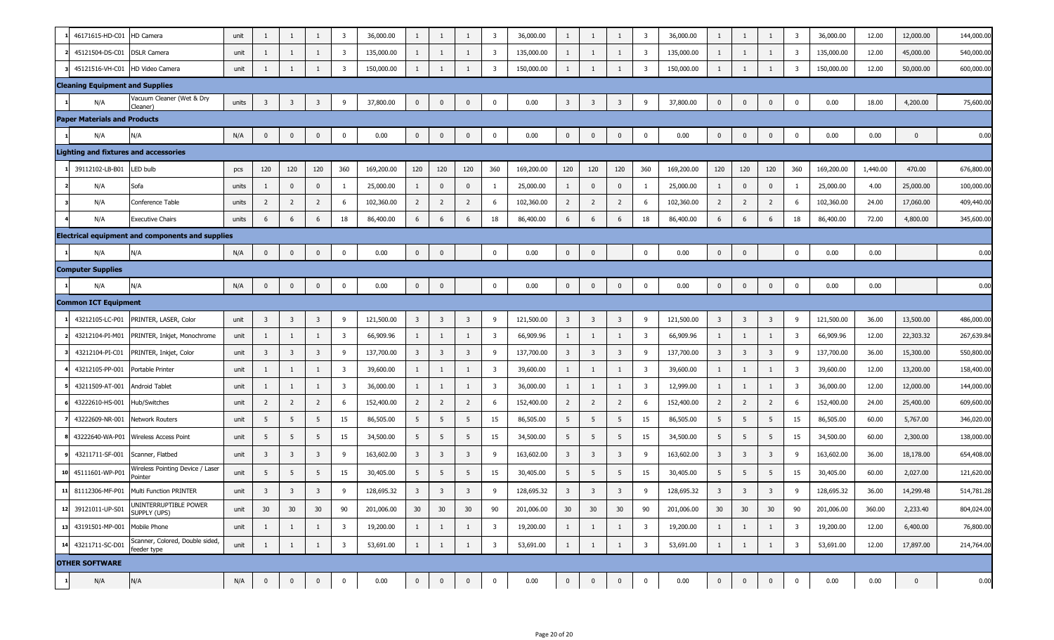|    | 46171615-HD-C01                        | HD Camera                                               | unit  | 1                       | -1                      | 1              | 3                       | 36,000.00  | $\mathbf{1}$            |                         | -1                      | 3                       | 36,000.00  | $\mathbf{1}$            | -1                      | 1                       | $\overline{3}$          | 36,000.00  | $\mathbf{1}$            | $\mathbf{1}$            | $\mathbf{1}$            | $\overline{3}$          | 36,000.00  | 12.00    | 12,000.00    | 144,000.00 |
|----|----------------------------------------|---------------------------------------------------------|-------|-------------------------|-------------------------|----------------|-------------------------|------------|-------------------------|-------------------------|-------------------------|-------------------------|------------|-------------------------|-------------------------|-------------------------|-------------------------|------------|-------------------------|-------------------------|-------------------------|-------------------------|------------|----------|--------------|------------|
|    | 45121504-DS-C01                        | <b>DSLR Camera</b>                                      | unit  | 1                       | -1                      | 1              | $\overline{\mathbf{3}}$ | 135,000.00 | 1                       | -1                      | 1                       | 3                       | 135,000.00 | $\mathbf{1}$            | 1                       | $\mathbf{1}$            | $\overline{\mathbf{3}}$ | 135,000.00 | $\mathbf{1}$            | $\mathbf{1}$            | 1                       | $\overline{\mathbf{3}}$ | 135,000.00 | 12.00    | 45,000.00    | 540,000.00 |
|    | 45121516-VH-C01 HD Video Camera        |                                                         | unit  | 1                       |                         |                | 3                       | 150,000.00 | 1                       |                         |                         | 3                       | 150,000.00 | 1                       |                         |                         | $\overline{\mathbf{3}}$ | 150,000.00 | 1                       |                         | $\mathbf{1}$            | $\overline{3}$          | 150,000.00 | 12.00    | 50,000.00    | 600,000.00 |
|    | <b>Cleaning Equipment and Supplies</b> |                                                         |       |                         |                         |                |                         |            |                         |                         |                         |                         |            |                         |                         |                         |                         |            |                         |                         |                         |                         |            |          |              |            |
|    | N/A                                    | Vacuum Cleaner (Wet & Dry<br>Cleaner)                   | units | $\overline{3}$          | $\overline{\mathbf{3}}$ | 3              | 9                       | 37,800.00  | $\overline{0}$          | $\mathbf 0$             | $\mathbf 0$             | 0                       | 0.00       | $\overline{\mathbf{3}}$ | $\overline{\mathbf{3}}$ | 3                       | 9                       | 37,800.00  | $\mathbf 0$             | 0                       | $\mathbf 0$             | 0                       | 0.00       | 18.00    | 4,200.00     | 75,600.00  |
|    | <b>Paper Materials and Products</b>    |                                                         |       |                         |                         |                |                         |            |                         |                         |                         |                         |            |                         |                         |                         |                         |            |                         |                         |                         |                         |            |          |              |            |
|    | N/A                                    | N/A                                                     | N/A   | $\mathbf 0$             | $\mathbf 0$             | $\mathbf 0$    | 0                       | 0.00       | $\overline{0}$          | $\mathbf 0$             | $\mathbf 0$             | $\mathbf{0}$            | 0.00       | $\mathbf{0}$            | 0                       | $\mathbf{0}$            | $\bf{0}$                | 0.00       | $\bf{0}$                | $\mathbf{0}$            | $\mathbf 0$             | $\mathbf 0$             | 0.00       | 0.00     | $\Omega$     | 0.00       |
|    |                                        | <b>Lighting and fixtures and accessories</b>            |       |                         |                         |                |                         |            |                         |                         |                         |                         |            |                         |                         |                         |                         |            |                         |                         |                         |                         |            |          |              |            |
|    | 39112102-LB-B01                        | LED bulb                                                | pcs   | 120                     | 120                     | 120            | 360                     | 169,200.00 | 120                     | 120                     | 120                     | 360                     | 169,200.00 | 120                     | 120                     | 120                     | 360                     | 169,200.00 | 120                     | 120                     | 120                     | 360                     | 169,200.00 | 1,440.00 | 470.00       | 676,800.00 |
|    | N/A                                    | Sofa                                                    | units | 1                       | 0                       | $\mathbf{0}$   | $\mathbf{1}$            | 25,000.00  | 1                       | $\bf{0}$                | $\mathbf 0$             |                         | 25,000.00  | $\mathbf{1}$            | 0                       | $\mathbf{0}$            | 1                       | 25,000.00  | $\mathbf{1}$            | $\mathbf{0}$            | $\bf{0}$                | 1                       | 25,000.00  | 4.00     | 25,000.00    | 100,000.00 |
|    | N/A                                    | Conference Table                                        | units | $\overline{2}$          | $\overline{2}$          | $\overline{2}$ | 6                       | 102,360.00 | $\overline{2}$          | $\overline{2}$          | $\overline{2}$          | 6                       | 102,360.00 | $\overline{2}$          | $\overline{2}$          | $\overline{2}$          | 6                       | 102,360.00 | $\overline{2}$          | $\overline{2}$          | $\overline{2}$          | 6                       | 102,360.00 | 24.00    | 17,060.00    | 409,440.00 |
|    | N/A                                    | <b>Executive Chairs</b>                                 | units | 6                       | 6                       | 6              | 18                      | 86,400.00  | 6                       | 6                       | 6                       | 18                      | 86,400.00  | 6                       | 6                       | 6                       | 18                      | 86,400.00  | 6                       | 6                       | 6                       | 18                      | 86,400.00  | 72.00    | 4,800.00     | 345,600.00 |
|    |                                        | <b>Electrical equipment and components and supplies</b> |       |                         |                         |                |                         |            |                         |                         |                         |                         |            |                         |                         |                         |                         |            |                         |                         |                         |                         |            |          |              |            |
|    | N/A                                    | N/A                                                     | N/A   | $\mathbf 0$             | $\mathbf 0$             | $\bf{0}$       | $\mathbf 0$             | 0.00       | $\overline{0}$          | $\mathbf 0$             |                         | $\mathbf 0$             | 0.00       | $\mathbf 0$             | $\mathbf 0$             |                         | $\mathbf 0$             | 0.00       | $\bf{0}$                | $\mathbf{0}$            |                         | $\bf{0}$                | 0.00       | 0.00     |              | 0.00       |
|    | <b>Computer Supplies</b>               |                                                         |       |                         |                         |                |                         |            |                         |                         |                         |                         |            |                         |                         |                         |                         |            |                         |                         |                         |                         |            |          |              |            |
|    | N/A                                    | N/A                                                     | N/A   | $\mathbf{0}$            | $\mathbf 0$             | $\mathbf 0$    | $\mathbf 0$             | 0.00       | $\overline{0}$          | $\mathbf 0$             |                         | $\mathbf 0$             | 0.00       | $\bf{0}$                | $\mathbf 0$             | $\mathbf 0$             | $\bf{0}$                | 0.00       | $\mathbf 0$             | $\mathbf 0$             | $\mathbf 0$             | $\mathbf 0$             | 0.00       | 0.00     |              | 0.00       |
|    | <b>Common ICT Equipment</b>            |                                                         |       |                         |                         |                |                         |            |                         |                         |                         |                         |            |                         |                         |                         |                         |            |                         |                         |                         |                         |            |          |              |            |
|    | 43212105-LC-P01                        | PRINTER, LASER, Color                                   | unit  | $\overline{\mathbf{3}}$ | $\overline{\mathbf{3}}$ | 3              | 9                       | 121,500.00 | $\overline{\mathbf{3}}$ | $\overline{\mathbf{3}}$ | $\overline{3}$          | 9                       | 121,500.00 | $\overline{\mathbf{3}}$ | $\overline{\mathbf{3}}$ | $\overline{\mathbf{3}}$ | 9                       | 121,500.00 | $\overline{\mathbf{3}}$ | $\overline{\mathbf{3}}$ | $\overline{\mathbf{3}}$ | 9                       | 121,500.00 | 36.00    | 13,500.00    | 486,000.00 |
|    | 43212104-PI-M01                        | PRINTER, Inkjet, Monochrome                             | unit  | 1                       | 1                       | 1              | 3                       | 66,909.96  | 1                       | -1                      | 1                       | $\overline{3}$          | 66,909.96  | $\mathbf{1}$            | -1                      | $\mathbf{1}$            | $\overline{\mathbf{3}}$ | 66,909.96  | $\mathbf{1}$            | $\mathbf{1}$            | $\mathbf{1}$            | $\overline{\mathbf{3}}$ | 66,909.96  | 12.00    | 22,303.32    | 267,639.84 |
|    | 43212104-PI-C01                        | PRINTER, Inkjet, Color                                  | unit  | $\overline{\mathbf{3}}$ | $\overline{\mathbf{3}}$ | $\overline{3}$ | 9                       | 137,700.00 | $\overline{\mathbf{3}}$ | $\overline{\mathbf{3}}$ | $\overline{\mathbf{3}}$ | 9                       | 137,700.00 | $\overline{\mathbf{3}}$ | $\overline{\mathbf{3}}$ | 3                       | 9                       | 137,700.00 | $\overline{\mathbf{3}}$ | 3                       | $\overline{\mathbf{3}}$ | 9                       | 137,700.00 | 36.00    | 15,300.00    | 550,800.00 |
|    | 43212105-PP-001                        | Portable Printer                                        | unit  | 1                       | 1                       |                | 3                       | 39,600.00  | 1                       |                         | 1                       | $\overline{3}$          | 39,600.00  | $\mathbf{1}$            | 1                       | $\mathbf{1}$            | $\overline{\mathbf{3}}$ | 39,600.00  | $\mathbf{1}$            | $\mathbf{1}$            | $\mathbf{1}$            | $\overline{\mathbf{3}}$ | 39,600.00  | 12.00    | 13,200.00    | 158,400.00 |
|    | 43211509-AT-001                        | Android Tablet                                          | unit  | 1                       | 1                       |                | 3                       | 36,000.00  | 1                       |                         | 1                       | $\overline{3}$          | 36,000.00  | $\mathbf{1}$            | 1                       | $\mathbf{1}$            | $\overline{\mathbf{3}}$ | 12,999.00  | -1                      | $\mathbf{1}$            | 1                       | $\overline{\mathbf{3}}$ | 36,000.00  | 12.00    | 12,000.00    | 144,000.00 |
|    | 43222610-HS-001                        | Hub/Switches                                            | unit  | $\overline{2}$          | $\overline{2}$          | $\overline{2}$ | 6                       | 152,400.00 | $\overline{2}$          | $\overline{2}$          | $\overline{2}$          | 6                       | 152,400.00 | $\overline{2}$          | $\overline{2}$          | $\overline{2}$          | 6                       | 152,400.00 | $\overline{2}$          | $\overline{2}$          | $\overline{2}$          | 6                       | 152,400.00 | 24.00    | 25,400.00    | 609,600.00 |
|    | 43222609-NR-001                        | Network Routers                                         | unit  | 5                       | 5                       | 5              | 15                      | 86,505.00  | 5                       | 5                       | 5                       | 15                      | 86,505.00  | 5                       | 5                       | 5                       | 15                      | 86,505.00  | 5                       | 5                       | 5                       | 15                      | 86,505.00  | 60.00    | 5,767.00     | 346,020.00 |
|    |                                        | 43222640-WA-P01 Wireless Access Point                   | unit  | 5                       | 5                       | 5              | 15                      | 34,500.00  | 5                       | 5                       | 5                       | 15                      | 34,500.00  | 5                       | 5                       | 5                       | 15                      | 34,500.00  | 5                       | 5                       | 5                       | 15                      | 34,500.00  | 60.00    | 2,300.00     | 138,000.00 |
|    | 43211711-SF-001                        | Scanner, Flatbed                                        | unit  | $\overline{3}$          | $\overline{\mathbf{3}}$ | 3              | 9                       | 163,602.00 | $\overline{3}$          | $\overline{3}$          | $\overline{3}$          | 9                       | 163,602.00 | $\overline{3}$          | $\overline{\mathbf{3}}$ | 3                       | 9                       | 163,602.00 | $\overline{3}$          | 3                       | $\overline{\mathbf{3}}$ | 9                       | 163,602.00 | 36.00    | 18,178.00    | 654,408.00 |
|    | 45111601-WP-P01                        | Wireless Pointing Device / Laser<br>Pointer             | unit  | 5                       | 5                       | 5              | 15                      | 30,405.00  | 5                       | 5                       | 5                       | 15                      | 30,405.00  | 5                       | 5                       | 5                       | 15                      | 30,405.00  | 5                       | 5                       | 5                       | 15                      | 30,405.00  | 60.00    | 2,027.00     | 121,620.00 |
| 11 |                                        | 81112306-MF-P01 Multi Function PRINTER                  | unit  | $\overline{3}$          | $\overline{3}$          | 3              | 9                       | 128,695.32 | $\overline{\mathbf{3}}$ | $\overline{\mathbf{3}}$ | $\overline{3}$          | 9                       | 128,695.32 | $\overline{3}$          | $\overline{3}$          | 3                       | 9                       | 128,695.32 | $\overline{3}$          | 3                       | $\overline{3}$          | 9                       | 128,695.32 | 36.00    | 14,299.48    | 514,781.28 |
| 12 | 39121011-UP-S01                        | UNINTERRUPTIBLE POWER<br>SUPPLY (UPS)                   | unit  | 30                      | 30                      | 30             | 90                      | 201,006.00 | 30                      | 30 <sup>°</sup>         | 30                      | 90                      | 201,006.00 | 30                      | 30 <sup>°</sup>         | 30                      | 90                      | 201,006.00 | 30                      | 30                      | 30                      | 90                      | 201,006.00 | 360.00   | 2,233.40     | 804,024.00 |
| 13 | 43191501-MP-001 Mobile Phone           |                                                         | unit  | 1                       | 1                       | $\mathbf{1}$   | $\overline{\mathbf{3}}$ | 19,200.00  | $\mathbf{1}$            | 1                       | $\mathbf{1}$            | $\overline{\mathbf{3}}$ | 19,200.00  | $\mathbf{1}$            | $\mathbf{1}$            | 1                       | $\overline{\mathbf{3}}$ | 19,200.00  | $\mathbf{1}$            | $\mathbf{1}$            | $\mathbf{1}$            | $\overline{\mathbf{3}}$ | 19,200.00  | 12.00    | 6,400.00     | 76,800.00  |
|    | 14 43211711-SC-D01                     | Scanner, Colored, Double sided,<br>feeder type          | unit  | 1                       | 1                       | 1              | $\overline{\mathbf{3}}$ | 53,691.00  | $\mathbf{1}$            | 1                       | $\mathbf{1}$            | $\overline{\mathbf{3}}$ | 53,691.00  | $\mathbf{1}$            | $\mathbf{1}$            | $\mathbf{1}$            | $\overline{\mathbf{3}}$ | 53,691.00  | $\mathbf{1}$            | $\mathbf{1}$            | $\mathbf{1}$            | $\overline{\mathbf{3}}$ | 53,691.00  | 12.00    | 17,897.00    | 214,764.00 |
|    | <b>OTHER SOFTWARE</b>                  |                                                         |       |                         |                         |                |                         |            |                         |                         |                         |                         |            |                         |                         |                         |                         |            |                         |                         |                         |                         |            |          |              |            |
|    | N/A                                    | N/A                                                     | N/A   | $\mathbf{0}$            | $\bf{0}$                | $\mathbf{0}$   | $\bf{0}$                | 0.00       | $\overline{0}$          | $\mathbf 0$             | $\mathbf{0}$            | $\mathbf 0$             | 0.00       | $\overline{0}$          | $\bf{0}$                | $\mathbf 0$             | $\mathbf 0$             | 0.00       | $\bf{0}$                | $\bf{0}$                | $\mathbf 0$             | $\mathbf 0$             | 0.00       | 0.00     | $\mathbf{0}$ | 0.00       |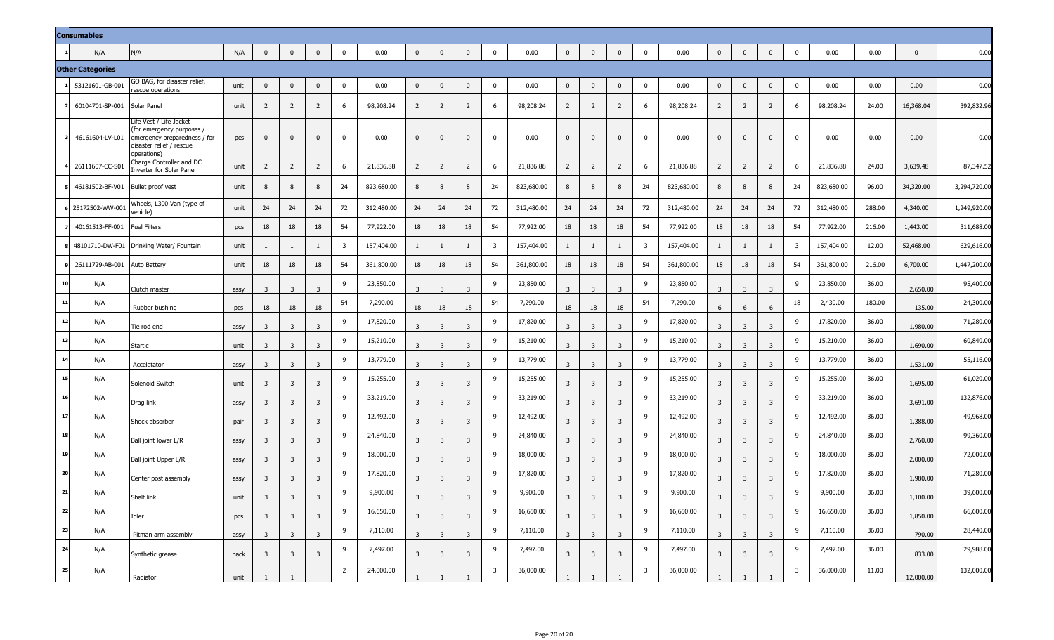|    | <b>Consumables</b>      |                                                                                                                                 |      |                         |                         |                         |                |            |                         |                         |                         |                         |            |                |                         |                         |                         |            |                |                |                |                         |            |        |                |              |
|----|-------------------------|---------------------------------------------------------------------------------------------------------------------------------|------|-------------------------|-------------------------|-------------------------|----------------|------------|-------------------------|-------------------------|-------------------------|-------------------------|------------|----------------|-------------------------|-------------------------|-------------------------|------------|----------------|----------------|----------------|-------------------------|------------|--------|----------------|--------------|
|    | N/A                     | N/A                                                                                                                             | N/A  | $\mathbf 0$             | $\mathbf 0$             | $\mathbf 0$             | $\mathbf 0$    | 0.00       | $\overline{0}$          | $\mathbf 0$             | $\mathbf 0$             | $\mathbf 0$             | 0.00       | $\overline{0}$ | $\overline{0}$          | $\mathbf 0$             | $\mathbf 0$             | 0.00       | $\mathbf 0$    | $\mathbf 0$    | $\mathbf{0}$   | $\mathbf 0$             | 0.00       | 0.00   | $\overline{0}$ | 0.00         |
|    | <b>Other Categories</b> |                                                                                                                                 |      |                         |                         |                         |                |            |                         |                         |                         |                         |            |                |                         |                         |                         |            |                |                |                |                         |            |        |                |              |
|    | 53121601-GB-001         | GO BAG, for disaster relief,<br>rescue operations                                                                               | unit | $\mathbf{0}$            | 0                       | $\mathbf{0}$            | $\mathbf 0$    | 0.00       | $\overline{0}$          | $\mathbf{0}$            | $\mathbf{0}$            | $\mathbf 0$             | 0.00       | $\overline{0}$ | $\mathbf 0$             | $\mathbf 0$             | $\mathbf 0$             | 0.00       | $\mathbf 0$    | $\mathbf{0}$   | $\Omega$       | $\mathbf 0$             | 0.00       | 0.00   | 0.00           | 0.00         |
|    | 60104701-SP-001         | Solar Panel                                                                                                                     | unit | 2                       | $\overline{2}$          | $\overline{2}$          | 6              | 98,208.24  | $\overline{2}$          | 2                       | 2                       | -6                      | 98,208.24  | $\overline{2}$ | $\overline{2}$          | $\overline{2}$          | 6                       | 98,208.24  | $\overline{2}$ | $\overline{2}$ | $\overline{2}$ | 6                       | 98,208.24  | 24.00  | 16,368.04      | 392,832.96   |
|    | 46161604-LV-L01         | Life Vest / Life Jacket<br>(for emergency purposes /<br>emergency preparedness / for<br>disaster relief / rescue<br>operations) | pcs  | $\mathbf{0}$            | 0                       | $\mathbf{0}$            | $\Omega$       | 0.00       | $\mathbf{0}$            | $\mathbf{0}$            | $\mathbf{0}$            | $\Omega$                | 0.00       | $\mathbf{0}$   | $\mathbf{0}$            | $\mathbf{0}$            | $\mathbf 0$             | 0.00       | $\mathbf{0}$   | $\mathbf{0}$   | $\mathbf{0}$   | $\mathbf 0$             | 0.00       | 0.00   | 0.00           | 0.00         |
|    | 26111607-CC-S01         | Charge Controller and DC<br>Inverter for Solar Panel                                                                            | unit | 2                       | $\overline{2}$          | $\overline{2}$          | 6              | 21,836.88  | $\overline{2}$          | $\overline{2}$          | $\overline{2}$          | 6                       | 21,836.88  | $\overline{2}$ | $\overline{2}$          | $\overline{2}$          | 6                       | 21,836.88  | $\overline{2}$ | $\overline{2}$ | 2              | - 6                     | 21,836.88  | 24.00  | 3,639.48       | 87,347.52    |
|    | 46181502-BF-V01         | Bullet proof vest                                                                                                               | unit | 8                       | 8                       | 8                       | 24             | 823,680.00 | 8                       | 8                       | 8                       | 24                      | 823,680.00 | 8              | 8                       | 8                       | 24                      | 823,680.00 | 8              | 8              | 8              | 24                      | 823,680.00 | 96.00  | 34,320.00      | 3,294,720.00 |
|    | 25172502-WW-00          | Wheels, L300 Van (type of<br>vehicle)                                                                                           | unit | 24                      | 24                      | 24                      | 72             | 312,480.00 | 24                      | 24                      | 24                      | 72                      | 312,480.00 | 24             | 24                      | 24                      | 72                      | 312,480.00 | 24             | 24             | 24             | 72                      | 312,480.00 | 288.00 | 4,340.00       | 1,249,920.00 |
|    | 40161513-FF-001         | Fuel Filters                                                                                                                    | pcs  | 18                      | 18                      | 18                      | 54             | 77,922.00  | 18                      | 18                      | 18                      | 54                      | 77,922.00  | 18             | 18                      | 18                      | 54                      | 77,922.00  | 18             | 18             | 18             | 54                      | 77,922.00  | 216.00 | 1,443.00       | 311,688.00   |
|    | 48101710-DW-F01         | Drinking Water/ Fountain                                                                                                        | unit |                         | 1                       | 1                       | 3              | 157,404.00 | 1                       |                         | 1                       | 3                       | 157,404.00 | 1              | -1                      | 1                       | 3                       | 157,404.00 | 1              | 1              | -1             | 3                       | 157,404.00 | 12.00  | 52,468.00      | 629,616.00   |
|    | 26111729-AB-001         | Auto Battery                                                                                                                    | unit | 18                      | 18                      | 18                      | 54             | 361,800.00 | 18                      | 18                      | 18                      | 54                      | 361,800.00 | 18             | 18                      | 18                      | 54                      | 361,800.00 | 18             | 18             | 18             | 54                      | 361,800.00 | 216.00 | 6,700.00       | 1,447,200.00 |
| 10 | N/A                     | Clutch master                                                                                                                   | assy | 3                       | -3                      | 3                       | 9              | 23,850.00  | 3                       | $\overline{3}$          | 3                       | 9                       | 23,850.00  | 3              | -3                      | 3                       | 9                       | 23,850.00  | 3              | 3              | $\overline{3}$ | 9                       | 23,850.00  | 36.00  | 2,650.00       | 95,400.00    |
| 11 | N/A                     | Rubber bushing                                                                                                                  | pcs  | 18                      | 18                      | 18                      | 54             | 7,290.00   | 18                      | 18                      | 18                      | 54                      | 7,290.00   | 18             | 18                      | 18                      | 54                      | 7,290.00   | 6              | 6              | 6              | 18                      | 2,430.00   | 180.00 | 135.00         | 24,300.00    |
| 12 | N/A                     | Tie rod end                                                                                                                     | assy | 3                       | 3                       | 3                       | 9              | 17,820.00  | 3                       | $\overline{3}$          | 3                       | 9                       | 17,820.00  | 3              | -3                      | $\overline{\mathbf{3}}$ | 9                       | 17,820.00  | 3              | 3              | $\overline{3}$ | 9                       | 17,820.00  | 36.00  | 1,980.00       | 71,280.00    |
| 13 | N/A                     | Startic                                                                                                                         | unit |                         | 3                       | $\overline{3}$          | 9              | 15,210.00  |                         | -3                      | 3                       | 9                       | 15,210.00  |                | 3                       | 3                       | 9                       | 15,210.00  |                | 3              | 3              | 9                       | 15,210.00  | 36.00  | 1,690.00       | 60,840.00    |
| 14 | N/A                     | Acceletator                                                                                                                     | assy | -3                      | $\overline{3}$          | $\overline{\mathbf{3}}$ | 9              | 13,779.00  | 3                       | 3                       | 3                       | 9                       | 13,779.00  | -3             | 3                       | $\overline{3}$          | 9                       | 13,779.00  | 3              | $\overline{3}$ | $\overline{3}$ | 9                       | 13,779.00  | 36.00  | 1,531.00       | 55,116.00    |
| 15 | N/A                     | Solenoid Switch                                                                                                                 | unit | -3                      | $\overline{3}$          | $\overline{3}$          | 9              | 15,255.00  | 3                       | 3                       | 3                       | 9                       | 15,255.00  | 3              | $\overline{\mathbf{3}}$ | 3                       | 9                       | 15,255.00  | 3              | $\overline{3}$ | $\overline{3}$ | 9                       | 15,255.00  | 36.00  | 1,695.00       | 61,020.00    |
| 16 | N/A                     | Drag link                                                                                                                       | assy | -3                      | 3                       | $\overline{3}$          | 9              | 33,219.00  | -3                      | $\overline{3}$          | $\overline{3}$          | 9                       | 33,219.00  | -3             | $\overline{3}$          | $\overline{3}$          | 9                       | 33,219.00  | 3              | $\overline{3}$ | $\overline{3}$ | 9                       | 33,219.00  | 36.00  | 3,691.00       | 132,876.00   |
| 17 | N/A                     | Shock absorber                                                                                                                  | pair | -3                      | -3                      | $\overline{3}$          | 9              | 12,492.00  | 3                       | $\overline{\mathbf{3}}$ | 3                       | 9                       | 12,492.00  | -3             | $\overline{\mathbf{3}}$ | 3                       | 9                       | 12,492.00  | 3              | $\overline{3}$ | 3              | 9                       | 12,492.00  | 36.00  | 1,388.00       | 49,968.00    |
| 18 | N/A                     | Ball joint lower L/R                                                                                                            | assy | -3                      | -3                      | 3                       | 9              | 24,840.00  | 3                       | $\overline{3}$          | 3                       | 9                       | 24,840.00  | -3             | 3                       | $\overline{3}$          | 9                       | 24,840.00  | 3              | $\overline{3}$ | $\overline{3}$ | 9                       | 24,840.00  | 36.00  | 2,760.00       | 99,360.00    |
| 19 | N/A                     | Ball joint Upper L/R                                                                                                            | assy |                         | 3                       | 3                       | 9              | 18,000.00  | 3                       | -3                      |                         | 9                       | 18,000.00  | 3              | 3                       | $\overline{3}$          | 9                       | 18,000.00  |                | 3              |                | 9                       | 18,000.00  | 36.00  | 2,000.00       | 72,000.00    |
| 20 | N/A                     | Center post assembly                                                                                                            | assy |                         | 3                       | 3                       | 9              | 17,820.00  | 3                       | 3                       |                         | 9                       | 17,820.00  | 3              | 3                       |                         | 9                       | 17,820.00  |                | 3              |                | 9                       | 17,820.00  | 36.00  | 1,980.00       | 71,280.00    |
| 21 | N/A                     | Shalf link                                                                                                                      | unit | 3                       | $\overline{\mathbf{3}}$ | -3                      | 9              | 9,900.00   | 3                       | $\overline{\mathbf{3}}$ | ు                       | 9                       | 9,900.00   | 3              | -3                      |                         | 9                       | 9,900.00   | 3              | - 3            | ್ರ             | 9                       | 9,900.00   | 36.00  | 1,100.00       | 39,600.00    |
| 22 | N/A                     | Idler                                                                                                                           | pcs  | $\overline{3}$          | $\overline{\mathbf{3}}$ | $\overline{3}$          | 9              | 16,650.00  | $\overline{\mathbf{3}}$ | $\overline{\mathbf{3}}$ | $\overline{3}$          | 9                       | 16,650.00  | $\overline{3}$ | $\overline{3}$          | $\overline{3}$          | 9                       | 16,650.00  | 3              | $\overline{3}$ | $\overline{3}$ | 9                       | 16,650.00  | 36.00  | 1,850.00       | 66,600.00    |
| 23 | N/A                     | Pitman arm assembly                                                                                                             | assy | $\overline{\mathbf{3}}$ | $\overline{\mathbf{3}}$ | $\overline{3}$          | 9              | 7,110.00   | $\overline{\mathbf{3}}$ | $\overline{\mathbf{3}}$ | $\overline{\mathbf{3}}$ | 9                       | 7,110.00   | $\overline{3}$ | $\overline{\mathbf{3}}$ | $\overline{3}$          | 9                       | 7,110.00   | $\overline{3}$ | $\overline{3}$ | $\overline{3}$ | 9                       | 7,110.00   | 36.00  | 790.00         | 28,440.00    |
| 24 | N/A                     | Synthetic grease                                                                                                                | pack | $\overline{\mathbf{3}}$ | $\overline{\mathbf{3}}$ | $\overline{3}$          | 9              | 7,497.00   | $\overline{3}$          | $\overline{\mathbf{3}}$ | 3                       | 9                       | 7,497.00   | $\overline{3}$ | $\overline{\mathbf{3}}$ | $\overline{3}$          | 9                       | 7,497.00   | 3              | $\overline{3}$ | $\overline{3}$ | 9                       | 7,497.00   | 36.00  | 833.00         | 29,988.00    |
| 25 | N/A                     | Radiator                                                                                                                        | unit |                         | $\mathbf{1}$            |                         | $\overline{2}$ | 24,000.00  |                         |                         |                         | $\overline{\mathbf{3}}$ | 36,000.00  |                |                         |                         | $\overline{\mathbf{3}}$ | 36,000.00  | 1              | 1              |                | $\overline{\mathbf{3}}$ | 36,000.00  | 11.00  | 12,000.00      | 132,000.00   |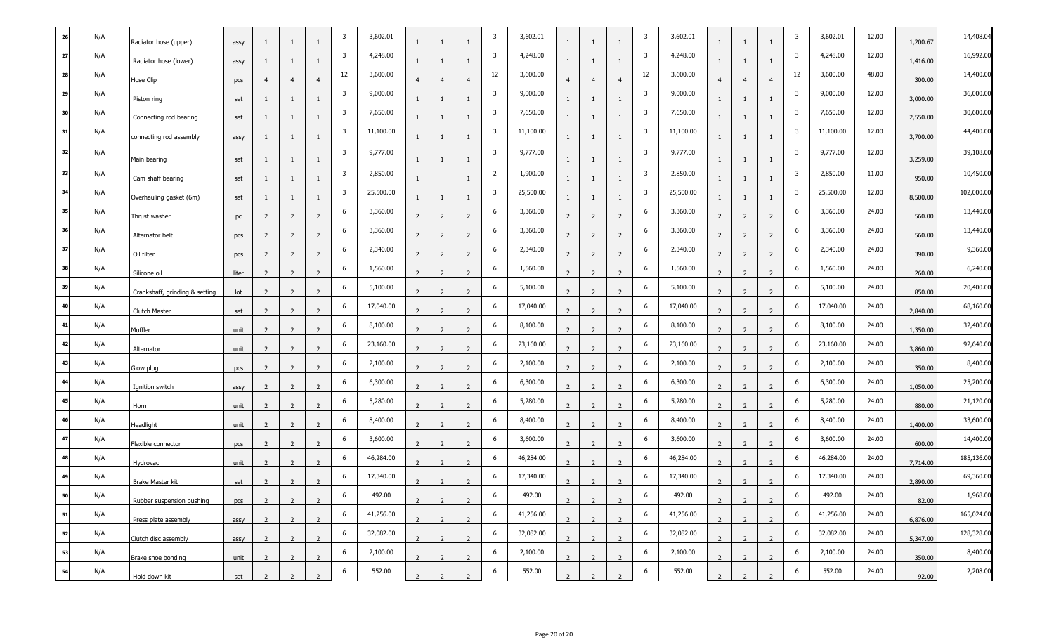| 26 | N/A | Radiator hose (upper)          | assy  | -1             |                |                | 3                       | 3,602.01  |                |                |                | 3                       | 3,602.01  |                |                |                          | $\overline{3}$          | 3,602.01  |                |                |                | $\overline{\mathbf{3}}$ | 3,602.01  | 12.00 | 1,200.67 | 14,408.04  |
|----|-----|--------------------------------|-------|----------------|----------------|----------------|-------------------------|-----------|----------------|----------------|----------------|-------------------------|-----------|----------------|----------------|--------------------------|-------------------------|-----------|----------------|----------------|----------------|-------------------------|-----------|-------|----------|------------|
| 27 | N/A | Radiator hose (lower)          | assy  |                |                |                | $\overline{\mathbf{3}}$ | 4,248.00  |                |                |                | $\overline{\mathbf{3}}$ | 4,248.00  |                |                |                          | $\overline{\mathbf{3}}$ | 4,248.00  |                |                |                | $\overline{\mathbf{3}}$ | 4,248.00  | 12.00 | 1,416.00 | 16,992.00  |
|    | N/A | Hose Clip                      | pcs   | $\overline{4}$ | $\overline{4}$ |                | 12                      | 3,600.00  |                |                | $\overline{4}$ | 12                      | 3,600.00  | $\overline{4}$ | $\overline{a}$ | $\overline{4}$           | 12                      | 3,600.00  | $\overline{4}$ |                | $\overline{4}$ | 12                      | 3,600.00  | 48.00 | 300.00   | 14,400.00  |
|    | N/A | Piston ring                    | set   |                |                |                | $\overline{\mathbf{3}}$ | 9,000.00  |                |                |                | 3                       | 9,000.00  |                |                |                          | $\overline{\mathbf{3}}$ | 9,000.00  |                |                |                | $\overline{\mathbf{3}}$ | 9,000.00  | 12.00 | 3,000.00 | 36,000.00  |
|    | N/A | Connecting rod bearing         | set   |                |                |                | $\overline{\mathbf{3}}$ | 7,650.00  |                |                |                | 3                       | 7,650.00  |                |                |                          | $\overline{\mathbf{3}}$ | 7,650.00  |                |                |                | $\overline{\mathbf{3}}$ | 7,650.00  | 12.00 | 2,550.00 | 30,600.00  |
| 31 | N/A | connecting rod assembly        | assy  | -1             |                |                | $\overline{\mathbf{3}}$ | 11,100.00 |                |                |                | $\overline{\mathbf{3}}$ | 11,100.00 |                |                |                          | $\overline{\mathbf{3}}$ | 11,100.00 |                |                |                | $\overline{\mathbf{3}}$ | 11,100.00 | 12.00 | 3,700.00 | 44,400.00  |
| 32 | N/A | Main bearing                   | set   |                |                |                | $\overline{\mathbf{3}}$ | 9,777.00  |                |                |                | $\overline{\mathbf{3}}$ | 9,777.00  |                |                |                          | $\overline{\mathbf{3}}$ | 9,777.00  |                |                |                | $\overline{\mathbf{3}}$ | 9,777.00  | 12.00 | 3,259.00 | 39,108.00  |
| 33 | N/A | Cam shaff bearing              | set   |                |                |                | $\overline{\mathbf{3}}$ | 2,850.00  |                |                |                | $\overline{2}$          | 1,900.00  |                |                |                          | $\overline{\mathbf{3}}$ | 2,850.00  |                |                |                | $\overline{\mathbf{3}}$ | 2,850.00  | 11.00 | 950.00   | 10,450.00  |
| 34 | N/A | Overhauling gasket (6m)        | set   |                |                |                | $\overline{\mathbf{3}}$ | 25,500.00 |                |                |                | $\overline{\mathbf{3}}$ | 25,500.00 |                |                |                          | $\overline{3}$          | 25,500.00 |                |                |                | $\overline{\mathbf{3}}$ | 25,500.00 | 12.00 | 8,500.00 | 102,000.00 |
|    | N/A | Thrust washer                  | pc    | 2              | $\overline{2}$ | $\overline{z}$ | 6                       | 3,360.00  | 2              | $\overline{z}$ | $\overline{z}$ | 6                       | 3,360.00  | 2              | $\overline{z}$ | $\overline{z}$           | 6                       | 3,360.00  | 2              | $\overline{z}$ | $\overline{z}$ | 6                       | 3,360.00  | 24.00 | 560.00   | 13,440.00  |
| 36 | N/A | Alternator belt                | pcs   | 2              | 2              | 2              | 6                       | 3,360.00  | $\overline{2}$ | $\overline{2}$ | 2              | 6                       | 3,360.00  | $\overline{2}$ | 2              | $\overline{2}$           | 6                       | 3,360.00  | $\overline{2}$ | $\overline{2}$ | $\overline{2}$ | 6                       | 3,360.00  | 24.00 | 560.00   | 13,440.00  |
| 37 | N/A | Oil filter                     | pcs   | 2              | 2              | 2              | 6                       | 2,340.00  | $\overline{2}$ | $\overline{2}$ | $\overline{2}$ | 6                       | 2,340.00  | $\overline{2}$ | $\overline{2}$ | $\overline{2}$           | 6                       | 2,340.00  | $\overline{2}$ | $\overline{2}$ | $\overline{2}$ | 6                       | 2,340.00  | 24.00 | 390.00   | 9,360.00   |
| 38 | N/A | Silicone oil                   | liter | 2              |                |                | 6                       | 1,560.00  |                |                |                | 6                       | 1,560.00  | $\overline{2}$ | $\overline{2}$ | $\overline{\phantom{a}}$ | 6                       | 1,560.00  | 2              | $\overline{z}$ |                | 6                       | 1,560.00  | 24.00 | 260.00   | 6,240.00   |
|    | N/A | Crankshaff, grinding & setting | lot   | 2              | $\overline{2}$ |                | 6                       | 5,100.00  | $\overline{2}$ | - 2            |                | 6                       | 5,100.00  | $\overline{2}$ | $\overline{2}$ | 2                        | 6                       | 5,100.00  | $\overline{2}$ | 2              |                | 6                       | 5,100.00  | 24.00 | 850.00   | 20,400.00  |
|    | N/A | Clutch Master                  | set   | 2              | $\overline{2}$ |                | 6                       | 17,040.00 | $\overline{2}$ |                | 2              | 6                       | 17,040.00 | $\overline{2}$ | $\overline{2}$ | $\overline{2}$           | 6                       | 17,040.00 | $\overline{2}$ | 2              |                | 6                       | 17,040.00 | 24.00 | 2,840.00 | 68,160.00  |
|    | N/A | Muffler                        | unit  | 2              | $\overline{z}$ |                | 6                       | 8,100.00  | $\overline{z}$ | $\overline{2}$ |                | 6                       | 8,100.00  | 2              | $\overline{2}$ | $\overline{z}$           | 6                       | 8,100.00  | $\overline{2}$ | $\overline{z}$ |                | 6                       | 8,100.00  | 24.00 | 1,350.00 | 32,400.00  |
| 42 | N/A | Alternator                     | unit  | 2              | 2              | 2              | 6                       | 23,160.00 | 2              | $\overline{2}$ | 2              | 6                       | 23,160.00 | $\overline{2}$ | $\overline{2}$ | $\overline{2}$           | 6                       | 23,160.00 | $\overline{2}$ | 2              | $\overline{2}$ | 6                       | 23,160.00 | 24.00 | 3,860.00 | 92,640.00  |
| 43 | N/A | Glow plug                      | pcs   | $\overline{2}$ | 2              | 2              | 6                       | 2,100.00  | 2              | $\overline{2}$ | 2              | 6                       | 2,100.00  | $\overline{2}$ | $\overline{2}$ | 2                        | 6                       | 2,100.00  | $\overline{2}$ | 2              |                | 6                       | 2,100.00  | 24.00 | 350.00   | 8,400.00   |
| 44 | N/A | Ignition switch                | assy  | $\overline{2}$ |                |                | 6                       | 6,300.00  |                |                |                | 6                       | 6,300.00  |                |                | $\overline{z}$           | 6                       | 6,300.00  | 2              |                |                | 6                       | 6,300.00  | 24.00 | 1,050.00 | 25,200.00  |
|    | N/A | Horn                           | unit  | 2              |                |                | 6                       | 5,280.00  |                | $\overline{2}$ |                | 6                       | 5,280.00  | $\overline{z}$ |                |                          | 6                       | 5,280.00  | 2              |                |                | 6                       | 5,280.00  | 24.00 | 880.00   | 21,120.00  |
|    | N/A | Headlight                      | unit  | 2              |                |                | 6                       | 8,400.00  |                |                | 2              | 6                       | 8,400.00  |                | 2              | $\overline{2}$           | 6                       | 8,400.00  | 2              |                |                | 6                       | 8,400.00  | 24.00 | 1,400.00 | 33,600.00  |
|    | N/A | Flexible connector             | pcs   | $\overline{2}$ | $\overline{2}$ |                | 6                       | 3,600.00  |                | $\overline{2}$ | $\overline{2}$ | 6                       | 3,600.00  | $\overline{z}$ | $\overline{2}$ | $\overline{z}$           | 6                       | 3,600.00  | 2              | $\overline{z}$ |                | 6                       | 3,600.00  | 24.00 | 600.00   | 14,400.00  |
|    | N/A | Hydrovac                       | unit  | 2              | 2              | $\mathcal{L}$  | 6                       | 46,284.00 |                | $\overline{2}$ | $\overline{2}$ | 6                       | 46,284.00 | 2              | 2              | $\overline{2}$           | 6                       | 46,284.00 | 2              | 2              | $\overline{2}$ | 6                       | 46,284.00 | 24.00 | 7,714.00 | 185,136.00 |
|    | N/A | Brake Master kit               | set   | 2              | 2              |                | 6                       | 17,340.00 |                | <sup>2</sup>   | 2              | 6                       | 17,340.00 |                | 2              | 2                        | 6                       | 17,340.00 | 2              |                |                | 6                       | 17,340.00 | 24.00 | 2,890.00 | 69,360.00  |
| 50 | N/A | Rubber suspension bushing      | pcs   | $\overline{2}$ | $\overline{2}$ | $\overline{2}$ | v                       | 492.00    | $\overline{2}$ | $\overline{2}$ | $\overline{2}$ | v                       | 492.00    | $\overline{2}$ | $\overline{2}$ | 2                        | 6                       | 492.00    | $\overline{2}$ | $\overline{2}$ | 2              | v                       | 492.00    | 24.00 | 82.00    | 1,968.00   |
| 51 | N/A | Press plate assembly           | assy  | $\overline{2}$ | $\overline{2}$ | $\overline{2}$ | 6                       | 41,256.00 | $\overline{2}$ | 2              | $\overline{2}$ | 6                       | 41,256.00 | $\overline{2}$ | $\overline{2}$ | $\overline{2}$           | 6                       | 41,256.00 | $\overline{2}$ | $\overline{2}$ | 2              | 6                       | 41,256.00 | 24.00 | 6,876.00 | 165,024.00 |
| 52 | N/A | Clutch disc assembly           | assy  | $\overline{2}$ | $\overline{2}$ | $\overline{2}$ | 6                       | 32,082.00 | $\overline{2}$ | $\overline{2}$ | $\overline{2}$ | 6                       | 32,082.00 | $\overline{2}$ | $\overline{2}$ | 2                        | 6                       | 32,082.00 | $\overline{2}$ | $\overline{2}$ | 2              | 6                       | 32,082.00 | 24.00 | 5,347.00 | 128,328.00 |
| 53 | N/A | Brake shoe bonding             | unit  | $\overline{2}$ | $\overline{2}$ | $\overline{2}$ | 6                       | 2,100.00  | $\overline{2}$ | $\overline{2}$ | $\overline{2}$ | 6                       | 2,100.00  | $\overline{2}$ | $\overline{2}$ | $\overline{2}$           | 6                       | 2,100.00  | $\overline{2}$ | $\overline{2}$ | 2              | 6                       | 2,100.00  | 24.00 | 350.00   | 8,400.00   |
| 54 | N/A | Hold down kit                  | set   | $\overline{2}$ | $\overline{2}$ | 2              | 6                       | 552.00    | $\overline{2}$ | $\overline{2}$ | $\overline{2}$ | 6                       | 552.00    | $\overline{2}$ | $\overline{2}$ | $\overline{2}$           | 6                       | 552.00    | $\overline{2}$ | $\overline{2}$ | 2              | 6                       | 552.00    | 24.00 | 92.00    | 2,208.00   |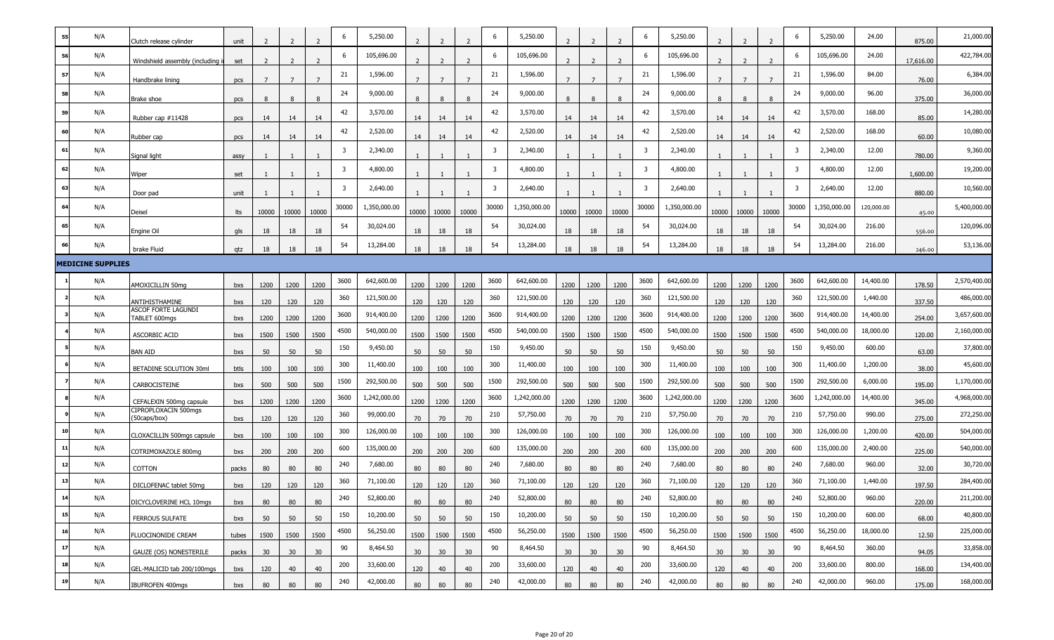| 55 | N/A                      | Clutch release cylinder                      | unit  | -2           | 2               |                | 6                       | 5,250.00     |       |       |                | 6                       | 5,250.00     |                 |       |                 | 6                       | 5,250.00     |                 |       |                | 6     | 5,250.00     | 24.00      | 875.00    | 21,000.00    |
|----|--------------------------|----------------------------------------------|-------|--------------|-----------------|----------------|-------------------------|--------------|-------|-------|----------------|-------------------------|--------------|-----------------|-------|-----------------|-------------------------|--------------|-----------------|-------|----------------|-------|--------------|------------|-----------|--------------|
| 56 | N/A                      | Windshield assembly (including               | set   | <sup>2</sup> | $\overline{2}$  | $\overline{z}$ | 6                       | 105,696.00   |       |       | $\overline{2}$ | 6                       | 105,696.00   |                 |       |                 | -6                      | 105,696.00   |                 |       |                | 6     | 105,696.00   | 24.00      | 17,616.00 | 422,784.00   |
| 57 | N/A                      | Handbrake lining                             | pcs   | 7            | $7\overline{ }$ | $\overline{7}$ | 21                      | 1,596.00     |       | -7    | $\overline{7}$ | 21                      | 1,596.00     |                 |       | $\overline{7}$  | 21                      | 1,596.00     | 7               | 7     | $\overline{7}$ | 21    | 1,596.00     | 84.00      | 76.00     | 6,384.00     |
| 58 | N/A                      | Brake shoe                                   | pcs   | 8            | 8               | 8              | 24                      | 9,000.00     | 8     | 8     | 8              | 24                      | 9,000.00     |                 | 8     | 8               | 24                      | 9,000.00     | 8               | 8     | 8              | 24    | 9,000.00     | 96.00      | 375.00    | 36,000.00    |
| 59 | N/A                      | Rubber cap $#11428$                          | pcs   | 14           | 14              | 14             | 42                      | 3,570.00     | 14    | 14    | 14             | 42                      | 3,570.00     | 14              | 14    | 14              | 42                      | 3,570.00     | 14              | 14    | 14             | 42    | 3,570.00     | 168.00     | 85.00     | 14,280.00    |
| 60 | N/A                      | Rubber cap                                   | pcs   | 14           | 14              | 14             | 42                      | 2,520.00     | 14    | 14    | 14             | 42                      | 2,520.00     | 14              | 14    | 14              | 42                      | 2,520.00     | 14              | 14    | 14             | 42    | 2,520.00     | 168.00     | 60.00     | 10,080.00    |
| 61 | N/A                      | Signal light                                 | assy  |              | -1              |                | $\overline{\mathbf{3}}$ | 2,340.00     |       |       |                | $\overline{3}$          | 2,340.00     |                 |       |                 | $\overline{\mathbf{3}}$ | 2,340.00     |                 |       |                | 3     | 2,340.00     | 12.00      | 780.00    | 9,360.00     |
| 62 | N/A                      | Wiper                                        | set   |              |                 |                | 3                       | 4,800.00     |       |       |                | $\overline{\mathbf{3}}$ | 4,800.00     |                 |       |                 | $\overline{\mathbf{3}}$ | 4,800.00     |                 |       |                | 3     | 4,800.00     | 12.00      | 1,600.00  | 19,200.00    |
| 63 | N/A                      | Door pad                                     | unit  |              |                 |                | $\overline{\mathbf{3}}$ | 2,640.00     |       |       |                | 3                       | 2,640.00     |                 |       |                 | $\overline{\mathbf{3}}$ | 2,640.00     |                 |       |                | 3     | 2,640.00     | 12.00      | 880.00    | 10,560.00    |
| 64 | N/A                      | Deisel                                       | lts   | 10000        | 10000           | 10000          | 30000                   | 1,350,000.00 | 10000 | 10000 | 10000          | 30000                   | 1,350,000.00 | 10000           | 10000 | 10000           | 30000                   | 1,350,000.00 | 10000           | 10000 | 10000          | 30000 | 1,350,000.00 | 120,000.00 | 45.00     | 5,400,000.00 |
| 65 | N/A                      | Engine Oil                                   | gls   | 18           | 18              | 18             | 54                      | 30,024.00    | 18    | 18    | 18             | 54                      | 30,024.00    | 18              | 18    | 18              | 54                      | 30,024.00    | 18              | 18    | 18             | 54    | 30,024.00    | 216.00     | 556.00    | 120,096.00   |
|    | N/A                      | brake Fluid                                  | qtz   | 18           | 18              | 18             | 54                      | 13,284.00    | 18    | 18    | 18             | 54                      | 13,284.00    | 18              | 18    | 18              | 54                      | 13,284.00    | 18              | 18    | 18             | 54    | 13,284.00    | 216.00     | 246.00    | 53,136.00    |
|    | <b>MEDICINE SUPPLIES</b> |                                              |       |              |                 |                |                         |              |       |       |                |                         |              |                 |       |                 |                         |              |                 |       |                |       |              |            |           |              |
|    |                          |                                              |       |              |                 |                |                         | 642,600.00   |       |       |                |                         | 642,600.00   |                 |       |                 |                         | 642,600.00   |                 |       |                |       | 642,600.00   | 14,400.00  |           | 2,570,400.00 |
|    | N/A                      | AMOXICILLIN 50mg                             | bxs   | 1200         | 1200            | 1200           | 3600                    |              | 1200  | 1200  | 1200           | 3600                    |              | 1200            | 1200  | 1200            | 3600                    |              | 1200            | 1200  | 1200           | 3600  |              |            | 178.50    |              |
|    | N/A                      | ANTIHISTHAMINE<br><b>ASCOF FORTE LAGUNDI</b> | bxs   | 120          | 120             | 120            | 360                     | 121,500.00   | 120   | 120   | 120            | 360                     | 121,500.00   | 120             | 120   | 120             | 360                     | 121,500.00   | 120             | 120   | 120            | 360   | 121,500.00   | 1,440.00   | 337.50    | 486,000.00   |
|    | N/A                      | TABLET 600mgs                                | bxs   | 1200         | 1200            | 1200           | 3600                    | 914,400.00   | 1200  | 1200  | 1200           | 3600                    | 914,400.00   | 1200            | 1200  | 1200            | 3600                    | 914,400.00   | 1200            | 1200  | 1200           | 3600  | 914,400.00   | 14,400.00  | 254.00    | 3,657,600.00 |
|    | N/A                      | ASCORBIC ACID                                | bxs   | 1500         | 1500            | 1500           | 4500                    | 540,000.00   | 1500  | 1500  | 1500           | 4500                    | 540,000.00   | 1500            | 1500  | 1500            | 4500                    | 540,000.00   | 1500            | 1500  | 1500           | 4500  | 540,000.00   | 18,000.00  | 120.00    | 2,160,000.00 |
|    | N/A                      | BAN AID                                      | bxs   | 50           | 50              | 50             | 150                     | 9,450.00     | 50    | 50    | 50             | 150                     | 9,450.00     | 50              | 50    | 50              | 150                     | 9,450.00     | 50              | 50    | 50             | 150   | 9,450.00     | 600.00     | 63.00     | 37,800.00    |
|    | N/A                      | BETADINE SOLUTION 30ml                       | btls  | 100          | 100             | 100            | 300                     | 11,400.00    | 100   | 100   | 100            | 300                     | 11,400.00    | 100             | 100   | 100             | 300                     | 11,400.00    | 100             | 100   | 100            | 300   | 11,400.00    | 1,200.00   | 38.00     | 45,600.00    |
|    | N/A                      | CARBOCISTEINE                                | bxs   | 500          | 500             | 500            | 1500                    | 292,500.00   | 500   | 500   | 500            | 1500                    | 292,500.00   | 500             | 500   | 500             | 1500                    | 292,500.00   | 500             | 500   | 500            | 1500  | 292,500.00   | 6,000.00   | 195.00    | 1,170,000.00 |
|    | N/A                      | CEFALEXIN 500mg capsule                      | bxs   | 1200         | 1200            | 1200           | 3600                    | 1,242,000.00 | 1200  | 1200  | 1200           | 3600                    | 1,242,000.00 | 1200            | 1200  | 1200            | 3600                    | 1,242,000.00 | 1200            | 1200  | 1200           | 3600  | 1,242,000.00 | 14,400.00  | 345.00    | 4,968,000.00 |
|    | N/A                      | CIPROPLOXACIN 500mgs<br>(50caps/box)         | bxs   | 120          | 120             | 120            | 360                     | 99,000.00    | 70    | 70    | 70             | 210                     | 57,750.00    | 70              | 70    | 70              | 210                     | 57,750.00    | 70              | 70    | 70             | 210   | 57,750.00    | 990.00     | 275.00    | 272,250.00   |
| 10 | N/A                      | CLOXACILLIN 500mgs capsule                   | bxs   | 100          | 100             | 100            | 300                     | 126,000.00   | 100   | 100   | 100            | 300                     | 126,000.00   | 100             | 100   | 100             | 300                     | 126,000.00   | 100             | 100   | 100            | 300   | 126,000.00   | 1,200.00   | 420.00    | 504,000.00   |
| 11 | N/A                      | COTRIMOXAZOLE 800mg                          | bxs   | 200          | 200             | 200            | 600                     | 135,000.00   | 200   | 200   | 200            | 600                     | 135,000.00   | 200             | 200   | 200             | 600                     | 135,000.00   | 200             | 200   | 200            | 600   | 135,000.00   | 2,400.00   | 225.00    | 540,000.00   |
|    | N/A                      | COTTON                                       | packs | 80           | 80              | 80             | 240                     | 7,680.00     | 80    | 80    | 80             | 240                     | 7,680.00     | 80              | 80    | 80              | 240                     | 7,680.00     | 80              | 80    | 80             | 240   | 7,680.00     | 960.00     | 32.00     | 30,720.00    |
| 13 | N/A                      | DICLOFENAC tablet 50mg                       | bxs   | 120          | 120             | 120            | 360                     | 71,100.00    | 120   | 120   | 120            | 360                     | 71,100.00    | 120             | 120   | 120             | 360                     | 71,100.00    | 120             | 120   | 120            | 360   | 71,100.00    | 1,440.00   | 197.50    | 284,400.00   |
| 14 | N/A                      | DICYCLOVERINE HCL 10mgs                      | bxs   | 80           | 80              | 80             | 240                     | 52,800.00    | 80    | 80    | 80             | 240                     | 52,800.00    | 80              | 80    | 80              | 240                     | 52,800.00    | 80              | 80    | 80             | 240   | 52,800.00    | 960.00     | 220.00    | 211,200.00   |
| 15 | N/A                      | FERROUS SULFATE                              | bxs   | 50           | 50              | 50             | 150                     | 10,200.00    | 50    | 50    | 50             | 150                     | 10,200.00    | 50              | 50    | 50              | 150                     | 10,200.00    | 50              | 50    | 50             | 150   | 10,200.00    | 600.00     | 68.00     | 40,800.00    |
| 16 | N/A                      | FLUOCINONIDE CREAM                           | tubes | 1500         | 1500            | 1500           | 4500                    | 56,250.00    | 1500  | 1500  | 1500           | 4500                    | 56,250.00    | 1500            | 1500  | 1500            | 4500                    | 56,250.00    | 1500            | 1500  | 1500           | 4500  | 56,250.00    | 18,000.00  | 12.50     | 225,000.00   |
| 17 | N/A                      | GAUZE (OS) NONESTERILE                       | packs | 30           | 30              | 30             | 90                      | 8,464.50     | 30    | 30    | 30             | 90                      | 8,464.50     | 30 <sup>°</sup> | 30    | 30 <sup>°</sup> | 90                      | 8,464.50     | 30 <sup>°</sup> | 30    | 30             | 90    | 8,464.50     | 360.00     | 94.05     | 33,858.00    |
| 18 | N/A                      | GEL-MALICID tab 200/100mgs                   | bxs   | 120          | 40              | 40             | 200                     | 33,600.00    | 120   | 40    | 40             | 200                     | 33,600.00    | 120             | 40    | 40              | 200                     | 33,600.00    | 120             | 40    | 40             | 200   | 33,600.00    | 800.00     | 168.00    | 134,400.00   |
| 19 | N/A                      | <b>IBUFROFEN 400mgs</b>                      | bxs   | 80           | 80              | 80             | 240                     | 42,000.00    | 80    | 80    | 80             | 240                     | 42,000.00    | 80              | 80    | 80              | 240                     | 42,000.00    | 80              | 80    | 80             | 240   | 42,000.00    | 960.00     | 175.00    | 168,000.00   |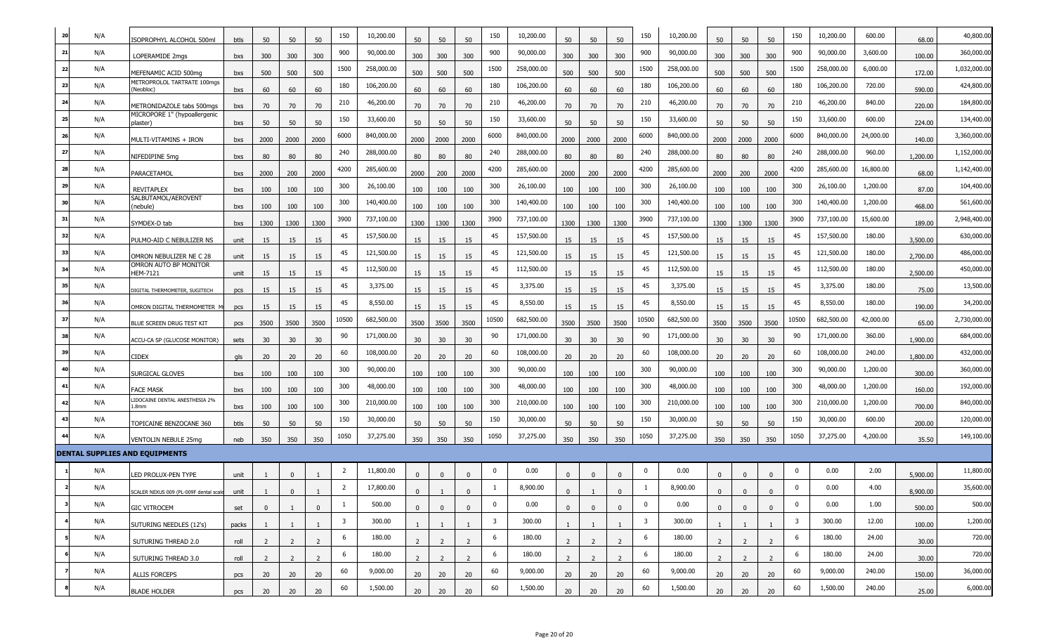| 20 | N/A | SOPROPHYL ALCOHOL 500ml                  | btls  | 50              | 50             | 50             | 150                     | 10,200.00  | 50             | 50          | 50             | 150                     | 10,200.00  | 50             | 50             | 50             | 150                     | 10,200.00  | 50             | 50             | 50             | 150            | 10,200.00  | 600.00    | 68.00    | 40,800.00    |
|----|-----|------------------------------------------|-------|-----------------|----------------|----------------|-------------------------|------------|----------------|-------------|----------------|-------------------------|------------|----------------|----------------|----------------|-------------------------|------------|----------------|----------------|----------------|----------------|------------|-----------|----------|--------------|
| 21 | N/A | LOPERAMIDE 2mgs                          | bxs   | 300             | 300            | 300            | 900                     | 90,000.00  | 300            | 300         | 300            | 900                     | 90,000.00  | 300            | 300            | 300            | 900                     | 90,000.00  | 300            | 300            | 300            | 900            | 90,000.00  | 3,600.00  | 100.00   | 360,000.00   |
| 22 | N/A | MEFENAMIC ACID 500mg                     | bxs   | 500             | 500            | 500            | 1500                    | 258,000.00 | 500            | 500         | 500            | 1500                    | 258,000.00 | 500            | 500            | 500            | 1500                    | 258,000.00 | 500            | 500            | 500            | 1500           | 258,000.00 | 6,000.00  | 172.00   | 1,032,000.00 |
| 23 | N/A | METROPROLOL TARTRATE 100mgs<br>(Neobloc) | bxs   | 60              | 60             | 60             | 180                     | 106,200.00 | 60             | 60          | 60             | 180                     | 106,200.00 | 60             | 60             | 60             | 180                     | 106,200.00 | 60             | 60             | 60             | 180            | 106,200.00 | 720.00    | 590.00   | 424,800.00   |
| 24 | N/A | METRONIDAZOLE tabs 500mgs                | bxs   | 70              | 70             | 70             | 210                     | 46,200.00  | 70             | 70          | 70             | 210                     | 46,200.00  | 70             | 70             | 70             | 210                     | 46,200.00  | 70             | 70             | 70             | 210            | 46,200.00  | 840.00    | 220.00   | 184,800.00   |
| 25 | N/A | MICROPORE 1" (hypoallergenic<br>plaster) | bxs   | 50              | 50             | 50             | 150                     | 33,600.00  | 50             | 50          | 50             | 150                     | 33,600.00  | 50             | 50             | 50             | 150                     | 33,600.00  | 50             | 50             | 50             | 150            | 33,600.00  | 600.00    | 224.00   | 134,400.00   |
| 26 | N/A | MULTI-VITAMINS + IRON                    | bxs   | 2000            | 2000           | 2000           | 6000                    | 840,000.00 | 2000           | 2000        | 2000           | 6000                    | 840,000.00 | 2000           | 2000           | 2000           | 6000                    | 840,000.00 | 2000           | 2000           | 2000           | 6000           | 840,000.00 | 24,000.00 | 140.00   | 3,360,000.00 |
| 27 | N/A | NIFEDIPINE 5mg                           | bxs   | 80              | 80             | 80             | 240                     | 288,000.00 | 80             | 80          | 80             | 240                     | 288,000.00 | 80             | 80             | 80             | 240                     | 288,000.00 | 80             | 80             | 80             | 240            | 288,000.00 | 960.00    | 1,200.00 | 1,152,000.00 |
| 28 | N/A | PARACETAMOL                              | bxs   | 2000            | 200            | 2000           | 4200                    | 285,600.00 | 2000           | 200         | 2000           | 4200                    | 285,600.00 | 2000           | 200            | 2000           | 4200                    | 285,600.00 | 2000           | 200            | 2000           | 4200           | 285,600.00 | 16,800.00 | 68.00    | 1,142,400.00 |
| 29 | N/A | <b>REVITAPLEX</b>                        | bxs   | 100             | 100            | 100            | 300                     | 26,100.00  | 100            | 100         | 100            | 300                     | 26,100.00  | 100            | 100            | 100            | 300                     | 26,100.00  | 100            | 100            | 100            | 300            | 26,100.00  | 1,200.00  | 87.00    | 104,400.00   |
| 30 | N/A | SALBUTAMOL/AEROVENT<br>(nebule)          | bxs   | 100             | 100            | 100            | 300                     | 140,400.00 | 100            | 100         | 100            | 300                     | 140,400.00 | 100            | 100            | 100            | 300                     | 140,400.00 | 100            | 100            | 100            | 300            | 140,400.00 | 1,200.00  | 468.00   | 561,600.00   |
| 31 | N/A | SYMDEX-D tab                             | bxs   | 1300            | 1300           | 1300           | 3900                    | 737,100.00 | 1300           | 1300        | 1300           | 3900                    | 737,100.00 | 1300           | 1300           | 1300           | 3900                    | 737,100.00 | 1300           | 1300           | 1300           | 3900           | 737,100.00 | 15,600.00 | 189.00   | 2,948,400.00 |
| 32 | N/A | PULMO-AID C NEBULIZER NS                 | unit  | 15              | 15             | 15             | 45                      | 157,500.00 | 15             | 15          | 15             | 45                      | 157,500.00 | 15             | 15             | 15             | 45                      | 157,500.00 | 15             | 15             | 15             | 45             | 157,500.00 | 180.00    | 3,500.00 | 630,000.00   |
| 33 | N/A | OMRON NEBULIZER NE C 28                  | unit  | 15              | 15             | 15             | 45                      | 121,500.00 | 15             | 15          | 15             | 45                      | 121,500.00 | 15             | 15             | 15             | 45                      | 121,500.00 | 15             | 15             | 15             | 45             | 121,500.00 | 180.00    | 2,700.00 | 486,000.00   |
| 34 | N/A | OMRON AUTO BP MONITOR<br><b>HEM-7121</b> | unit  | 15              | 15             | 15             | 45                      | 112,500.00 | 15             | 15          | 15             | 45                      | 112,500.00 | 15             | 15             | 15             | 45                      | 112,500.00 | 15             | 15             | 15             | 45             | 112,500.00 | 180.00    | 2,500.00 | 450,000.00   |
| 35 | N/A | DIGITAL THERMOMETER, SUGITECH            | pcs   | 15              | 15             | 15             | 45                      | 3,375.00   | 15             | 15          | 15             | 45                      | 3,375.00   | 15             | 15             | 15             | 45                      | 3,375.00   | 15             | 15             | 15             | 45             | 3,375.00   | 180.00    | 75.00    | 13,500.00    |
| 36 | N/A | OMRON DIGITAL THERMOMETER                | pcs   | 15              | 15             | 15             | 45                      | 8,550.00   | 15             | 15          | 15             | 45                      | 8,550.00   | 15             | 15             | 15             | 45                      | 8,550.00   | 15             | 15             | 15             | 45             | 8,550.00   | 180.00    | 190.00   | 34,200.00    |
| 37 | N/A | BLUE SCREEN DRUG TEST KIT                | pcs   | 3500            | 3500           | 3500           | 10500                   | 682,500.00 | 3500           | 3500        | 3500           | 10500                   | 682,500.00 | 3500           | 3500           | 3500           | 10500                   | 682,500.00 | 3500           | 3500           | 3500           | 10500          | 682,500.00 | 42,000.00 | 65.00    | 2,730,000.00 |
| 38 | N/A | ACCU-CA SP (GLUCOSE MONITOR)             | sets  | 30              | 30             | 30             | 90                      | 171,000.00 | 30             | 30          | 30             | 90                      | 171,000.00 | 30             | 30             | 30             | 90                      | 171,000.00 | 30             | 30             | 30             | 90             | 171,000.00 | 360.00    | 1,900.00 | 684,000.00   |
| 39 | N/A | <b>CIDEX</b>                             | gls   | 20              | 20             | 20             | 60                      | 108,000.00 | 20             | 20          | 20             | 60                      | 108,000.00 | 20             | 20             | 20             | 60                      | 108,000.00 | 20             | 20             | 20             | 60             | 108,000.00 | 240.00    | 1,800.00 | 432,000.00   |
| 40 | N/A | SURGICAL GLOVES                          | bxs   | 100             | 100            | 100            | 300                     | 90,000.00  | 100            | 100         | 100            | 300                     | 90,000.00  | 100            | 100            | 100            | 300                     | 90,000.00  | 100            | 100            | 100            | 300            | 90,000.00  | 1,200.00  | 300.00   | 360,000.00   |
| 41 | N/A | <b>FACE MASK</b>                         | bxs   | 100             | 100            | 100            | 300                     | 48,000.00  | 100            | 100         | 100            | 300                     | 48,000.00  | 100            | 100            | 100            | 300                     | 48,000.00  | 100            | 100            | 100            | 300            | 48,000.00  | 1,200.00  | 160.00   | 192,000.00   |
| 42 | N/A | LIDOCAINE DENTAL ANESTHESIA 2%<br>.8mm   | bxs   | 100             | 100            | 100            | 300                     | 210,000.00 | 100            | 100         | 100            | 300                     | 210,000.00 | 100            | 100            | 100            | 300                     | 210,000.00 | 100            | 100            | 100            | 300            | 210,000.00 | 1,200.00  | 700.00   | 840,000.00   |
| 43 | N/A | TOPICAINE BENZOCANE 360                  | btls  | 50              | 50             | 50             | 150                     | 30,000.00  | 50             | 50          | 50             | 150                     | 30,000.00  | 50             | 50             | 50             | 150                     | 30,000.00  | 50             | 50             | 50             | 150            | 30,000.00  | 600.00    | 200.00   | 120,000.00   |
| 44 | N/A | <b>VENTOLIN NEBULE 25mg</b>              | neb   | 350             | 350            | 350            | 1050                    | 37,275.00  | 350            | 350         | 350            | 1050                    | 37,275.00  | 350            | 350            | 350            | 1050                    | 37,275.00  | 350            | 350            | 350            | 1050           | 37,275.00  | 4,200.00  | 35.50    | 149,100.00   |
|    |     | <b>DENTAL SUPPLIES AND EQUIPMENTS</b>    |       |                 |                |                |                         |            |                |             |                |                         |            |                |                |                |                         |            |                |                |                |                |            |           |          |              |
|    | N/A | <b>ED PROLUX-PEN TYPE</b>                | unit  |                 | $\mathbf{0}$   |                | 2                       | 11,800.00  | $\Omega$       | $\Omega$    | $\Omega$       | 0                       | 0.00       | $\mathbf{0}$   | $\Omega$       | $\Omega$       | 0                       | 0.00       | $\Omega$       | $\mathbf 0$    | $\Omega$       | 0              | 0.00       | 2.00      | 5,900.00 | 11,800.00    |
|    | N/A | SCALER NEXUS 009 (PL-009F dental scale   |       |                 | $\Omega$       |                | $\overline{2}$          | 17,800.00  |                |             |                |                         | 8,900.00   |                |                |                |                         | 8,900.00   |                | $\Omega$       |                | $\Omega$       | 0.00       | 4.00      | 8.900.00 | 35,600.00    |
|    | N/A | <b>GIC VITROCEM</b>                      | unit  |                 |                | $\Omega$       | $\mathbf{1}$            | 500.00     |                |             |                | $\mathbf 0$             | 0.00       |                |                |                | $\mathbf 0$             | 0.00       |                |                | $\mathbf{0}$   | $\mathbf 0$    | 0.00       | 1.00      |          | 500.00       |
|    | N/A |                                          | set   | $\mathbf{0}$    |                |                | $\overline{\mathbf{3}}$ | 300.00     | $\mathbf{0}$   | $\mathbf 0$ | $\mathbf{0}$   | $\overline{\mathbf{3}}$ | 300.00     | $\mathbf{0}$   | $\mathbf 0$    | $\mathbf{0}$   | $\overline{\mathbf{3}}$ | 300.00     | $\mathbf{0}$   | $\mathbf 0$    |                | $\overline{3}$ | 300.00     | 12.00     | 500.00   | 1,200.00     |
|    | N/A | SUTURING NEEDLES (12's)                  | packs | $\mathbf{1}$    | -1             | 1              | 6                       | 180.00     |                | 1           |                | 6                       | 180.00     |                | $\mathbf{1}$   | $\mathbf{1}$   | 6                       | 180.00     |                |                | 1              | 6              | 180.00     | 24.00     | 100.00   | 720.00       |
|    | N/A | SUTURING THREAD 2.0                      | roll  | $\overline{2}$  | 2              | 2              | 6                       | 180.00     | 2              | 2           | 2              | 6                       | 180.00     | $\overline{2}$ | $\overline{2}$ | $\overline{2}$ | 6                       | 180.00     | 2              | 2              | 2              | 6              | 180.00     | 24.00     | 30.00    | 720.00       |
|    | N/A | SUTURING THREAD 3.0                      | roll  | $\overline{2}$  | $\overline{2}$ | $\overline{2}$ | 60                      | 9,000.00   | $\overline{2}$ | 2           | $\overline{2}$ | 60                      | 9,000.00   | $\overline{2}$ | $\overline{2}$ | $\overline{2}$ | 60                      | 9,000.00   | $\overline{2}$ | $\overline{2}$ | $\overline{2}$ | 60             | 9,000.00   | 240.00    | 30.00    | 36,000.00    |
|    | N/A | <b>ALLIS FORCEPS</b>                     | pcs   | 20 <sub>2</sub> | 20             | 20             | 60                      | 1,500.00   | 20             | 20          | 20             | 60                      | 1,500.00   | 20             | 20             | 20             | 60                      | 1,500.00   | 20             | 20             | 20             | 60             | 1,500.00   | 240.00    | 150.00   | 6,000.00     |
|    |     | <b>BLADE HOLDER</b>                      | pcs   | 20              | 20             | 20             |                         |            | 20             | 20          | 20             |                         |            | 20             | 20             | 20             |                         |            | 20             | 20             | 20             |                |            |           | 25.00    |              |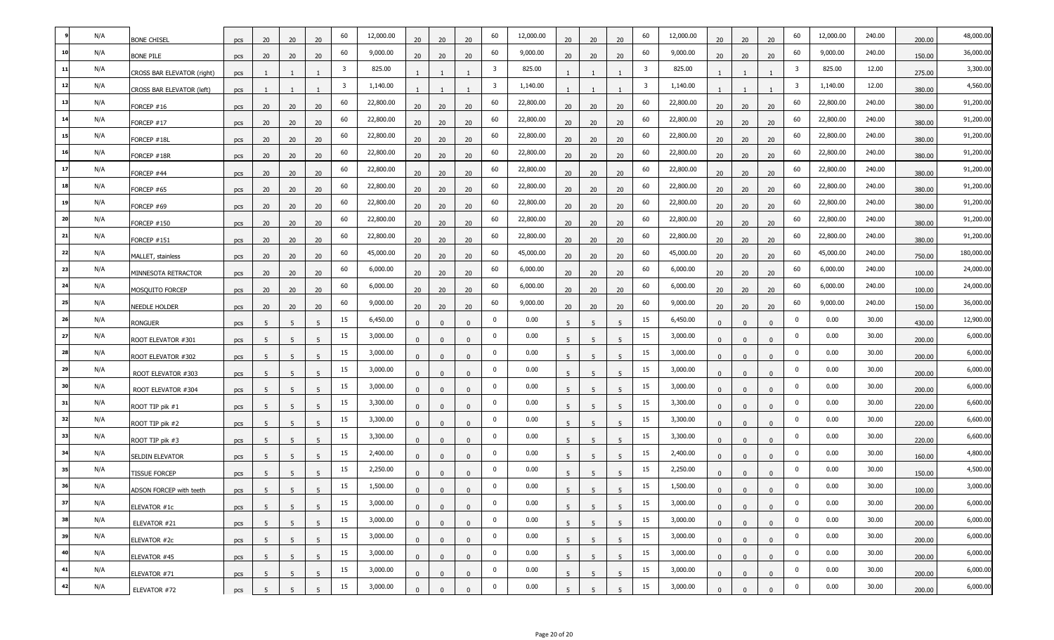|    | N/A | <b>BONE CHISEL</b>         | pcs | 20 | 20 | 20             | 60 | 12,000.00 | 20             | 20           | 20           | 60          | 12,000.00 | 20             | 20             | 20             | 60 | 12,000.00 | 20           | 20           | 20             | 60             | 12,000.00 | 240.00 | 200.00 | 48,000.00  |
|----|-----|----------------------------|-----|----|----|----------------|----|-----------|----------------|--------------|--------------|-------------|-----------|----------------|----------------|----------------|----|-----------|--------------|--------------|----------------|----------------|-----------|--------|--------|------------|
| 10 | N/A | <b>BONE PILE</b>           | pcs | 20 | 20 | 20             | 60 | 9,000.00  | 20             | 20           | 20           | 60          | 9,000.00  | 20             | 20             | 20             | 60 | 9,000.00  | 20           | 20           | 20             | 60             | 9,000.00  | 240.00 | 150.00 | 36,000.00  |
| 11 | N/A | CROSS BAR ELEVATOR (right) | pcs |    |    |                | 3  | 825.00    |                |              |              | 3           | 825.00    |                |                |                | 3  | 825.00    |              |              |                | $\overline{3}$ | 825.00    | 12.00  | 275.00 | 3,300.00   |
| 12 | N/A | CROSS BAR ELEVATOR (left)  | pcs |    |    |                | 3  | 1,140.00  |                |              |              | 3           | 1,140.00  |                |                |                | 3  | 1,140.00  |              |              |                | $\overline{3}$ | 1,140.00  | 12.00  | 380.00 | 4,560.00   |
| 13 | N/A | FORCEP #16                 | pcs | 20 | 20 | 20             | 60 | 22,800.00 | 20             | 20           | 20           | 60          | 22,800.00 | 20             | 20             | 20             | 60 | 22,800.00 | 20           | 20           | 20             | 60             | 22,800.00 | 240.00 | 380.00 | 91,200.00  |
| 14 | N/A | FORCEP #17                 | pcs | 20 | 20 | 20             | 60 | 22,800.00 | 20             | 20           | 20           | 60          | 22,800.00 | 20             | 20             | 20             | 60 | 22,800.00 | 20           | 20           | 20             | 60             | 22,800.00 | 240.00 | 380.00 | 91,200.00  |
| 15 | N/A | FORCEP #18L                | pcs | 20 | 20 | 20             | 60 | 22,800.00 | 20             | 20           | 20           | 60          | 22,800.00 | 20             | 20             | 20             | 60 | 22,800.00 | 20           | 20           | 20             | 60             | 22,800.00 | 240.00 | 380.00 | 91,200.00  |
| 16 | N/A | FORCEP #18R                | pcs | 20 | 20 | 20             | 60 | 22,800.00 | 20             | 20           | 20           | 60          | 22,800.00 | 20             | 20             | 20             | 60 | 22,800.00 | 20           | 20           | 20             | 60             | 22,800.00 | 240.00 | 380.00 | 91,200.00  |
| 17 | N/A | FORCEP #44                 | pcs | 20 | 20 | 20             | 60 | 22,800.00 | 20             | 20           | 20           | 60          | 22,800.00 | 20             | 20             | 20             | 60 | 22,800.00 | 20           | 20           | 20             | 60             | 22,800.00 | 240.00 | 380.00 | 91,200.00  |
| 18 | N/A | FORCEP #65                 | pcs | 20 | 20 | 20             | 60 | 22,800.00 | 20             | 20           | 20           | 60          | 22,800.00 | 20             | 20             | 20             | 60 | 22,800.00 | 20           | 20           | 20             | 60             | 22,800.00 | 240.00 | 380.00 | 91,200.00  |
| 19 | N/A | FORCEP #69                 | pcs | 20 | 20 | 20             | 60 | 22,800.00 | 20             | 20           | 20           | 60          | 22,800.00 | 20             | 20             | 20             | 60 | 22,800.00 | 20           | 20           | 20             | 60             | 22,800.00 | 240.00 | 380.00 | 91,200.00  |
| 20 | N/A | <b>FORCEP #150</b>         | pcs | 20 | 20 | 20             | 60 | 22,800.00 | 20             | 20           | 20           | 60          | 22,800.00 | 20             | 20             | 20             | 60 | 22,800.00 | 20           | 20           | 20             | 60             | 22,800.00 | 240.00 | 380.00 | 91,200.00  |
| 21 | N/A | FORCEP #151                | pcs | 20 | 20 | 20             | 60 | 22,800.00 | 20             | 20           | 20           | 60          | 22,800.00 | 20             | 20             | 20             | 60 | 22,800.00 | 20           | 20           | 20             | 60             | 22,800.00 | 240.00 | 380.00 | 91,200.00  |
| 22 | N/A | MALLET, stainless          | pcs | 20 | 20 | 20             | 60 | 45,000.00 | 20             | 20           | 20           | 60          | 45,000.00 | 20             | 20             | 20             | 60 | 45,000.00 | 20           | 20           | 20             | 60             | 45,000.00 | 240.00 | 750.00 | 180,000.00 |
| 23 | N/A | MINNESOTA RETRACTOR        | pcs | 20 | 20 | 20             | 60 | 6,000.00  | 20             | 20           | 20           | 60          | 6,000.00  | 20             | 20             | 20             | 60 | 6,000.00  | 20           | 20           | 20             | 60             | 6,000.00  | 240.00 | 100.00 | 24,000.00  |
| 24 | N/A | MOSQUITO FORCEP            | pcs | 20 | 20 | 20             | 60 | 6,000.00  | 20             | 20           | 20           | 60          | 6,000.00  | 20             | 20             | 20             | 60 | 6,000.00  | 20           | 20           | 20             | 60             | 6,000.00  | 240.00 | 100.00 | 24,000.00  |
| 25 | N/A | NEEDLE HOLDER              | pcs | 20 | 20 | 20             | 60 | 9,000.00  | 20             | 20           | 20           | 60          | 9,000.00  | 20             | 20             | 20             | 60 | 9,000.00  | 20           | 20           | 20             | 60             | 9,000.00  | 240.00 | 150.00 | 36,000.00  |
| 26 | N/A | <b>RONGUER</b>             | pcs | -5 | -5 | 5              | 15 | 6,450.00  | $\mathbf{0}$   | $\mathbf{0}$ | $\Omega$     | 0           | 0.00      | 5              | 5              | 5              | 15 | 6,450.00  | $\Omega$     | $\Omega$     | $\mathbf{0}$   | 0              | 0.00      | 30.00  | 430.00 | 12,900.00  |
| 27 | N/A | ROOT ELEVATOR #301         | pcs |    |    |                | 15 | 3,000.00  | $\Omega$       | $\Omega$     |              | $\mathbf 0$ | 0.00      | 5              | 5              |                | 15 | 3,000.00  | $\Omega$     | $\Omega$     | $\Omega$       | $\mathbf 0$    | 0.00      | 30.00  | 200.00 | 6,000.00   |
| 28 | N/A | ROOT ELEVATOR #302         | pcs | -5 | -5 | 5              | 15 | 3,000.00  | $\Omega$       | $\mathbf{0}$ | $\Omega$     | 0           | 0.00      | 5              | 5              | 5              | 15 | 3,000.00  | $\Omega$     | $\mathbf{0}$ | $\mathbf{0}$   | $\mathbf 0$    | 0.00      | 30.00  | 200.00 | 6,000.00   |
| 29 | N/A | ROOT ELEVATOR #303         | pcs | -5 | 5  | 5              | 15 | 3,000.00  | $\mathbf{0}$   | $\Omega$     | $\Omega$     | $\mathbf 0$ | 0.00      | 5              | 5              | 5              | 15 | 3,000.00  | $\Omega$     | $\Omega$     | $\Omega$       | $\mathbf 0$    | 0.00      | 30.00  | 200.00 | 6,000.00   |
| 30 | N/A | ROOT ELEVATOR #304         | pcs | -5 | -5 | 5              | 15 | 3,000.00  | $\mathbf{0}$   | $\Omega$     | $\Omega$     | $\mathbf 0$ | 0.00      | 5              | -5             | 5              | 15 | 3,000.00  | $\Omega$     | $\Omega$     | $\Omega$       | $\mathbf 0$    | 0.00      | 30.00  | 200.00 | 6,000.00   |
| 31 | N/A | ROOT TIP pik #1            | pcs | 5  | 5  | 5              | 15 | 3,300.00  | $\Omega$       | $\Omega$     | $\Omega$     | 0           | 0.00      | 5              | 5              | 5              | 15 | 3,300.00  | $\Omega$     | $\Omega$     | $\mathbf{0}$   | $\mathbf 0$    | 0.00      | 30.00  | 220.00 | 6,600.00   |
| 32 | N/A | ROOT TIP pik #2            | pcs | -5 | -5 | 5              | 15 | 3,300.00  | $\Omega$       | $\Omega$     | n            | 0           | 0.00      | 5              | 5              | 5              | 15 | 3,300.00  | $\Omega$     | $\Omega$     | $\Omega$       | $\mathbf 0$    | 0.00      | 30.00  | 220.00 | 6,600.00   |
| 33 | N/A | ROOT TIP pik #3            | pcs | -5 | -5 | 5              | 15 | 3,300.00  | $\mathbf{0}$   | $\Omega$     |              | $\mathbf 0$ | 0.00      | 5              | -5             | 5              | 15 | 3,300.00  | $\Omega$     |              | $\Omega$       | $\mathbf 0$    | 0.00      | 30.00  | 220.00 | 6,600.00   |
| 34 | N/A | SELDIN ELEVATOR            | pcs | 5  | 5  | 5              | 15 | 2,400.00  | $\Omega$       | $\Omega$     | $\Omega$     | 0           | 0.00      | 5              | 5              | 5              | 15 | 2,400.00  | $\Omega$     | $\Omega$     | $\mathbf{0}$   | $\mathbf 0$    | 0.00      | 30.00  | 160.00 | 4,800.00   |
| 35 | N/A | <b>TISSUE FORCEP</b>       | pcs |    | 5  | 5              | 15 | 2,250.00  | $\Omega$       |              |              | 0           | 0.00      | 5              | 5              | 5              | 15 | 2,250.00  | $\Omega$     | $\Omega$     | $\Omega$       | $\mathbf 0$    | 0.00      | 30.00  | 150.00 | 4,500.00   |
| 36 | N/A | ADSON FORCEP with teeth    | pcs | -5 |    |                | 15 | 1,500.00  |                | $\Omega$     |              | $\mathbf 0$ | 0.00      | $5^{\circ}$    | 5              |                | 15 | 1,500.00  |              |              |                | $\mathbf 0$    | 0.00      | 30.00  | 100.00 | 3,000.00   |
| 37 | N/A | ELEVATOR #1c               | pcs | 5  | 5  | 5              | 15 | 3,000.00  | $\overline{0}$ | $\mathbf 0$  | $\mathbf{0}$ | 0           | 0.00      | 5              | 5              | 5              | 15 | 3,000.00  | $\mathbf{0}$ | $\mathbf{0}$ | $\mathbf{0}$   | $\mathbf 0$    | 0.00      | 30.00  | 200.00 | 6,000.00   |
| 38 | N/A | ELEVATOR #21               | pcs | 5  | 5  | 5              | 15 | 3,000.00  | $\mathbf{0}$   | $\mathbf{0}$ | $\Omega$     | $\bf{0}$    | 0.00      | 5              | 5              | 5              | 15 | 3,000.00  | $\mathbf{0}$ | $\mathbf{0}$ | $\overline{0}$ | $\pmb{0}$      | 0.00      | 30.00  | 200.00 | 6,000.00   |
| 39 | N/A | ELEVATOR #2c               | pcs | 5  | 5  | 5 <sup>5</sup> | 15 | 3,000.00  | $\mathbf{0}$   | $\mathbf 0$  | $\mathbf{0}$ | $\mathbf 0$ | 0.00      | 5 <sup>5</sup> | 5              | 5 <sup>5</sup> | 15 | 3,000.00  | $\mathbf{0}$ | $\mathbf{0}$ | $\mathbf 0$    | $\mathbf 0$    | 0.00      | 30.00  | 200.00 | 6,000.00   |
| 40 | N/A | ELEVATOR #45               | pcs | 5  | 5  | 5              | 15 | 3,000.00  | $\overline{0}$ | $\mathbf 0$  | $\mathbf{0}$ | 0           | 0.00      | 5              | 5 <sup>5</sup> | 5              | 15 | 3,000.00  | $\mathbf{0}$ | $\mathbf{0}$ | $\mathbf{0}$   | $\bf{0}$       | 0.00      | 30.00  | 200.00 | 6,000.00   |
| 41 | N/A | ELEVATOR #71               | pcs | 5  | -5 | 5              | 15 | 3,000.00  | $\mathbf{0}$   | $\mathbf{0}$ | $\Omega$     | $\bf{0}$    | 0.00      | 5              | 5              | 5              | 15 | 3,000.00  | $\mathbf{0}$ | $\mathbf{0}$ | $\mathbf{0}$   | $\bf{0}$       | 0.00      | 30.00  | 200.00 | 6,000.00   |
| 42 | N/A | ELEVATOR #72               | pcs | 5  | 5  | 5 <sup>5</sup> | 15 | 3,000.00  | $\mathbf{0}$   | $\mathbf{0}$ | $\mathbf{0}$ | $\mathbf 0$ | 0.00      | 5 <sup>5</sup> | 5              | 5              | 15 | 3,000.00  | $\mathbf{0}$ | $\mathbf 0$  | $\mathbf 0$    | $\pmb{0}$      | 0.00      | 30.00  | 200.00 | 6,000.00   |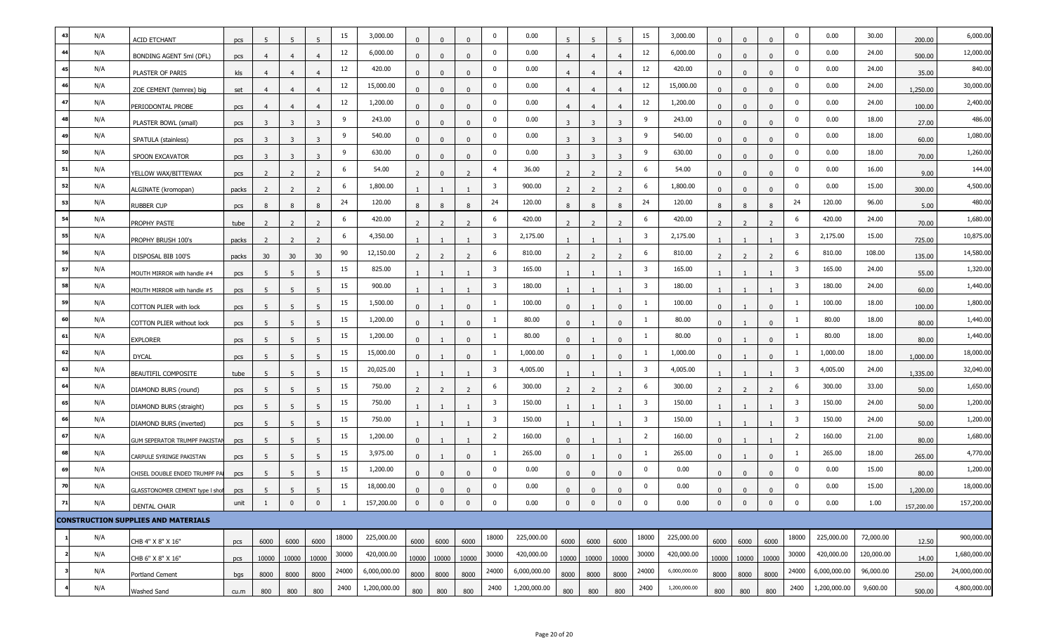|     | N/A | <b>ACID ETCHANT</b>                        | pcs   | -5             | -5                      | 5              | 15    | 3,000.00     | $\Omega$       | $\Omega$       | $\Omega$       | 0                       | 0.00         | -5                      | 5                       |                | 15                      | 3,000.00     | $\Omega$                 | $\Omega$       | $\Omega$       | $\mathbf 0$             | 0.00         | 30.00      | 200.00     | 6,000.00      |
|-----|-----|--------------------------------------------|-------|----------------|-------------------------|----------------|-------|--------------|----------------|----------------|----------------|-------------------------|--------------|-------------------------|-------------------------|----------------|-------------------------|--------------|--------------------------|----------------|----------------|-------------------------|--------------|------------|------------|---------------|
| 44  | N/A | BONDING AGENT 5ml (DFL)                    | pcs   | 4              | 4                       | $\overline{4}$ | 12    | 6,000.00     | $\mathbf{0}$   | $\mathbf{0}$   | $\mathbf{0}$   | $\mathbf 0$             | 0.00         |                         | $\overline{4}$          |                | 12                      | 6,000.00     | $\mathbf{0}$             | $\mathbf{0}$   | $\Omega$       | $\mathbf 0$             | 0.00         | 24.00      | 500.00     | 12,000.00     |
|     | N/A | PLASTER OF PARIS                           | kls   | $\overline{4}$ | $\overline{4}$          | $\overline{4}$ | 12    | 420.00       | $\mathbf{0}$   | $\Omega$       | $\Omega$       | 0                       | 0.00         |                         | $\overline{4}$          |                | 12                      | 420.00       | $\Omega$                 | $\Omega$       | $\mathbf{0}$   | $\mathbf 0$             | 0.00         | 24.00      | 35.00      | 840.00        |
|     | N/A | ZOE CEMENT (temrex) big                    | set   |                | 4                       |                | 12    | 15,000.00    | $\Omega$       | $\Omega$       | $\Omega$       | $\Omega$                | 0.00         | 4                       | $\overline{4}$          |                | 12                      | 15,000.00    | $\Omega$                 | $\Omega$       | $\Omega$       | $\mathbf 0$             | 0.00         | 24.00      | 1,250.00   | 30,000.00     |
|     | N/A | PERIODONTAL PROBE                          | pcs   | $\overline{4}$ | $\overline{4}$          | $\overline{4}$ | 12    | 1,200.00     | $\Omega$       | $\Omega$       | $\mathbf{0}$   | $\bf{0}$                | 0.00         | 4                       | $\overline{4}$          | $\overline{4}$ | 12                      | 1,200.00     | $\Omega$                 | $\mathbf{0}$   | $\mathbf{0}$   | $\mathbf 0$             | 0.00         | 24.00      | 100.00     | 2,400.00      |
|     | N/A | PLASTER BOWL (small)                       | pcs   | 3              | $\overline{\mathbf{3}}$ | 3              | 9     | 243.00       | $\mathbf{0}$   | $\mathbf{0}$   | $\Omega$       | 0                       | 0.00         | $\overline{\mathbf{3}}$ | $\overline{\mathbf{3}}$ | 3              | 9                       | 243.00       | $\Omega$                 | $\Omega$       | $\mathbf{0}$   | $\mathbf 0$             | 0.00         | 18.00      | 27.00      | 486.00        |
|     | N/A | SPATULA (stainless)                        | pcs   | -3             | -3                      | 3              | -9    | 540.00       | $\Omega$       | $\Omega$       | $\Omega$       | $\Omega$                | 0.00         | -3                      | -3                      |                | 9                       | 540.00       | $\Omega$                 | $\Omega$       | $\Omega$       | $\mathbf 0$             | 0.00         | 18.00      | 60.00      | 1,080.00      |
| 50  | N/A | SPOON EXCAVATOR                            | pcs   | 3              | 3                       | $\overline{3}$ | 9     | 630.00       | $\mathbf{0}$   | $\mathbf{0}$   | $\mathbf{0}$   | 0                       | 0.00         | $\overline{\mathbf{3}}$ | -3                      | 3              | 9                       | 630.00       | $\mathbf{0}$             | $\mathbf{0}$   | $\mathbf{0}$   | $\mathbf 0$             | 0.00         | 18.00      | 70.00      | 1,260.00      |
| 51  | N/A | YELLOW WAX/BITTEWAX                        | pcs   | 2              | $\overline{2}$          | 2              | 6     | 54.00        | $\overline{2}$ | $\mathbf{0}$   | 2              | $\overline{4}$          | 36.00        | 2                       | $\overline{2}$          | 2              | 6                       | 54.00        | $\Omega$                 | $\Omega$       | $\mathbf{0}$   | $\mathbf 0$             | 0.00         | 16.00      | 9.00       | 144.00        |
|     | N/A | ALGINATE (kromopan)                        | packs |                |                         |                | 6     | 1,800.00     |                |                |                | 3                       | 900.00       |                         |                         |                | 6                       | 1,800.00     | $\Omega$                 | $\Omega$       |                | $\mathbf 0$             | 0.00         | 15.00      | 300.00     | 4,500.00      |
| 53  | N/A | <b>RUBBER CUP</b>                          | pcs   | -8             | 8                       | 8              | 24    | 120.00       | 8              | 8              | 8              | 24                      | 120.00       | 8                       | 8                       |                | 24                      | 120.00       | 8                        | 8              | 8              | 24                      | 120.00       | 96.00      | 5.00       | 480.00        |
|     | N/A | PROPHY PASTE                               | tube  | 2              | 2                       | 2              | 6     | 420.00       | 2              | $\overline{2}$ | $\overline{z}$ | 6                       | 420.00       | 2                       | $\overline{2}$          | $\overline{z}$ | 6                       | 420.00       | $\overline{\phantom{0}}$ | $\overline{z}$ | $\overline{2}$ | 6                       | 420.00       | 24.00      | 70.00      | 1,680.00      |
|     | N/A | PROPHY BRUSH 100's                         | packs | -2             | -2                      | 2              | 6     | 4,350.00     |                |                |                | 3                       | 2,175.00     |                         |                         |                | 3                       | 2,175.00     |                          |                |                | $\overline{\mathbf{3}}$ | 2,175.00     | 15.00      | 725.00     | 10,875.00     |
|     | N/A | DISPOSAL BIB 100'S                         | packs | 30             | 30 <sup>°</sup>         | 30             | 90    | 12,150.00    |                | 2              | $\overline{ }$ | 6                       | 810.00       |                         | $\overline{z}$          |                | 6                       | 810.00       |                          |                | 2              | 6                       | 810.00       | 108.00     | 135.00     | 14,580.00     |
| -57 | N/A | MOUTH MIRROR with handle #4                | pcs   | 5              | 5                       | 5              | 15    | 825.00       |                |                |                | 3                       | 165.00       |                         |                         |                | 3                       | 165.00       |                          |                |                | $\overline{\mathbf{3}}$ | 165.00       | 24.00      | 55.00      | 1,320.00      |
| 58  | N/A | MOUTH MIRROR with handle #5                | pcs   | -5             | 5                       | -5             | 15    | 900.00       |                |                |                | 3                       | 180.00       |                         |                         |                | $\overline{\mathbf{3}}$ | 180.00       |                          |                |                | $\overline{3}$          | 180.00       | 24.00      | 60.00      | 1,440.00      |
|     | N/A | COTTON PLIER with lock                     | pcs   | 5              | 5                       | 5              | 15    | 1,500.00     | $\mathbf{0}$   |                | $\mathbf{0}$   | $\mathbf{1}$            | 100.00       | $\mathbf{0}$            |                         | $\Omega$       | -1                      | 100.00       | $\Omega$                 |                | $\mathbf{0}$   | 1                       | 100.00       | 18.00      | 100.00     | 1,800.00      |
|     | N/A | <b>COTTON PLIER without lock</b>           | pcs   | 5              | 5                       | 5              | 15    | 1,200.00     | $\mathbf{0}$   |                | $\Omega$       | -1                      | 80.00        | $\mathbf{0}$            |                         | $\Omega$       |                         | 80.00        | $\Omega$                 |                | $\Omega$       | -1                      | 80.00        | 18.00      | 80.00      | 1,440.00      |
| 61  | N/A | <b>EXPLORER</b>                            | pcs   | -5             | 5                       | 5              | 15    | 1,200.00     | $\Omega$       |                | $\Omega$       |                         | 80.00        | $\Omega$                |                         | $\Omega$       |                         | 80.00        | $\Omega$                 |                | $\Omega$       | -1                      | 80.00        | 18.00      | 80.00      | 1,440.00      |
|     | N/A | <b>DYCAL</b>                               | pcs   | 5              | 5                       | 5              | 15    | 15,000.00    | $\mathbf{0}$   |                | $\mathbf{0}$   | -1                      | 1,000.00     | $\mathbf{0}$            |                         | $\Omega$       |                         | 1,000.00     | $\Omega$                 |                | $\mathbf{0}$   | 1                       | 1,000.00     | 18.00      | 1,000.00   | 18,000.00     |
|     | N/A | BEAUTIFIL COMPOSITE                        | tube  | -5             | 5                       | -5             | 15    | 20,025.00    |                |                |                | 3                       | 4,005.00     |                         |                         |                | 3                       | 4,005.00     |                          |                |                | $\overline{\mathbf{3}}$ | 4,005.00     | 24.00      | 1,335.00   | 32,040.00     |
|     | N/A | DIAMOND BURS (round)                       | pcs   |                | 5                       | -5             | 15    | 750.00       |                |                |                | 6                       | 300.00       |                         |                         |                | 6                       | 300.00       |                          |                |                | 6                       | 300.00       | 33.00      | 50.00      | 1,650.00      |
| 65  | N/A | DIAMOND BURS (straight)                    | pcs   | 5              | 5                       | 5              | 15    | 750.00       |                |                |                | $\overline{\mathbf{3}}$ | 150.00       |                         |                         |                | 3                       | 150.00       |                          |                |                | $\overline{\mathbf{3}}$ | 150.00       | 24.00      | 50.00      | 1,200.00      |
|     | N/A | DIAMOND BURS (inverted)                    | pcs   | 5              | 5                       | 5              | 15    | 750.00       |                |                |                | 3                       | 150.00       |                         |                         |                | 3                       | 150.00       |                          |                |                | $\overline{\mathbf{3}}$ | 150.00       | 24.00      | 50.00      | 1,200.00      |
|     | N/A | GUM SEPERATOR TRUMPF PAKISTAN              | pcs   |                | 5                       | -5             | 15    | 1,200.00     | $\Omega$       |                |                | $\overline{2}$          | 160.00       | $\Omega$                |                         |                | 2                       | 160.00       | $\Omega$                 |                |                | $\overline{2}$          | 160.00       | 21.00      | 80.00      | 1,680.00      |
| 68  | N/A | CARPULE SYRINGE PAKISTAN                   | pcs   | 5              | 5                       | 5              | 15    | 3,975.00     | $\mathbf{0}$   |                | $\mathbf{0}$   | -1                      | 265.00       | $\mathbf{0}$            |                         | $\Omega$       |                         | 265.00       | $\mathbf{0}$             |                | $\mathbf{0}$   | 1                       | 265.00       | 18.00      | 265.00     | 4,770.00      |
|     | N/A | CHISEL DOUBLE ENDED TRUMPF PAI             | pcs   | 5              | 5                       | 5              | 15    | 1,200.00     | $\Omega$       | $\Omega$       | $\mathbf{0}$   | 0                       | 0.00         | $\mathbf{0}$            | $\mathbf 0$             | $\mathbf 0$    | $\bf{0}$                | 0.00         | $\Omega$                 | $\mathbf{0}$   | $\mathbf{0}$   | $\bf{0}$                | 0.00         | 15.00      | 80.00      | 1,200.00      |
|     | N/A | GLASSTONOMER CEMENT type I shof            | pcs   |                |                         |                | 15    | 18,000.00    |                |                |                | $\Omega$                | 0.00         |                         |                         |                | $\Omega$                | 0.00         |                          |                |                | $\overline{0}$          | 0.00         | 15.00      | 1,200.00   | 18,000.00     |
| 71  | N/A | <b>DENTAL CHAIR</b>                        | unit  | 1              | $\mathbf 0$             | $\mathbf 0$    |       | 157,200.00   | $\mathbf{0}$   | $\mathbf 0$    | $\mathbf 0$    | 0                       | 0.00         | $\mathbf{0}$            | $\overline{0}$          | $\mathbf 0$    | $\mathbf 0$             | 0.00         | $\mathbf 0$              | $\mathbf 0$    | $\mathbf{0}$   | $\mathbf 0$             | 0.00         | 1.00       | 157,200.00 | 157,200.00    |
|     |     | <b>CONSTRUCTION SUPPLIES AND MATERIALS</b> |       |                |                         |                |       |              |                |                |                |                         |              |                         |                         |                |                         |              |                          |                |                |                         |              |            |            |               |
|     | N/A | CHB 4" X 8" X 16"                          | pcs   | 6000           | 6000                    | 6000           | 18000 | 225,000.00   | 6000           | 6000           | 6000           | 18000                   | 225,000.00   | 6000                    | 6000                    | 6000           | 18000                   | 225,000.00   | 6000                     | 6000           | 6000           | 18000                   | 225,000.00   | 72,000.00  | 12.50      | 900,000.00    |
|     | N/A | CHB 6" X 8" X 16"                          | pcs   | 10000          | 10000                   | 10000          | 30000 | 420,000.00   | 10000          | 10000          | 10000          | 30000                   | 420,000.00   | 10000                   | 10000                   | 10000          | 30000                   | 420,000.00   | 10000                    | 10000          | 10000          | 30000                   | 420,000.00   | 120,000.00 | 14.00      | 1,680,000.00  |
|     | N/A | Portland Cement                            | bgs   | 8000           | 8000                    | 8000           | 24000 | 6,000,000.00 | 8000           | 8000           | 8000           | 24000                   | 6,000,000.00 | 8000                    | 8000                    | 8000           | 24000                   | 6,000,000.00 | 8000                     | 8000           | 8000           | 24000                   | 6,000,000.00 | 96,000.00  | 250.00     | 24,000,000.00 |
|     | N/A | Washed Sand                                | cu.m  | 800            | 800                     | 800            | 2400  | 1,200,000.00 | 800            | 800            | 800            | 2400                    | 1,200,000.00 | 800                     | 800                     | 800            | 2400                    | 1,200,000.00 | 800                      | 800            | 800            | 2400                    | 1,200,000.00 | 9,600.00   | 500.00     | 4,800,000.00  |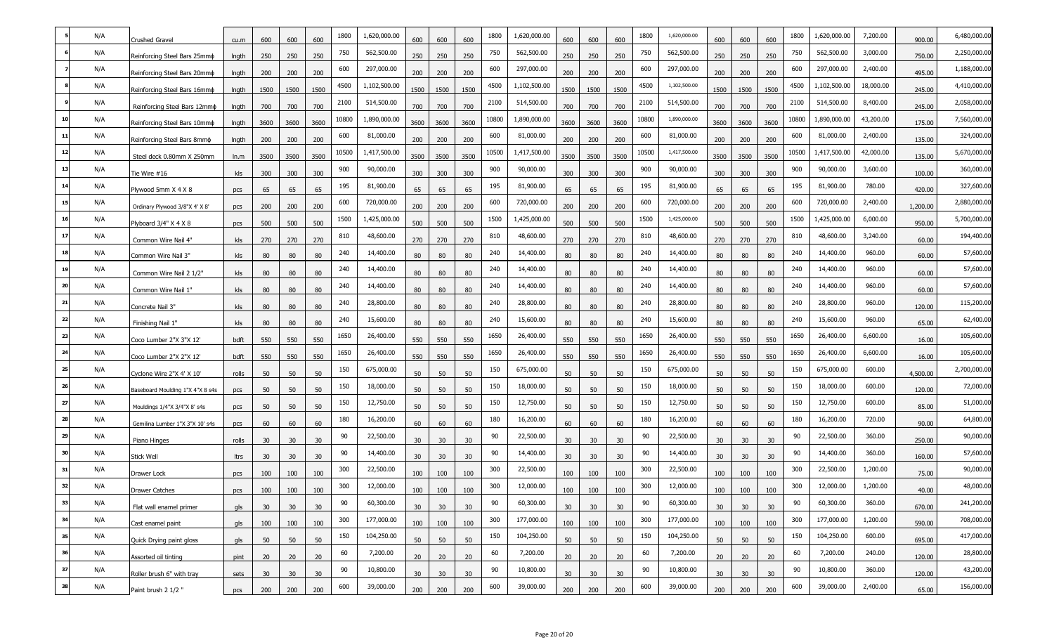|      | N/A | Crushed Gravel                   | cu.m  | 600             | 600             | 600  | 1800  | 1,620,000.00 | 600             | 600             | 600  | 1800  | 1,620,000.00 | 600             | 600             | 600  | 1800  | 1,620,000.00 | 600             | 600  | 600             | 1800  | 1,620,000.00 | 7,200.00  | 900.00   | 6,480,000.00 |
|------|-----|----------------------------------|-------|-----------------|-----------------|------|-------|--------------|-----------------|-----------------|------|-------|--------------|-----------------|-----------------|------|-------|--------------|-----------------|------|-----------------|-------|--------------|-----------|----------|--------------|
|      | N/A | Reinforcing Steel Bars 25mmo     | Ingth | 250             | 250             | 250  | 750   | 562,500.00   | 250             | 250             | 250  | 750   | 562,500.00   | 250             | 250             | 250  | 750   | 562,500.00   | 250             | 250  | 250             | 750   | 562,500.00   | 3,000.00  | 750.00   | 2,250,000.00 |
|      | N/A | Reinforcing Steel Bars 20mmo     | Ingth | 200             | 200             | 200  | 600   | 297,000.00   | 200             | 200             | 200  | 600   | 297,000.00   | 200             | 200             | 200  | 600   | 297,000.00   | 200             | 200  | 200             | 600   | 297,000.00   | 2,400.00  | 495.00   | 1,188,000.00 |
|      | N/A | Reinforcing Steel Bars 16mmo     | Ingth | 1500            | 1500            | 1500 | 4500  | 1,102,500.00 | 1500            | 1500            | 1500 | 4500  | 1,102,500.00 | 1500            | 1500            | 1500 | 4500  | 1,102,500.00 | 1500            | 1500 | 1500            | 4500  | 1,102,500.00 | 18,000.00 | 245.00   | 4,410,000.00 |
|      | N/A | Reinforcing Steel Bars 12mmo     | Ingth | 700             | 700             | 700  | 2100  | 514,500.00   | 700             | 700             | 700  | 2100  | 514,500.00   | 700             | 700             | 700  | 2100  | 514,500.00   | 700             | 700  | 700             | 2100  | 514,500.00   | 8,400.00  | 245.00   | 2,058,000.00 |
|      | N/A | Reinforcing Steel Bars 10mmo     | Ingth | 3600            | 3600            | 3600 | 10800 | 1,890,000.00 | 3600            | 3600            | 3600 | 10800 | 1,890,000.00 | 3600            | 3600            | 3600 | .0800 | 1,890,000.00 | 3600            | 3600 | 3600            | 10800 | 1,890,000.00 | 43,200.00 | 175.00   | 7,560,000.00 |
| 11   | N/A | Reinforcing Steel Bars 8mmo      | Ingth | 200             | 200             | 200  | 600   | 81,000.00    | 200             | 200             | 200  | 600   | 81,000.00    | 200             | 200             | 200  | 600   | 81,000.00    | 200             | 200  | 200             | 600   | 81,000.00    | 2,400.00  | 135.00   | 324,000.00   |
| 12   | N/A | Steel deck 0.80mm X 250mm        | ln.m  | 3500            | 3500            | 3500 | 10500 | 1,417,500.00 | 3500            | 3500            | 3500 | 10500 | 1,417,500.00 | 3500            | 3500            | 3500 | 10500 | 1,417,500.00 | 3500            | 3500 | 3500            | 10500 | 1,417,500.00 | 42,000.00 | 135.00   | 5,670,000.00 |
|      | N/A | Tie Wire #16                     | kls   | 300             | 300             | 300  | 900   | 90,000.00    | 300             | 300             | 300  | 900   | 90,000.00    | 300             | 300             | 300  | 900   | 90,000.00    | 300             | 300  | 300             | 900   | 90,000.00    | 3,600.00  | 100.00   | 360,000.00   |
|      | N/A | Plywood 5mm X 4 X 8              | pcs   | 65              | 65              | 65   | 195   | 81,900.00    | 65              | 65              | 65   | 195   | 81,900.00    | 65              | 65              | 65   | 195   | 81,900.00    | 65              | 65   | 65              | 195   | 81,900.00    | 780.00    | 420.00   | 327,600.00   |
|      | N/A | Ordinary Plywood 3/8"X 4' X 8"   | pcs   | 200             | 200             | 200  | 600   | 720,000.00   | 200             | 200             | 200  | 600   | 720,000.00   | 200             | 200             | 200  | 600   | 720,000.00   | 200             | 200  | 200             | 600   | 720,000.00   | 2,400.00  | 1,200.00 | 2,880,000.00 |
|      | N/A | Plyboard 3/4" X 4 X 8            | pcs   | 500             | 500             | 500  | 1500  | 1,425,000.00 | 500             | 500             | 500  | 1500  | 1,425,000.00 | 500             | 500             | 500  | 1500  | 1,425,000.00 | 500             | 500  | 500             | 1500  | 1,425,000.00 | 6,000.00  | 950.00   | 5,700,000.00 |
|      | N/A | Common Wire Nail 4"              | kls   | 270             | 270             | 270  | 810   | 48,600.00    | 270             | 270             | 270  | 810   | 48,600.00    | 270             | 270             | 270  | 810   | 48,600.00    | 270             | 270  | 270             | 810   | 48,600.00    | 3,240.00  | 60.00    | 194,400.00   |
| 18   | N/A | Common Wire Nail 3"              | kls   | 80              | 80              | 80   | 240   | 14,400.00    | 80              | 80              | 80   | 240   | 14,400.00    | 80              | 80              | 80   | 240   | 14,400.00    | 80              | 80   | 80              | 240   | 14,400.00    | 960.00    | 60.00    | 57,600.00    |
|      | N/A | Common Wire Nail 2 1/2"          | kls   | 80              | 80              | 80   | 240   | 14,400.00    | 80              | 80              | 80   | 240   | 14,400.00    | 80              | 80              | 80   | 240   | 14,400.00    | 80              | 80   | 80              | 240   | 14,400.00    | 960.00    | 60.00    | 57,600.00    |
| 20   | N/A | Common Wire Nail 1"              | kls   | 80              | 80              | 80   | 240   | 14,400.00    | 80              | 80              | 80   | 240   | 14,400.00    | 80              | 80              | 80   | 240   | 14,400.00    | 80              | 80   | 80              | 240   | 14,400.00    | 960.00    | 60.00    | 57,600.00    |
| 21   | N/A | Concrete Nail 3"                 | kls   | 80              | 80              | 80   | 240   | 28,800.00    | 80              | 80              | 80   | 240   | 28,800.00    | 80              | 80              | 80   | 240   | 28,800.00    | 80              | 80   | 80              | 240   | 28,800.00    | 960.00    | 120.00   | 115,200.00   |
| 22   | N/A | Finishing Nail 1"                | kls   | 80              | 80              | 80   | 240   | 15,600.00    | 80              | 80              | 80   | 240   | 15,600.00    | 80              | 80              | 80   | 240   | 15,600.00    | 80              | 80   | 80              | 240   | 15,600.00    | 960.00    | 65.00    | 62,400.00    |
| 23   | N/A | Coco Lumber 2"X 3"X 12"          | bdft  | 550             | 550             | 550  | 1650  | 26,400.00    | 550             | 550             | 550  | 1650  | 26,400.00    | 550             | 550             | 550  | 1650  | 26,400.00    | 550             | 550  | 550             | 1650  | 26,400.00    | 6,600.00  | 16.00    | 105,600.00   |
| 24   | N/A | Coco Lumber 2"X 2"X 12"          | bdft  | 550             | 550             | 550  | 1650  | 26,400.00    | 550             | 550             | 550  | 1650  | 26,400.00    | 550             | 550             | 550  | 1650  | 26,400.00    | 550             | 550  | 550             | 1650  | 26,400.00    | 6,600.00  | 16.00    | 105,600.00   |
| 25   | N/A | Cyclone Wire 2"X 4' X 10'        | rolls | 50              | 50              | 50   | 150   | 675,000.00   | 50              | 50              | 50   | 150   | 675,000.00   | 50              | 50              | 50   | 150   | 675,000.00   | 50              | 50   | 50              | 150   | 675,000.00   | 600.00    | 4,500.00 | 2,700,000.00 |
| 26   | N/A | Baseboard Moulding 1"X 4"X 8 s4s | pcs   | 50              | 50              | 50   | 150   | 18,000.00    | 50              | 50              | 50   | 150   | 18,000.00    | 50              | 50              | 50   | 150   | 18,000.00    | 50              | 50   | 50              | 150   | 18,000.00    | 600.00    | 120.00   | 72,000.00    |
| 27   | N/A | Mouldings 1/4"X 3/4"X 8' s4s     | pcs   | 50              | 50              | 50   | 150   | 12,750.00    | 50              | 50              | 50   | 150   | 12,750.00    | 50              | 50              | 50   | 150   | 12,750.00    | 50              | 50   | 50              | 150   | 12,750.00    | 600.00    | 85.00    | 51,000.00    |
| 28   | N/A | Gemilina Lumber 1"X 3"X 10' s4s  | pcs   | 60              | 60              | 60   | 180   | 16,200.00    | 60              | 60              | 60   | 180   | 16,200.00    | 60              | 60              | 60   | 180   | 16,200.00    | 60              | 60   | 60              | 180   | 16,200.00    | 720.00    | 90.00    | 64,800.00    |
| 29   | N/A | Piano Hinges                     | rolls | 30              | 30              | 30   | 90    | 22,500.00    | 30 <sup>°</sup> | 30              | 30   | 90    | 22,500.00    | 30 <sup>°</sup> | 30              | 30   | 90    | 22,500.00    | 30              | 30   | 30              | 90    | 22,500.00    | 360.00    | 250.00   | 90,000.00    |
|      | N/A | <b>Stick Well</b>                | ltrs  | 30              | 30              | 30   | 90    | 14,400.00    | 30              | 30              | 30   | 90    | 14,400.00    | 30              | 30              | 30   | 90    | 14,400.00    | 30              | 30   | 30 <sup>°</sup> | 90    | 14,400.00    | 360.00    | 160.00   | 57,600.00    |
| 31   | N/A | Drawer Lock                      | pcs   | 100             | 100             | 100  | 300   | 22,500.00    | 100             | 100             | 100  | 300   | 22,500.00    | 100             | 100             | 100  | 300   | 22,500.00    | 100             | 100  | 100             | 300   | 22,500.00    | 1,200.00  | 75.00    | 90,000.00    |
| 32   | N/A | <b>Drawer Catches</b>            | pcs   | 100             | 100             | 100  | 300   | 12,000.00    | 100             | 100             | 100  | 300   | 12,000.00    | 100             | 100             | 100  | 300   | 12,000.00    | 100             | 100  | 100             | 300   | 12,000.00    | 1,200.00  | 40.00    | 48,000.00    |
| 33   | N/A | Flat wall enamel primer          | gls   | 30 <sub>o</sub> | 30 <sup>2</sup> | 30   | 90    | 60,300.00    | 30 <sup>°</sup> | 30 <sup>2</sup> | 30   | 90    | 60,300.00    | 30 <sup>°</sup> | 30 <sup>°</sup> | 30   | 90    | 60,300.00    | 30 <sup>°</sup> | 30   | 30              | 90    | 60,300.00    | 360.00    | 670.00   | 241,200.00   |
| 34   | N/A | Cast enamel paint                | gls   | 100             | 100             | 100  | 300   | 177,000.00   | 100             | 100             | 100  | 300   | 177,000.00   | 100             | 100             | 100  | 300   | 177,000.00   | 100             | 100  | 100             | 300   | 177,000.00   | 1,200.00  | 590.00   | 708,000.00   |
| - 35 | N/A | Quick Drying paint gloss         | gls   | 50              | 50              | 50   | 150   | 104,250.00   | 50              | 50              | 50   | 150   | 104,250.00   | 50              | 50              | 50   | 150   | 104,250.00   | 50              | 50   | 50              | 150   | 104,250.00   | 600.00    | 695.00   | 417,000.00   |
| 36   | N/A | Assorted oil tinting             | pint  | 20              | 20              | 20   | 60    | 7,200.00     | 20              | 20              | 20   | 60    | 7,200.00     | 20              | 20              | 20   | 60    | 7,200.00     | 20              | 20   | 20              | 60    | 7,200.00     | 240.00    | 120.00   | 28,800.00    |
| 37   | N/A | Roller brush 6" with tray        | sets  | 30 <sub>o</sub> | 30 <sup>°</sup> | 30   | 90    | 10,800.00    | 30 <sup>°</sup> | 30 <sup>°</sup> | 30   | 90    | 10,800.00    | 30 <sup>°</sup> | 30 <sup>°</sup> | 30   | 90    | 10,800.00    | 30              | 30   | 30              | 90    | 10,800.00    | 360.00    | 120.00   | 43,200.00    |
| 38   | N/A | Paint brush 2 1/2 "              | pcs   | 200             | 200             | 200  | 600   | 39,000.00    | 200             | 200             | 200  | 600   | 39,000.00    | 200             | 200             | 200  | 600   | 39,000.00    | 200             | 200  | 200             | 600   | 39,000.00    | 2,400.00  | 65.00    | 156,000.00   |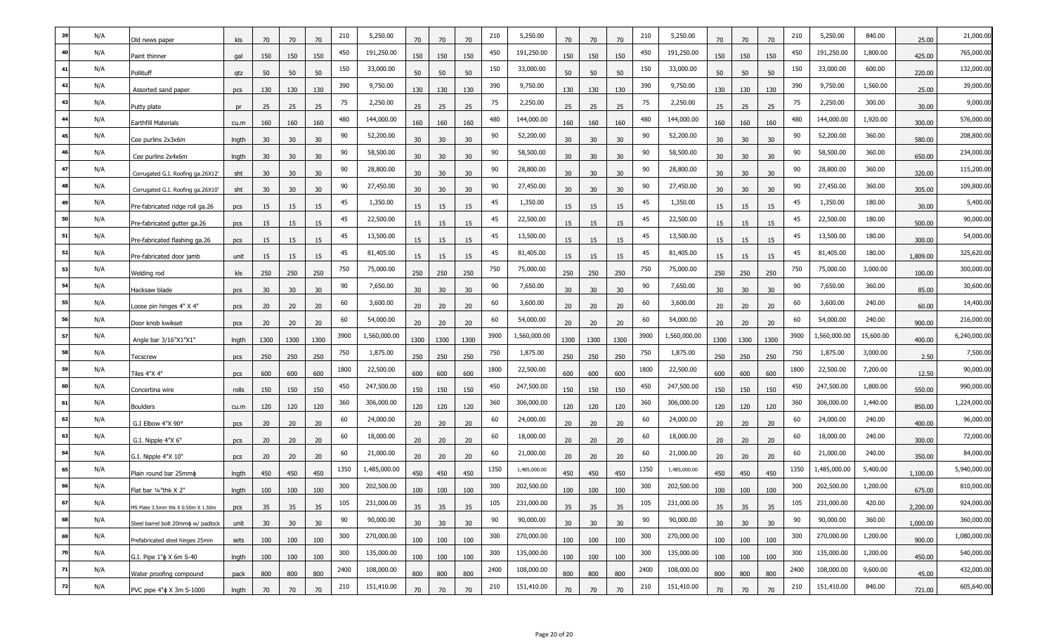|    | N/A | Old news paper                     | kls   | 70              | 70              | 70   | 210  | 5,250.00     | 70              | 70              | 70   | 210  | 5,250.00     | 70              | 70   | 70   | 210  | 5,250.00     | 70              | 70   | 70   | 210  | 5,250.00     | 840.00    | 25.00    | 21,000.00    |
|----|-----|------------------------------------|-------|-----------------|-----------------|------|------|--------------|-----------------|-----------------|------|------|--------------|-----------------|------|------|------|--------------|-----------------|------|------|------|--------------|-----------|----------|--------------|
| 40 | N/A | Paint thinner                      | gal   | 150             | 150             | 150  | 450  | 191,250.00   | 150             | 150             | 150  | 450  | 191,250.00   | 150             | 150  | 150  | 450  | 191,250.00   | 150             | 150  | 150  | 450  | 191,250.00   | 1,800.00  | 425.00   | 765,000.00   |
| 41 | N/A | Pollituff                          | qtz   | 50              | 50              | 50   | 150  | 33,000.00    | 50              | 50              | 50   | 150  | 33,000.00    | 50              | 50   | 50   | 150  | 33,000.00    | 50              | 50   | 50   | 150  | 33,000.00    | 600.00    | 220.00   | 132,000.00   |
|    | N/A | Assorted sand paper                | pcs   | 130             | 130             | 130  | 390  | 9,750.00     | 130             | 130             | 130  | 390  | 9,750.00     | 130             | 130  | 130  | 390  | 9,750.00     | 130             | 130  | 130  | 390  | 9,750.00     | 1,560.00  | 25.00    | 39,000.00    |
|    | N/A | Putty plate                        | pr    | 25              | 25              | 25   | 75   | 2,250.00     | 25              | 25              | 25   | 75   | 2,250.00     | 25              | 25   | 25   | 75   | 2,250.00     | 25              | 25   | 25   | 75   | 2,250.00     | 300.00    | 30.00    | 9,000.00     |
|    | N/A | Earthfill Materials                | cu.m  | 160             | 160             | 160  | 480  | 144,000.00   | 160             | 160             | 160  | 480  | 144,000.00   | 160             | 160  | 160  | 480  | 144,000.00   | 160             | 160  | 160  | 480  | 144,000.00   | 1,920.00  | 300.00   | 576,000.00   |
|    | N/A | Cee purlins 2x3x6m                 | Ingth | 30              | 30              | 30   | 90   | 52,200.00    | 30              | 30              | 30   | 90   | 52,200.00    | 30              | 30   | 30   | 90   | 52,200.00    | 30              | 30   | 30   | 90   | 52,200.00    | 360.00    | 580.00   | 208,800.00   |
|    | N/A | Cee purlins 2x4x6m                 | Ingth | 30              | 30              | 30   | 90   | 58,500.00    | 30              | 30 <sup>2</sup> | 30   | 90   | 58,500.00    | 30              | 30   | 30   | 90   | 58,500.00    | 30 <sup>°</sup> | 30   | 30   | 90   | 58,500.00    | 360.00    | 650.00   | 234,000.00   |
|    | N/A | Corrugated G.I. Roofing ga.26X12'  | sht   | 30              | 30              | 30   | 90   | 28,800.00    | 30              | 30              | 30   | 90   | 28,800.00    | 30              | 30   | 30   | 90   | 28,800.00    | 30              | 30   | 30   | 90   | 28,800.00    | 360.00    | 320.00   | 115,200.00   |
|    | N/A | Corrugated G.I. Roofing ga.26X10'  | sht   | 30              | 30              | 30   | 90   | 27,450.00    | 30              | 30              | 30   | 90   | 27,450.00    | 30              | 30   | 30   | 90   | 27,450.00    | 30              | 30   | 30   | 90   | 27,450.00    | 360.00    | 305.00   | 109,800.00   |
|    | N/A | Pre-fabricated ridge roll ga.26    | pcs   | 15              | 15              | 15   | 45   | 1,350.00     | 15              | 15              | 15   | 45   | 1,350.00     | 15              | 15   | 15   | 45   | 1,350.00     | 15              | 15   | 15   | 45   | 1,350.00     | 180.00    | 30.00    | 5,400.00     |
|    | N/A | Pre-fabricated gutter ga.26        | pcs   | 15              | 15              | 15   | 45   | 22,500.00    | 15              | 15              | 15   | 45   | 22,500.00    | 15              | 15   | 15   | 45   | 22,500.00    | 15              | 15   | 15   | 45   | 22,500.00    | 180.00    | 500.00   | 90,000.00    |
| 51 | N/A | Pre-fabricated flashing ga.26      | pcs   | 15              | 15              | 15   | 45   | 13,500.00    | 15              | 15              | 15   | 45   | 13,500.00    | 15              | 15   | 15   | 45   | 13,500.00    | 15              | 15   | 15   | 45   | 13,500.00    | 180.00    | 300.00   | 54,000.00    |
| 52 | N/A | Pre-fabricated door jamb           | unit  | 15              | 15              | 15   | 45   | 81,405.00    | 15              | 15              | 15   | 45   | 81,405.00    | 15              | 15   | 15   | 45   | 81,405.00    | 15              | 15   | 15   | 45   | 81,405.00    | 180.00    | 1,809.00 | 325,620.00   |
|    | N/A | Welding rod                        | kls   | 250             | 250             | 250  | 750  | 75,000.00    | 250             | 250             | 250  | 750  | 75,000.00    | 250             | 250  | 250  | 750  | 75,000.00    | 250             | 250  | 250  | 750  | 75,000.00    | 3,000.00  | 100.00   | 300,000.00   |
|    | N/A | Hacksaw blade                      | pcs   | 30              | 30              | 30   | 90   | 7,650.00     | 30              | 30 <sup>2</sup> | 30   | 90   | 7,650.00     | 30              | 30   | 30   | 90   | 7,650.00     | 30              | 30   | 30   | 90   | 7,650.00     | 360.00    | 85.00    | 30,600.00    |
| 55 | N/A | oose pin hinges 4" X 4".           | pcs   | 20              | 20              | 20   | 60   | 3,600.00     | 20              | 20              | 20   | 60   | 3,600.00     | 20              | 20   | 20   | 60   | 3,600.00     | 20              | 20   | 20   | 60   | 3,600.00     | 240.00    | 60.00    | 14,400.00    |
|    | N/A | Door knob kwikset                  | pcs   | 20              | 20              | 20   | 60   | 54,000.00    | 20              | 20              | 20   | 60   | 54,000.00    | 20              | 20   | 20   | 60   | 54,000.00    | 20              | 20   | 20   | 60   | 54,000.00    | 240.00    | 900.00   | 216,000.00   |
| 57 | N/A | Angle bar 3/16"X1"X1"              | Ingth | 1300            | 1300            | 1300 | 3900 | 1,560,000.00 | 1300            | 1300            | 1300 | 3900 | 1,560,000.00 | 1300            | 1300 | 1300 | 3900 | 1,560,000.00 | 1300            | 1300 | 1300 | 3900 | 1,560,000.00 | 15,600.00 | 400.00   | 6,240,000.00 |
|    | N/A | Fecscrew                           | pcs   | 250             | 250             | 250  | 750  | 1,875.00     | 250             | 250             | 250  | 750  | 1,875.00     | 250             | 250  | 250  | 750  | 1,875.00     | 250             | 250  | 250  | 750  | 1,875.00     | 3,000.00  | 2.50     | 7,500.00     |
|    | N/A | Tiles 4"X 4"                       | pcs   | 600             | 600             | 600  | 1800 | 22,500.00    | 600             | 600             | 600  | 1800 | 22,500.00    | 600             | 600  | 600  | 1800 | 22,500.00    | 600             | 600  | 600  | 1800 | 22,500.00    | 7,200.00  | 12.50    | 90,000.00    |
|    | N/A | Concertina wire                    | rolls | 150             | 150             | 150  | 450  | 247,500.00   | 150             | 150             | 150  | 450  | 247,500.00   | 150             | 150  | 150  | 450  | 247,500.00   | 150             | 150  | 150  | 450  | 247,500.00   | 1,800.00  | 550.00   | 990,000.00   |
|    | N/A | Boulders                           | cu.m  | 120             | 120             | 120  | 360  | 306,000.00   | 120             | 120             | 120  | 360  | 306,000.00   | 120             | 120  | 120  | 360  | 306,000.00   | 120             | 120  | 120  | 360  | 306,000.00   | 1,440.00  | 850.00   | 1,224,000.00 |
|    | N/A | G.I Elbow 4"X 90°                  | pcs   | 20              | 20              | 20   | 60   | 24,000.00    | 20              | 20              | 20   | 60   | 24,000.00    | 20              | 20   | 20   | 60   | 24,000.00    | 20              | 20   | 20   | 60   | 24,000.00    | 240.00    | 400.00   | 96,000.00    |
| 63 | N/A | G.I. Nipple 4"X 6"                 | pcs   | 20              | 20              | 20   | 60   | 18,000.00    | 20              | 20              | 20   | 60   | 18,000.00    | 20              | 20   | 20   | 60   | 18,000.00    | 20              | 20   | 20   | 60   | 18,000.00    | 240.00    | 300.00   | 72,000.00    |
|    | N/A | G.I. Nipple 4"X 10"                | pcs   | 20              | 20              | 20   | 60   | 21,000.00    | 20              | 20              | 20   | 60   | 21,000.00    | 20              | 20   | 20   | 60   | 21,000.00    | 20              | 20   | 20   | 60   | 21,000.00    | 240.00    | 350.00   | 84,000.00    |
| 65 | N/A | Plain round bar 25mm $\phi$        | Ingth | 450             | 450             | 450  | 1350 | 1,485,000.00 | 450             | 450             | 450  | 1350 | 1,485,000.00 | 450             | 450  | 450  | 1350 | 1,485,000.00 | 450             | 450  | 450  | 1350 | 1,485,000.00 | 5,400.00  | 1,100.00 | 5,940,000.00 |
|    | N/A | Flat bar 1/4"thk X 2"              | Ingth | 100             | 100             | 100  | 300  | 202,500.00   | 100             | 100             | 100  | 300  | 202,500.00   | 100             | 100  | 100  | 300  | 202,500.00   | 100             | 100  | 100  | 300  | 202,500.00   | 1,200.00  | 675.00   | 810,000.00   |
| 67 | N/A | MS Plate 3.5mm thk X 0.50m X 1.50m | pcs   | 35              | 35              | 35   | 105  | 231,000.00   | 35              | 35              | 35   | 105  | 231,000.00   | 35              | 35   | 35   | 105  | 231,000.00   | 35              | 35   | 35   | 105  | 231,000.00   | 420.00    | 2,200.00 | 924,000.00   |
| 68 | N/A | Steel barrel bolt 20mmo w/ padlock | unit  | 30 <sup>°</sup> | 30 <sup>°</sup> | 30   | 90   | 90,000.00    | 30 <sup>°</sup> | 30              | 30   | 90   | 90,000.00    | 30 <sup>°</sup> | 30   | 30   | 90   | 90,000.00    | 30              | 30   | 30   | 90   | 90,000.00    | 360.00    | 1,000.00 | 360,000.00   |
| 69 | N/A | Prefabricated steel hinges 25mm    | sets  | 100             | 100             | 100  | 300  | 270,000.00   | 100             | 100             | 100  | 300  | 270,000.00   | 100             | 100  | 100  | 300  | 270,000.00   | 100             | 100  | 100  | 300  | 270,000.00   | 1,200.00  | 900.00   | 1,080,000.00 |
| 70 | N/A | G.I. Pipe 1" $\phi$ X 6m S-40      | Ingth | 100             | 100             | 100  | 300  | 135,000.00   | 100             | 100             | 100  | 300  | 135,000.00   | 100             | 100  | 100  | 300  | 135,000.00   | 100             | 100  | 100  | 300  | 135,000.00   | 1,200.00  | 450.00   | 540,000.00   |
| 71 | N/A | Water proofing compound            | pack  | 800             | 800             | 800  | 2400 | 108,000.00   | 800             | 800             | 800  | 2400 | 108,000.00   | 800             | 800  | 800  | 2400 | 108,000.00   | 800             | 800  | 800  | 2400 | 108,000.00   | 9,600.00  | 45.00    | 432,000.00   |
| 72 | N/A | PVC pipe 4" $\phi$ X 3m S-1000     | Ingth | 70              | 70              | 70   | 210  | 151,410.00   | 70              | 70              | 70   | 210  | 151,410.00   | 70              | 70   | 70   | 210  | 151,410.00   | 70              | 70   | 70   | 210  | 151,410.00   | 840.00    | 721.00   | 605,640.00   |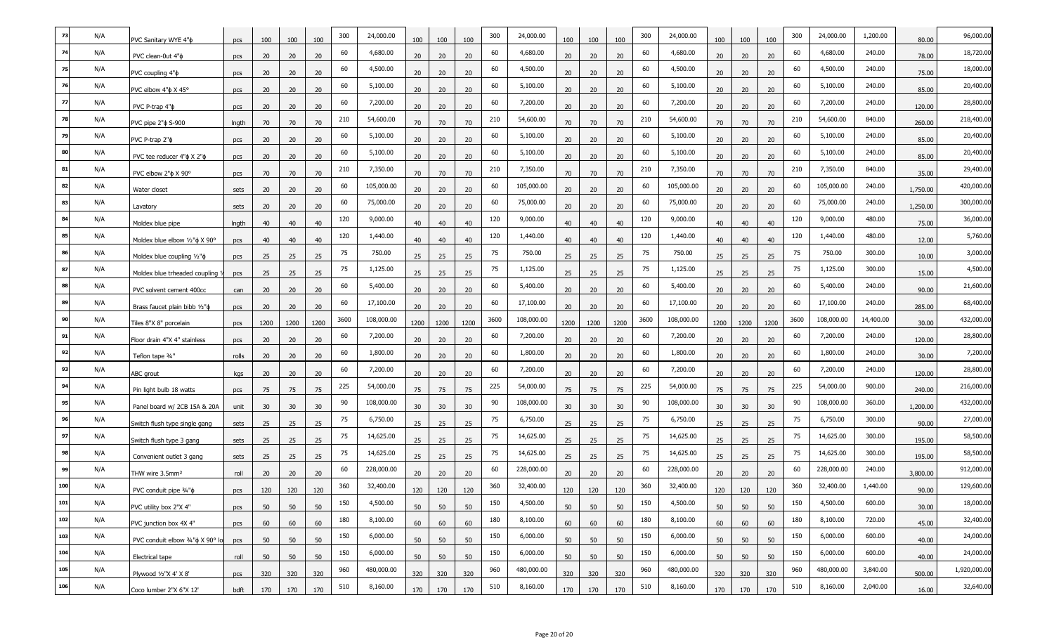|     | N/A | PVC Sanitary WYE 4"¢                      | pcs   | 100  | 100             | 100  | 300  | 24,000.00  | 100             | 100             | 100  | 300  | 24,000.00  | 100             | 100  | 100  | 300  | 24,000.00  | 100  | 100  | 100  | 300  | 24,000.00  | 1,200.00  | 80.00    | 96,000.00    |
|-----|-----|-------------------------------------------|-------|------|-----------------|------|------|------------|-----------------|-----------------|------|------|------------|-----------------|------|------|------|------------|------|------|------|------|------------|-----------|----------|--------------|
| 74  | N/A | PVC clean-0ut 4"¢                         | pcs   | 20   | 20              | 20   | 60   | 4,680.00   | 20              | 20              | 20   | 60   | 4,680.00   | 20              | 20   | 20   | 60   | 4,680.00   | 20   | 20   | 20   | 60   | 4,680.00   | 240.00    | 78.00    | 18,720.00    |
| 75  | N/A | PVC coupling $4"\phi$                     | pcs   | 20   | 20              | 20   | 60   | 4,500.00   | 20 <sub>2</sub> | 20              | 20   | 60   | 4,500.00   | 20              | 20   | 20   | 60   | 4,500.00   | 20   | 20   | 20   | 60   | 4,500.00   | 240.00    | 75.00    | 18,000.00    |
|     | N/A | PVC elbow $4"$ $\phi$ X $45^{\circ}$      | pcs   | 20   | 20              | 20   | 60   | 5,100.00   | 20              | 20              | 20   | 60   | 5,100.00   | 20              | 20   | 20   | 60   | 5,100.00   | 20   | 20   | 20   | 60   | 5,100.00   | 240.00    | 85.00    | 20,400.00    |
| 77  | N/A | PVC P-trap $4"\phi$                       | pcs   | 20   | 20              | 20   | 60   | 7,200.00   | 20              | 20              | 20   | 60   | 7,200.00   | 20              | 20   | 20   | 60   | 7,200.00   | 20   | 20   | 20   | 60   | 7,200.00   | 240.00    | 120.00   | 28,800.00    |
| -78 | N/A | PVC pipe 2" $\phi$ S-900                  | Ingth | 70   | 70              | 70   | 210  | 54,600.00  | 70              | 70              | 70   | 210  | 54,600.00  | 70              | 70   | 70   | 210  | 54,600.00  | 70   | 70   | 70   | 210  | 54,600.00  | 840.00    | 260.00   | 218,400.00   |
| 79  | N/A | PVC P-trap 2" $\phi$                      | pcs   | 20   | 20              | 20   | 60   | 5,100.00   | 20              | 20              | 20   | 60   | 5,100.00   | 20              | 20   | 20   | 60   | 5,100.00   | 20   | 20   | 20   | 60   | 5,100.00   | 240.00    | 85.00    | 20,400.00    |
| 80  | N/A | PVC tee reducer $4"$ $\phi$ X $2"$ $\phi$ | pcs   | 20   | 20              | 20   | 60   | 5,100.00   | 20              | 20              | 20   | 60   | 5,100.00   | 20              | 20   | 20   | 60   | 5,100.00   | 20   | 20   | 20   | 60   | 5,100.00   | 240.00    | 85.00    | 20,400.00    |
| 81  | N/A | PVC elbow $2"$ $\phi$ X $90^{\circ}$      | pcs   | 70   | 70              | 70   | 210  | 7,350.00   | 70              | 70              | 70   | 210  | 7,350.00   | 70              | 70   | 70   | 210  | 7,350.00   | 70   | 70   | 70   | 210  | 7,350.00   | 840.00    | 35.00    | 29,400.00    |
| 82  | N/A | Water closet                              | sets  | 20   | 20              | 20   | 60   | 105,000.00 | 20              | 20              | 20   | 60   | 105,000.00 | 20              | 20   | 20   | 60   | 105,000.00 | 20   | 20   | 20   | 60   | 105,000.00 | 240.00    | 1,750.00 | 420,000.00   |
| 83  | N/A | Lavatory                                  | sets  | 20   | 20              | 20   | 60   | 75,000.00  | 20              | 20              | 20   | 60   | 75,000.00  | 20              | 20   | 20   | 60   | 75,000.00  | 20   | 20   | 20   | 60   | 75,000.00  | 240.00    | 1,250.00 | 300,000.00   |
|     | N/A | Moldex blue pipe                          | Ingth | 40   | 40              | 40   | 120  | 9,000.00   | 40              | 40              | 40   | 120  | 9,000.00   | 40              | 40   | 40   | 120  | 9,000.00   | 40   | 40   | 40   | 120  | 9,000.00   | 480.00    | 75.00    | 36,000.00    |
| 85  | N/A | Moldex blue elbow 1/2" o X 90°            | pcs   | 40   | 40              | 40   | 120  | 1,440.00   | 40              | 40              | 40   | 120  | 1,440.00   | 40              | 40   | 40   | 120  | 1,440.00   | 40   | 40   | 40   | 120  | 1,440.00   | 480.00    | 12.00    | 5,760.00     |
| 86  | N/A | Moldex blue coupling $1/2$ " $\phi$       | pcs   | 25   | 25              | 25   | 75   | 750.00     | 25              | 25              | 25   | 75   | 750.00     | 25              | 25   | 25   | 75   | 750.00     | 25   | 25   | 25   | 75   | 750.00     | 300.00    | 10.00    | 3,000.00     |
| 87  | N/A | Moldex blue trheaded coupling             | pcs   | 25   | 25              | 25   | 75   | 1,125.00   | 25              | 25              | 25   | 75   | 1,125.00   | 25              | 25   | 25   | 75   | 1,125.00   | 25   | 25   | 25   | 75   | 1,125.00   | 300.00    | 15.00    | 4,500.00     |
|     | N/A | PVC solvent cement 400cc                  | can   | 20   | 20              | 20   | 60   | 5,400.00   | 20              | 20              | 20   | 60   | 5,400.00   | 20              | 20   | 20   | 60   | 5,400.00   | 20   | 20   | 20   | 60   | 5,400.00   | 240.00    | 90.00    | 21,600.00    |
| 89  | N/A | Brass faucet plain bibb $1/2$ " $\phi$    | pcs   | 20   | 20              | 20   | 60   | 17,100.00  | 20              | 20              | 20   | 60   | 17,100.00  | 20              | 20   | 20   | 60   | 17,100.00  | 20   | 20   | 20   | 60   | 17,100.00  | 240.00    | 285.00   | 68,400.00    |
| 90  | N/A | Tiles 8"X 8" porcelain                    | pcs   | 1200 | 1200            | 1200 | 3600 | 108,000.00 | 1200            | 1200            | 1200 | 3600 | 108,000.00 | 1200            | 1200 | 1200 | 3600 | 108,000.00 | 1200 | 1200 | 1200 | 3600 | 108,000.00 | 14,400.00 | 30.00    | 432,000.00   |
| 91  | N/A | Floor drain 4"X 4" stainless              | pcs   | 20   | 20              | 20   | 60   | 7,200.00   | 20              | 20              | 20   | 60   | 7,200.00   | 20              | 20   | 20   | 60   | 7,200.00   | 20   | 20   | 20   | 60   | 7,200.00   | 240.00    | 120.00   | 28,800.00    |
| 92  | N/A | Teflon tape 3/4"                          | rolls | 20   | 20              | 20   | 60   | 1,800.00   | 20              | 20              | 20   | 60   | 1,800.00   | 20              | 20   | 20   | 60   | 1,800.00   | 20   | 20   | 20   | 60   | 1,800.00   | 240.00    | 30.00    | 7,200.00     |
| 93  | N/A | ABC grout                                 | kgs   | 20   | 20              | 20   | 60   | 7,200.00   | 20              | 20              | 20   | 60   | 7,200.00   | 20              | 20   | 20   | 60   | 7,200.00   | 20   | 20   | 20   | 60   | 7,200.00   | 240.00    | 120.00   | 28,800.00    |
| 94  | N/A | Pin light bulb 18 watts                   | pcs   | 75   | 75              | 75   | 225  | 54,000.00  | 75              | 75              | 75   | 225  | 54,000.00  | 75              | 75   | 75   | 225  | 54,000.00  | 75   | 75   | 75   | 225  | 54,000.00  | 900.00    | 240.00   | 216,000.00   |
| 95  | N/A | Panel board w/ 2CB 15A & 20A              | unit  | 30   | 30              | 30   | 90   | 108,000.00 | 30              | 30 <sup>°</sup> | 30   | 90   | 108,000.00 | 30              | 30   | 30   | 90   | 108,000.00 | 30   | 30   | 30   | 90   | 108,000.00 | 360.00    | 1,200.00 | 432,000.00   |
| 96  | N/A | Switch flush type single gang             | sets  | 25   | 25              | 25   | 75   | 6,750.00   | 25              | 25              | 25   | 75   | 6,750.00   | 25              | 25   | 25   | 75   | 6,750.00   | 25   | 25   | 25   | 75   | 6,750.00   | 300.00    | 90.00    | 27,000.00    |
| 97  | N/A | Switch flush type 3 gang                  | sets  | 25   | 25              | 25   | 75   | 14,625.00  | 25              | 25              | 25   | 75   | 14,625.00  | 25              | 25   | 25   | 75   | 14,625.00  | 25   | 25   | 25   | 75   | 14,625.00  | 300.00    | 195.00   | 58,500.00    |
| 98  | N/A | Convenient outlet 3 gang                  | sets  | 25   | 25              | 25   | 75   | 14,625.00  | 25              | 25              | 25   | 75   | 14,625.00  | 25              | 25   | 25   | 75   | 14,625.00  | 25   | 25   | 25   | 75   | 14,625.00  | 300.00    | 195.00   | 58,500.00    |
| 99  | N/A | THW wire 3.5mm <sup>2</sup>               | roll  | 20   | 20 <sub>2</sub> | 20   | 60   | 228,000.00 | 20 <sub>2</sub> | 20              | 20   | 60   | 228,000.00 | 20 <sub>2</sub> | 20   | 20   | 60   | 228,000.00 | 20   | 20   | 20   | 60   | 228,000.00 | 240.00    | 3,800.00 | 912,000.00   |
| 100 | N/A | PVC conduit pipe $\frac{3}{4}$ " $\phi$   | pcs   | 120  | 120             | 120  | 360  | 32,400.00  | 120             | 120             | 120  | 360  | 32,400.00  | 120             | 120  | 120  | 360  | 32,400.00  | 120  | 120  | 120  | 360  | 32,400.00  | 1,440.00  | 90.00    | 129,600.00   |
| 101 | N/A | PVC utility box 2"X 4"                    | pcs   | 50   | 50              | 50   | 150  | 4,500.00   | 50              | 50              | 50   | 150  | 4,500.00   | 50              | 50   | 50   | 150  | 4,500.00   | 50   | 50   | 50   | 150  | 4,500.00   | 600.00    | 30.00    | 18,000.00    |
| 102 | N/A | PVC junction box 4X 4"                    | pcs   | 60   | 60              | 60   | 180  | 8,100.00   | 60              | 60              | 60   | 180  | 8,100.00   | 60              | 60   | 60   | 180  | 8,100.00   | 60   | 60   | 60   | 180  | 8,100.00   | 720.00    | 45.00    | 32,400.00    |
| 103 | N/A | PVC conduit elbow 3/4" $\phi$ X 90° lo    | pcs   | 50   | 50              | 50   | 150  | 6,000.00   | 50              | 50              | 50   | 150  | 6,000.00   | 50              | 50   | 50   | 150  | 6,000.00   | 50   | 50   | 50   | 150  | 6,000.00   | 600.00    | 40.00    | 24,000.00    |
| 104 | N/A | Electrical tape                           | roll  | 50   | 50              | 50   | 150  | 6,000.00   | 50              | 50              | 50   | 150  | 6,000.00   | 50              | 50   | 50   | 150  | 6,000.00   | 50   | 50   | 50   | 150  | 6,000.00   | 600.00    | 40.00    | 24,000.00    |
| 105 | N/A | Plywood 1/2"X 4' X 8"                     | pcs   | 320  | 320             | 320  | 960  | 480,000.00 | 320             | 320             | 320  | 960  | 480,000.00 | 320             | 320  | 320  | 960  | 480,000.00 | 320  | 320  | 320  | 960  | 480,000.00 | 3,840.00  | 500.00   | 1,920,000.00 |
| 106 | N/A | Coco lumber 2"X 6"X 12'                   | bdft  | 170  | 170             | 170  | 510  | 8,160.00   | 170             | 170             | 170  | 510  | 8,160.00   | 170             | 170  | 170  | 510  | 8,160.00   | 170  | 170  | 170  | 510  | 8,160.00   | 2,040.00  | 16.00    | 32,640.00    |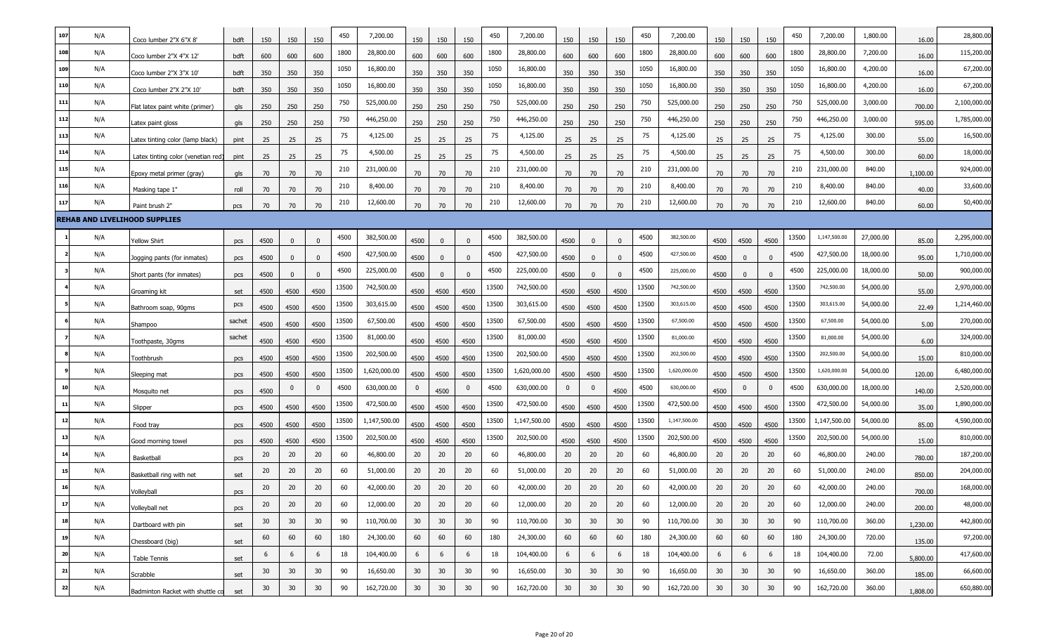| 107<br>450<br>450<br>450<br>N/A<br>7,200.00<br>7,200.00<br>7,200.00<br>450<br>7,200.00                                                                                                                                                                                  | 28,800.00<br>1,800.00               |
|-------------------------------------------------------------------------------------------------------------------------------------------------------------------------------------------------------------------------------------------------------------------------|-------------------------------------|
| 150<br>150<br>150<br>150<br>150<br>150<br>150<br>150<br>150<br>150<br>150<br>150<br>Coco lumber 2"X 6"X 8"<br>bdft                                                                                                                                                      | 16.00                               |
| 108<br>N/A<br>1800<br>1800<br>1800<br>1800<br>28,800.00<br>28,800.00<br>28,800.00<br>28,800.00<br>600<br>600<br>600<br>600<br>Coco lumber 2"X 4"X 12"<br>600<br>600<br>600<br>600<br>600<br>600<br>600<br>600<br>bdft                                                   | 115,200.00<br>7,200.00<br>16.00     |
| 109<br>N/A<br>1050<br>16,800.00<br>1050<br>16,800.00<br>1050<br>16,800.00<br>1050<br>16,800.00<br>350<br>350<br>Coco lumber 2"X 3"X 10'<br>350<br>350<br>350<br>350<br>350<br>350<br>350<br>350<br>350<br>350<br>bdft                                                   | 4,200.00<br>67,200.00<br>16.00      |
| 110<br>N/A<br>1050<br>16,800.00<br>1050<br>16,800.00<br>1050<br>16,800.00<br>1050<br>16,800.00<br>350<br>350<br>350<br>350<br>350<br>350<br>350<br>350<br>350<br>350<br>350<br>350<br>Coco lumber 2"X 2"X 10"<br>bdft                                                   | 4,200.00<br>67,200.00<br>16.00      |
| 111<br>N/A<br>750<br>750<br>750<br>525,000.00<br>525,000.00<br>525,000.00<br>525,000.00<br>750<br>250<br>250<br>250<br>250<br>250<br>250<br>250<br>250<br>250<br>250<br>250<br>250<br>Flat latex paint white (primer)<br>gls                                            | 3,000.00<br>2,100,000.00<br>700.00  |
| 112<br>N/A<br>750<br>446,250.00<br>750<br>446,250.00<br>750<br>446,250.00<br>750<br>446,250.00<br>250<br>250<br>250<br>250<br>250<br>250<br>250<br>250<br>250<br>250<br>250<br>Latex paint gloss<br>250<br>gls                                                          | 1,785,000.00<br>3,000.00<br>595.00  |
| 113<br>N/A<br>75<br>4,125.00<br>75<br>4,125.00<br>75<br>4,125.00<br>75<br>4,125.00<br>25<br>25<br>25<br>25<br>25<br>25<br>25<br>25<br>25<br>25<br>25<br>25<br>atex tinting color (lamp black).<br>pint                                                                  | 16,500.00<br>300.00<br>55.00        |
| 114<br>75<br>75<br>75<br>75<br>N/A<br>4,500.00<br>4,500.00<br>4,500.00<br>4,500.00<br>25<br>25<br>25<br>25<br>25<br>25<br>25<br>25<br>25<br>25<br>25<br>25<br>Latex tinting color (venetian red<br>pint                                                                 | 18,000.00<br>300.00<br>60.00        |
| 115<br>N/A<br>210<br>231,000.00<br>210<br>231,000.00<br>210<br>231,000.00<br>210<br>231,000.00<br>70<br>70<br>70<br>70<br>70<br>70<br>70<br>70<br>70<br>70<br>70<br>Epoxy metal primer (gray)<br>70<br>gls                                                              | 924,000.00<br>840.00<br>1,100.00    |
| 116<br>N/A<br>210<br>210<br>210<br>210<br>8,400.00<br>8,400.00<br>8,400.00<br>8,400.00<br>70<br>70<br>70<br>70<br>70<br>70<br>70<br>70<br>70<br>70<br>Masking tape 1"<br>70<br>70<br>roll                                                                               | 33,600.00<br>840.00<br>40.00        |
| 210<br>12,600.00<br>210<br>12,600.00<br>210<br>12,600.00<br>12,600.00<br>117<br>N/A<br>210<br>70<br>70<br>70<br>70<br>70<br>70<br>70<br>Paint brush 2"<br>70<br>70<br>70<br>70<br>70<br>pcs                                                                             | 50,400.00<br>840.00<br>60.00        |
| <b>REHAB AND LIVELIHOOD SUPPLIES</b>                                                                                                                                                                                                                                    |                                     |
| 4500<br>382,500.00<br>1,147,500.00<br>4500<br>382,500.00<br>4500<br>382,500.00<br>13500<br>N/A<br>4500<br>4500<br>4500<br>4500<br>4500<br><b>rellow Shirt</b><br>4500<br>$\Omega$<br>$\Omega$<br>$\Omega$<br>$\Omega$<br>$\Omega$<br>$\Omega$<br>pcs                    | 2,295,000.00<br>27,000.00<br>85.00  |
| 4500<br>N/A<br>4500<br>427,500.00<br>427,500.00<br>4500<br>4500<br>427,500.00<br>427,500.00<br>4500<br>4500<br>4500<br>Jogging pants (for inmates)<br>4500<br>$\Omega$<br>$\Omega$<br>$\mathbf{0}$<br>$\Omega$<br>$\Omega$<br>$\Omega$<br>$\Omega$<br>$\Omega$<br>pcs   | 18,000.00<br>1,710,000.00<br>95.00  |
| 225,000.00<br>4500<br>225,000.00<br>4500<br>225,000.00<br>225,000.00<br>N/A<br>4500<br>4500<br>4500<br>4500<br>4500<br>$\mathbf{0}$<br>4500<br>$\Omega$<br>Short pants (for inmates)<br>$\Omega$<br>$\Omega$<br>$\Omega$<br>$\Omega$<br>$\Omega$<br>$\mathbf{0}$<br>pcs | 18,000.00<br>900,000.00<br>50.00    |
| 742,500.00<br>742,500.00<br>13500<br>N/A<br>13500<br>13500<br>13500<br>742,500.00<br>742,500.00<br>4500<br>4500<br>4500<br>4500<br>4500<br>4500<br>4500<br>4500<br>4500<br>4500<br>4500<br>4500<br>Groaming kit<br>set                                                  | 54,000.00<br>2,970,000.00<br>55.00  |
| N/A<br>13500<br>303,615.00<br>13500<br>303,615.00<br>13500<br>303,615.00<br>13500<br>303,615.00<br>pcs<br>4500<br>4500<br>4500<br>Bathroom soap, 90gms<br>4500<br>4500<br>4500<br>4500<br>4500<br>4500<br>4500<br>4500<br>4500                                          | 1,214,460.00<br>54,000.00<br>22.49  |
| 13500<br>67,500.00<br>13500<br>67,500.00<br>13500<br>13500<br>N/A<br>67,500.00<br>67,500.00<br>sachet<br>4500<br>4500<br>4500<br>4500<br>4500<br>4500<br>4500<br>4500<br>4500<br>4500<br>4500<br>4500<br>Shampoo                                                        | 270,000.00<br>54,000.00<br>5.00     |
| 81,000.00<br>13500<br>N/A<br>13500<br>13500<br>81,000.00<br>13500<br>81,000.00<br>81,000.00<br>sachet<br>4500<br>4500<br>Foothpaste, 30gms<br>4500<br>4500<br>4500<br>4500<br>4500<br>4500<br>4500<br>4500<br>4500<br>4500                                              | 54,000.00<br>324,000.00<br>6.00     |
| N/A<br>13500<br>202,500.00<br>13500<br>202,500.00<br>13500<br>13500<br>202,500.00<br>202,500.00<br>4500<br>4500<br>4500<br>4500<br>4500<br>4500<br>4500<br>4500<br>4500<br>4500<br>Toothbrush<br>4500<br>4500<br>pcs                                                    | 810,000.00<br>54,000.00<br>15.00    |
| 13500<br>1,620,000.00<br>13500<br>1,620,000.00<br>13500<br>N/A<br>13500<br>1,620,000.00<br>1,620,000.00<br>4500<br>4500<br>4500<br>4500<br>4500<br>4500<br>4500<br>4500<br>4500<br>4500<br>4500<br>4500<br>Sleeping mat<br>pcs                                          | 6,480,000.00<br>54,000.00<br>120.00 |
| 4500<br>630,000.00<br>4500<br>630,000.00<br>4500<br>630,000.00<br>4500<br>630,000.00<br>N/A<br>0<br>$\mathbf 0$<br>$\Omega$<br>$\mathbf{0}$<br>0<br>0<br>0<br>4500<br>4500<br>4500<br>4500<br>Mosquito net<br>pcs                                                       | 18,000.00<br>2,520,000.00<br>140.00 |
| N/A<br>13500<br>472,500.00<br>13500<br>472,500.00<br>13500<br>472,500.00<br>13500<br>472,500.00<br>11<br>4500<br>4500<br>4500<br>4500<br>4500<br>Slipper<br>4500<br>4500<br>4500<br>4500<br>4500<br>4500<br>4500<br>pcs                                                 | 54,000.00<br>1,890,000.00<br>35.00  |
| 12<br>13500<br>1,147,500.00<br>13500<br>1,147,500.00<br>1,147,500.00<br>13500<br>1,147,500.00<br>N/A<br>13500<br>4500<br>4500<br>4500<br>4500<br>4500<br>4500<br>4500<br>4500<br>4500<br>4500<br>4500<br>4500<br>Food tray<br>pcs                                       | 4,590,000.00<br>54,000.00<br>85.00  |
| 202,500.00<br>N/A<br>13500<br>202,500.00<br>13500<br>202,500.00<br>13500<br>202,500.00<br>13500<br>4500<br>4500<br>4500<br>4500<br>4500<br>4500<br>4500<br>4500<br>4500<br>4500<br>4500<br>4500<br>Good morning towel<br>pcs                                            | 54,000.00<br>810,000.00<br>15.00    |
| 20<br>60<br>60<br>60<br>60<br>14<br>N/A<br>20<br>46,800.00<br>20<br>20<br>20<br>46,800.00<br>20<br>20<br>20<br>46,800.00<br>20<br>20<br>20<br>46,800.00<br>20<br>Basketball<br>pcs                                                                                      | 240.00<br>187,200.00<br>780.00      |
| 20<br>51,000.00<br>20<br>20<br>20<br>51,000.00<br>15<br>N/A<br>20<br>20<br>60<br>20<br>20<br>60<br>51,000.00<br>20<br>60<br>51,000.00<br>20<br>20<br>20<br>60<br>Basketball ring with net<br>set                                                                        | 204,000.00<br>240.00<br>850.00      |
| 60<br>20<br>60<br>20<br>20<br>60<br>20<br>60<br>16<br>N/A<br>20<br>20<br>20<br>42,000.00<br>20<br>20<br>42,000.00<br>20<br>42,000.00<br>20<br>20<br>42,000.00<br>Volleyball<br>pcs                                                                                      | 168,000.00<br>240.00<br>700.00      |
| 12,000.00<br>12,000.00<br>12,000.00<br>12,000.00<br>17<br>N/A<br>20<br>60<br>20<br>20<br>20<br>60<br>20<br>20<br>60<br>20<br>20<br>20<br>60<br>20<br>20<br>20<br>Volleyball net<br>pcs                                                                                  | 48,000.00<br>240.00<br>200.00       |
| 30 <sup>°</sup><br>30 <sup>°</sup><br>18<br>N/A<br>30<br>30 <sup>°</sup><br>30<br>90<br>110,700.00<br>30<br>30<br>90<br>110,700.00<br>30 <sup>°</sup><br>30 <sup>°</sup><br>90<br>110,700.00<br>30<br>30<br>30<br>90<br>110,700.00<br>Dartboard with pin<br>set         | 360.00<br>442,800.00<br>1,230.00    |
| 19<br>60<br>60<br>180<br>N/A<br>60<br>60<br>60<br>180<br>24,300.00<br>60<br>60<br>180<br>24,300.00<br>60<br>60<br>24,300.00<br>60<br>60<br>60<br>180<br>24,300.00<br>Chessboard (big)<br>set                                                                            | 97,200.00<br>720.00<br>135.00       |
| 20<br>N/A<br>6<br>6<br>18<br>104,400.00<br>6<br>6<br>6<br>18<br>104,400.00<br>6<br>6<br>18<br>104,400.00<br>6<br>18<br>104,400.00<br>6<br>6<br>6<br>6<br>Table Tennis<br>set                                                                                            | 417,600.00<br>72.00<br>5,800.00     |
| 21<br>30<br>90<br>16,650.00<br>30<br>30 <sup>°</sup><br>30<br>90<br>16,650.00<br>30<br>30<br>90<br>16,650.00<br>30<br>30<br>16,650.00<br>N/A<br>30<br>30<br>30<br>30<br>90<br>Scrabble<br>set                                                                           | 66,600.00<br>360.00<br>185.00       |
|                                                                                                                                                                                                                                                                         |                                     |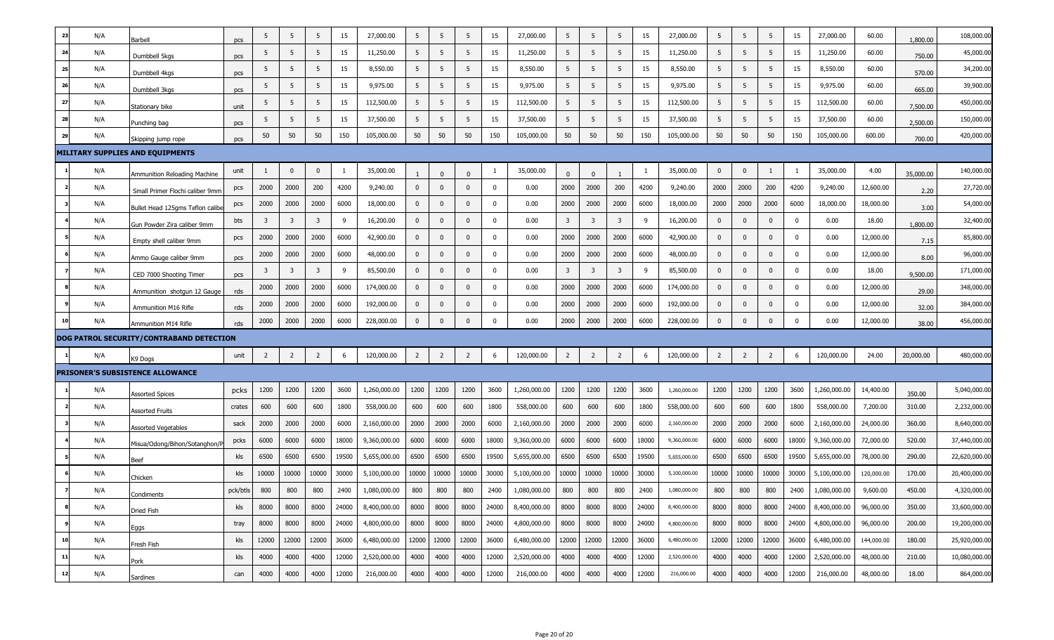| 23 | N/A | Barbell                                                          | pcs      | 5                       | 5              | 5              | 15    | 27,000.00    | 5              | -5             | 5              | 15          | 27,000.00    | 5              | 5              | 5              | 15    | 27,000.00    | 5              | 5              | 5              | 15          | 27,000.00    | 60.00      | 1,800.00  | 108,000.00    |
|----|-----|------------------------------------------------------------------|----------|-------------------------|----------------|----------------|-------|--------------|----------------|----------------|----------------|-------------|--------------|----------------|----------------|----------------|-------|--------------|----------------|----------------|----------------|-------------|--------------|------------|-----------|---------------|
| 24 | N/A | Dumbbell 5kgs                                                    | pcs      | 5                       | 5              | 5              | 15    | 11,250.00    | 5              | 5              | 5              | 15          | 11,250.00    | 5              | 5              | 5              | 15    | 11,250.00    | 5              | 5              | 5              | 15          | 11,250.00    | 60.00      | 750.00    | 45,000.00     |
| 25 | N/A | Dumbbell 4kgs                                                    | pcs      | 5                       | 5              | 5              | 15    | 8,550.00     | 5              | -5             | 5              | 15          | 8,550.00     | 5              | 5              | 5              | 15    | 8,550.00     | 5              | 5              | 5              | 15          | 8,550.00     | 60.00      | 570.00    | 34,200.00     |
| 26 | N/A | Dumbbell 3kgs                                                    | pcs      | 5                       | 5              | 5              | 15    | 9,975.00     | 5              | -5             | 5              | 15          | 9,975.00     | 5              | 5              | 5              | 15    | 9,975.00     | 5              | 5              | 5              | 15          | 9,975.00     | 60.00      | 665.00    | 39,900.00     |
| 27 | N/A | Stationary bike                                                  | unit     | 5                       | 5              | 5              | 15    | 112,500.00   | 5              | -5             | 5              | 15          | 112,500.00   | 5              | 5              | 5              | 15    | 112,500.00   | 5              | 5              | 5              | 15          | 112,500.00   | 60.00      | 7,500.00  | 450,000.00    |
| 28 | N/A | Punching bag                                                     | pcs      | -5                      | 5              | 5              | 15    | 37,500.00    | 5              | 5              | 5              | 15          | 37,500.00    | 5              | 5              | 5              | 15    | 37,500.00    | 5              | 5              | 5              | 15          | 37,500.00    | 60.00      | 2,500.00  | 150,000.00    |
| 29 | N/A | Skipping jump rope                                               | pcs      | 50                      | 50             | 50             | 150   | 105,000.00   | 50             | 50             | 50             | 150         | 105,000.00   | 50             | 50             | 50             | 150   | 105,000.00   | 50             | 50             | 50             | 150         | 105,000.00   | 600.00     | 700.00    | 420,000.00    |
|    |     | MILITARY SUPPLIES AND EQUIPMENTS                                 |          |                         |                |                |       |              |                |                |                |             |              |                |                |                |       |              |                |                |                |             |              |            |           |               |
|    | N/A | Ammunition Reloading Machine                                     | unit     |                         | 0              | $\mathbf{0}$   | -1    | 35,000.00    |                | $\Omega$       | $\Omega$       | -1          | 35,000.00    | $\Omega$       | $\Omega$       |                |       | 35,000.00    | 0              | 0              |                | 1           | 35,000.00    | 4.00       | 35,000.00 | 140,000.00    |
|    | N/A | Small Primer Flochi caliber 9mm                                  | pcs      | 2000                    | 2000           | 200            | 4200  | 9,240.00     | $\mathbf{0}$   | $\mathbf 0$    | $\mathbf{0}$   | $\mathbf 0$ | 0.00         | 2000           | 2000           | 200            | 4200  | 9,240.00     | 2000           | 2000           | 200            | 4200        | 9,240.00     | 12,600.00  | 2.20      | 27,720.00     |
|    | N/A | Bullet Head 125gms Teflon calibe                                 | pcs      | 2000                    | 2000           | 2000           | 6000  | 18,000.00    | $\mathbf 0$    | $\mathbf{0}$   | $\mathbf 0$    | $\mathbf 0$ | 0.00         | 2000           | 2000           | 2000           | 6000  | 18,000.00    | 2000           | 2000           | 2000           | 6000        | 18,000.00    | 18,000.00  | 3.00      | 54,000.00     |
|    | N/A | Gun Powder Zira caliber 9mm                                      | bts      | $\overline{\mathbf{3}}$ | 3              | 3              | 9     | 16,200.00    | $\mathbf{0}$   | $\mathbf{0}$   | $\mathbf{0}$   | 0           | 0.00         | 3              | -3             | 3              | 9     | 16,200.00    | $\mathbf{0}$   | 0              | $\mathbf 0$    | 0           | 0.00         | 18.00      | 1,800.00  | 32,400.00     |
|    | N/A | Empty shell caliber 9mm                                          | pcs      | 2000                    | 2000           | 2000           | 6000  | 42,900.00    | $\mathbf{0}$   | $\mathbf{0}$   | $\mathbf{0}$   | $\mathbf 0$ | 0.00         | 2000           | 2000           | 2000           | 6000  | 42,900.00    | $\mathbf{0}$   | $\mathbf{0}$   | $\mathbf 0$    | $\mathbf 0$ | 0.00         | 12,000.00  | 7.15      | 85,800.00     |
|    | N/A |                                                                  |          | 2000                    | 2000           | 2000           | 6000  | 48,000.00    | $\mathbf{0}$   | $\mathbf{0}$   | $\mathbf{0}$   | $\mathbf 0$ | 0.00         | 2000           | 2000           | 2000           | 6000  | 48,000.00    | $\mathbf{0}$   | $\mathbf{0}$   | $\mathbf 0$    | $\mathbf 0$ | 0.00         | 12,000.00  | 8.00      | 96,000.00     |
|    | N/A | Ammo Gauge caliber 9mm                                           | pcs      | $\overline{3}$          | 3              | 3              | 9     | 85,500.00    | $\mathbf{0}$   | $\mathbf{0}$   | $\mathbf{0}$   | 0           | 0.00         | 3              | -3             | 3              | 9     | 85,500.00    | $\mathbf{0}$   | $\mathbf{0}$   | $\mathbf 0$    | 0           | 0.00         | 18.00      |           | 171,000.00    |
|    | N/A | CED 7000 Shooting Timer                                          | pcs      | 2000                    | 2000           | 2000           | 6000  | 174,000.00   | $\mathbf 0$    | $\mathbf{0}$   | $\mathbf{0}$   | $\mathbf 0$ | 0.00         | 2000           | 2000           | 2000           | 6000  | 174,000.00   | $\mathbf{0}$   | $\mathbf{0}$   | $\mathbf 0$    | $\mathbf 0$ | 0.00         | 12,000.00  | 9,500.00  | 348,000.00    |
|    | N/A | Ammunition shotgun 12 Gauge                                      | rds      | 2000                    | 2000           | 2000           | 6000  | 192,000.00   | $\mathbf{0}$   | $\mathbf{0}$   | $\mathbf{0}$   | $\mathbf 0$ | 0.00         | 2000           | 2000           | 2000           | 6000  | 192,000.00   | $\mathbf{0}$   | $\mathbf{0}$   | $\mathbf{0}$   | $\mathbf 0$ | 0.00         | 12,000.00  | 29.00     | 384,000.00    |
| 10 | N/A | Ammunition M16 Rifle                                             | rds      | 2000                    | 2000           | 2000           | 6000  | 228,000.00   | $\mathbf{0}$   | $\mathbf{0}$   | $\mathbf{0}$   | $\mathbf 0$ | 0.00         | 2000           | 2000           | 2000           | 6000  | 228,000.00   | $\mathbf{0}$   | $\mathbf{0}$   | $\mathbf{0}$   | $\mathbf 0$ | 0.00         | 12,000.00  | 32.00     | 456,000.00    |
|    |     | Ammunition M14 Rifle<br>DOG PATROL SECURITY/CONTRABAND DETECTION | rds      |                         |                |                |       |              |                |                |                |             |              |                |                |                |       |              |                |                |                |             |              |            | 38.00     |               |
|    |     |                                                                  |          |                         |                |                |       |              |                |                |                |             |              |                |                |                |       |              |                |                |                |             |              |            |           |               |
|    | N/A | K9 Dogs                                                          | unit     | $\overline{2}$          | $\overline{2}$ | $\overline{2}$ | 6     | 120,000.00   | $\overline{2}$ | $\overline{2}$ | $\overline{2}$ | 6           | 120,000.00   | $\overline{2}$ | $\overline{2}$ | $\overline{2}$ | 6     | 120,000.00   | $\overline{2}$ | $\overline{2}$ | $\overline{2}$ | 6           | 120,000.00   | 24.00      | 20,000.00 | 480,000.00    |
|    |     | <b>PRISONER'S SUBSISTENCE ALLOWANCE</b>                          |          |                         |                |                |       |              |                |                |                |             |              |                |                |                |       |              |                |                |                |             |              |            |           |               |
|    | N/A | Assorted Spices                                                  | pcks     | 1200                    | 1200           | 1200           | 3600  | 1,260,000.00 | 1200           | 1200           | 1200           | 3600        | 1,260,000.00 | 1200           | 1200           | 1200           | 3600  | 1,260,000.00 | 1200           | 1200           | 1200           | 3600        | 1,260,000.00 | 14,400.00  | 350.00    | 5,040,000.00  |
|    | N/A | <b>Assorted Fruits</b>                                           | crates   | 600                     | 600            | 600            | 1800  | 558,000.00   | 600            | 600            | 600            | 1800        | 558,000.00   | 600            | 600            | 600            | 1800  | 558,000.00   | 600            | 600            | 600            | 1800        | 558,000.00   | 7,200.00   | 310.00    | 2,232,000.00  |
|    | N/A | <b>Assorted Vegetables</b>                                       | sack     | 2000                    | 2000           | 2000           | 6000  | 2,160,000.00 | 2000           | 2000           | 2000           | 6000        | 2,160,000.00 | 2000           | 2000           | 2000           | 6000  | 2,160,000.00 | 2000           | 2000           | 2000           | 6000        | 2,160,000.00 | 24,000.00  | 360.00    | 8,640,000.00  |
|    | N/A | Misua/Odong/Bihon/Sotanghon/I                                    | pcks     | 6000                    | 6000           | 6000           | 18000 | 9,360,000.00 | 6000           | 6000           | 6000           | 18000       | 9,360,000.00 | 6000           | 6000           | 6000           | 18000 | 9,360,000.00 | 6000           | 6000           | 6000           | 18000       | 9,360,000.00 | 72,000.00  | 520.00    | 37,440,000.00 |
|    | N/A | Beef                                                             | kls      | 6500                    | 6500           | 6500           | 19500 | 5,655,000.00 | 6500           | 6500           | 6500           | 19500       | 5,655,000.00 | 6500           | 6500           | 6500           | 19500 | 5,655,000.00 | 6500           | 6500           | 6500           | 19500       | 5,655,000.00 | 78,000.00  | 290.00    | 22,620,000.00 |
|    | N/A | Chicken                                                          | kls      | 10000                   | 10000          | 10000          | 30000 | 5,100,000.00 | 10000          | 10000          | 10000          | 30000       | 5,100,000.00 | 10000          | 10000          | 10000          | 30000 | 5,100,000.00 | 10000          | 10000          | 10000          | 30000       | 5,100,000.00 | 120,000.00 | 170.00    | 20,400,000.00 |
|    | N/A | Condiments                                                       | pck/btls | 800                     | 800            | 800            | 2400  | 1,080,000.00 | 800            | 800            | 800            | 2400        | 1,080,000.00 | 800            | 800            | 800            | 2400  | 1,080,000.00 | 800            | 800            | 800            | 2400        | 1,080,000.00 | 9,600.00   | 450.00    | 4,320,000.00  |
|    | N/A | Dried Fish                                                       | kls      | 8000                    | 8000           | 8000           | 24000 | 8,400,000.00 | 8000           | 8000           | 8000           | 24000       | 8,400,000.00 | 8000           | 8000           | 8000           | 24000 | 8,400,000.00 | 8000           | 8000           | 8000           | 24000       | 8,400,000.00 | 96,000.00  | 350.00    | 33,600,000.00 |
|    | N/A | Eggs                                                             | tray     | 8000                    | 8000           | 8000           | 24000 | 4,800,000.00 | 8000           | 8000           | 8000           | 24000       | 4,800,000.00 | 8000           | 8000           | 8000           | 24000 | 4,800,000.00 | 8000           | 8000           | 8000           | 24000       | 4,800,000.00 | 96,000.00  | 200.00    | 19,200,000.00 |
| 10 | N/A | Fresh Fish                                                       | kls      | 12000                   | 12000          | 12000          | 36000 | 6,480,000.00 | 12000          | 12000          | 12000          | 36000       | 6,480,000.00 | 12000          | 12000          | 12000          | 36000 | 6,480,000.00 | 12000          | 12000          | 12000          | 36000       | 6,480,000.00 | 144,000.00 | 180.00    | 25,920,000.00 |
| 11 | N/A | Pork                                                             | kls      | 4000                    | 4000           | 4000           | 12000 | 2,520,000.00 | 4000           | 4000           | 4000           | 12000       | 2,520,000.00 | 4000           | 4000           | 4000           | 12000 | 2,520,000.00 | 4000           | 4000           | 4000           | 12000       | 2,520,000.00 | 48,000.00  | 210.00    | 10,080,000.00 |
| 12 | N/A | Sardines                                                         | can      | 4000                    | 4000           | 4000           | 12000 | 216,000.00   | 4000           | 4000           | 4000           | 12000       | 216,000.00   | 4000           | 4000           | 4000           | 12000 | 216,000.00   | 4000           | 4000           | 4000           | 12000       | 216,000.00   | 48,000.00  | 18.00     | 864,000.00    |
|    |     |                                                                  |          |                         |                |                |       |              |                |                |                |             |              |                |                |                |       |              |                |                |                |             |              |            |           |               |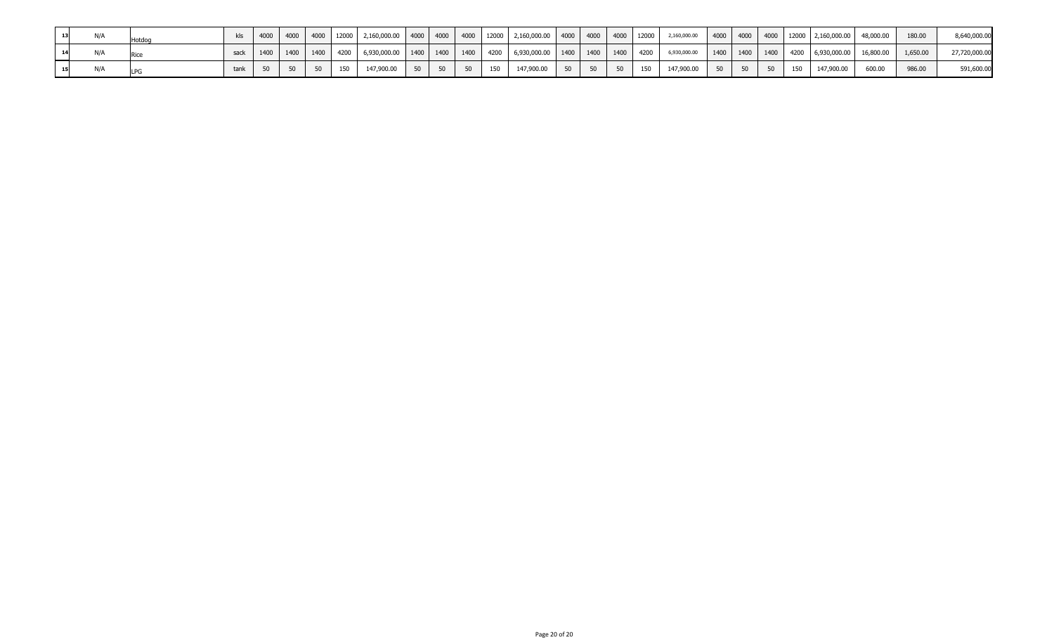| 13 |  |        |  |    |     | 4000   4000   4000   12000   2,160,000.00   4000   4000   4000   4000   2,160,000.00   4000   4000   4000   2,160,000.00   4000   4000   4000   4000   2,160,000.00   48,000.00   48,000.00   48,000.00   48,000.00   4000 |  |  |                                                                                      |  |  |  |  |  |        | 180.00 | 8,640,000.00  |
|----|--|--------|--|----|-----|----------------------------------------------------------------------------------------------------------------------------------------------------------------------------------------------------------------------------|--|--|--------------------------------------------------------------------------------------|--|--|--|--|--|--------|--------|---------------|
| 14 |  | sack I |  |    |     | 1400   1400   1400   4200   6,930,000.00   1400   1400   1400   1400   6,930,000.00   1400   1400   4200   6,930,000.00   1400   1400   1400   4200   6,930,000.00   16,800.00   1,650.00   1,650.00   1,650.00   1,650.00 |  |  |                                                                                      |  |  |  |  |  |        |        | 27,720,000.00 |
|    |  | tank   |  | 50 | 150 | 147,900.00 50 50 50                                                                                                                                                                                                        |  |  | 150   147,900.00   50   50   50   150   147,900.00   50   50   50   150   147,900.00 |  |  |  |  |  | 600.00 | 986.00 | 591,600.00    |